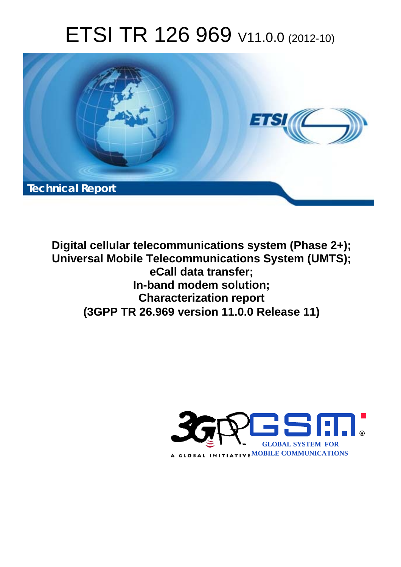# ETSI TR 126 969 V11.0.0 (2012-10)



**Digital cellular telecommunications system (Phase 2+); Universal Mobile Telecommunications System (UMTS); eCall data transfer; In-band modem solution; Characterization report (3GPP TR 26.969 version 11.0.0 Release 11)** 

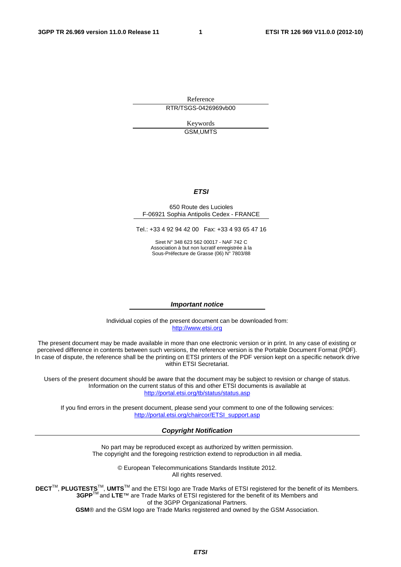Reference RTR/TSGS-0426969vb00

> Keywords GSM,UMTS

### *ETSI*

#### 650 Route des Lucioles F-06921 Sophia Antipolis Cedex - FRANCE

Tel.: +33 4 92 94 42 00 Fax: +33 4 93 65 47 16

Siret N° 348 623 562 00017 - NAF 742 C Association à but non lucratif enregistrée à la Sous-Préfecture de Grasse (06) N° 7803/88

#### *Important notice*

Individual copies of the present document can be downloaded from: [http://www.etsi.org](http://www.etsi.org/)

The present document may be made available in more than one electronic version or in print. In any case of existing or perceived difference in contents between such versions, the reference version is the Portable Document Format (PDF). In case of dispute, the reference shall be the printing on ETSI printers of the PDF version kept on a specific network drive within ETSI Secretariat.

Users of the present document should be aware that the document may be subject to revision or change of status. Information on the current status of this and other ETSI documents is available at <http://portal.etsi.org/tb/status/status.asp>

If you find errors in the present document, please send your comment to one of the following services: [http://portal.etsi.org/chaircor/ETSI\\_support.asp](http://portal.etsi.org/chaircor/ETSI_support.asp)

#### *Copyright Notification*

No part may be reproduced except as authorized by written permission. The copyright and the foregoing restriction extend to reproduction in all media.

> © European Telecommunications Standards Institute 2012. All rights reserved.

DECT<sup>™</sup>, PLUGTESTS<sup>™</sup>, UMTS<sup>™</sup> and the ETSI logo are Trade Marks of ETSI registered for the benefit of its Members. **3GPP**TM and **LTE**™ are Trade Marks of ETSI registered for the benefit of its Members and of the 3GPP Organizational Partners.

**GSM**® and the GSM logo are Trade Marks registered and owned by the GSM Association.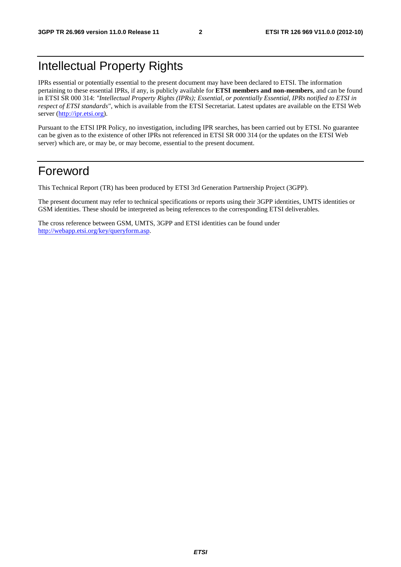## Intellectual Property Rights

IPRs essential or potentially essential to the present document may have been declared to ETSI. The information pertaining to these essential IPRs, if any, is publicly available for **ETSI members and non-members**, and can be found in ETSI SR 000 314: *"Intellectual Property Rights (IPRs); Essential, or potentially Essential, IPRs notified to ETSI in respect of ETSI standards"*, which is available from the ETSI Secretariat. Latest updates are available on the ETSI Web server [\(http://ipr.etsi.org](http://webapp.etsi.org/IPR/home.asp)).

Pursuant to the ETSI IPR Policy, no investigation, including IPR searches, has been carried out by ETSI. No guarantee can be given as to the existence of other IPRs not referenced in ETSI SR 000 314 (or the updates on the ETSI Web server) which are, or may be, or may become, essential to the present document.

## Foreword

This Technical Report (TR) has been produced by ETSI 3rd Generation Partnership Project (3GPP).

The present document may refer to technical specifications or reports using their 3GPP identities, UMTS identities or GSM identities. These should be interpreted as being references to the corresponding ETSI deliverables.

The cross reference between GSM, UMTS, 3GPP and ETSI identities can be found under [http://webapp.etsi.org/key/queryform.asp.](http://webapp.etsi.org/key/queryform.asp)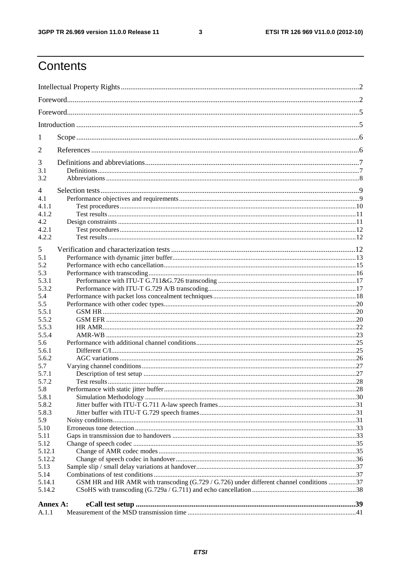$\mathbf{3}$ 

## Contents

| 1              |                                                                                          |  |  |  |  |  |  |
|----------------|------------------------------------------------------------------------------------------|--|--|--|--|--|--|
| 2              |                                                                                          |  |  |  |  |  |  |
| 3              |                                                                                          |  |  |  |  |  |  |
| 3.1            |                                                                                          |  |  |  |  |  |  |
| 3.2            |                                                                                          |  |  |  |  |  |  |
| $\overline{4}$ |                                                                                          |  |  |  |  |  |  |
| 4.1            |                                                                                          |  |  |  |  |  |  |
| 4.1.1          |                                                                                          |  |  |  |  |  |  |
| 4.1.2          |                                                                                          |  |  |  |  |  |  |
| 4.2            |                                                                                          |  |  |  |  |  |  |
| 4.2.1          |                                                                                          |  |  |  |  |  |  |
| 4.2.2          |                                                                                          |  |  |  |  |  |  |
| 5              |                                                                                          |  |  |  |  |  |  |
|                |                                                                                          |  |  |  |  |  |  |
| 5.1            |                                                                                          |  |  |  |  |  |  |
| 5.2            |                                                                                          |  |  |  |  |  |  |
| 5.3<br>5.3.1   |                                                                                          |  |  |  |  |  |  |
| 5.3.2          |                                                                                          |  |  |  |  |  |  |
| 5.4            |                                                                                          |  |  |  |  |  |  |
| 5.5            |                                                                                          |  |  |  |  |  |  |
| 5.5.1          |                                                                                          |  |  |  |  |  |  |
| 5.5.2          |                                                                                          |  |  |  |  |  |  |
| 5.5.3          |                                                                                          |  |  |  |  |  |  |
| 5.5.4          |                                                                                          |  |  |  |  |  |  |
| 5.6            |                                                                                          |  |  |  |  |  |  |
| 5.6.1          |                                                                                          |  |  |  |  |  |  |
| 5.6.2          |                                                                                          |  |  |  |  |  |  |
| 5.7            |                                                                                          |  |  |  |  |  |  |
| 5.7.1          |                                                                                          |  |  |  |  |  |  |
| 5.7.2          |                                                                                          |  |  |  |  |  |  |
| 5.8            |                                                                                          |  |  |  |  |  |  |
| 5.8.1          |                                                                                          |  |  |  |  |  |  |
| 5.8.2          |                                                                                          |  |  |  |  |  |  |
| 5.8.3          |                                                                                          |  |  |  |  |  |  |
| 5.9            |                                                                                          |  |  |  |  |  |  |
| 5.10           |                                                                                          |  |  |  |  |  |  |
| 5.11           |                                                                                          |  |  |  |  |  |  |
| 5.12           |                                                                                          |  |  |  |  |  |  |
| 5.12.1         |                                                                                          |  |  |  |  |  |  |
| 5.12.2         |                                                                                          |  |  |  |  |  |  |
| 5.13           |                                                                                          |  |  |  |  |  |  |
| 5.14           |                                                                                          |  |  |  |  |  |  |
| 5.14.1         | GSM HR and HR AMR with transcoding (G.729 / G.726) under different channel conditions 37 |  |  |  |  |  |  |
| 5.14.2         |                                                                                          |  |  |  |  |  |  |
| Annex A:       |                                                                                          |  |  |  |  |  |  |
| A.1.1          |                                                                                          |  |  |  |  |  |  |
|                |                                                                                          |  |  |  |  |  |  |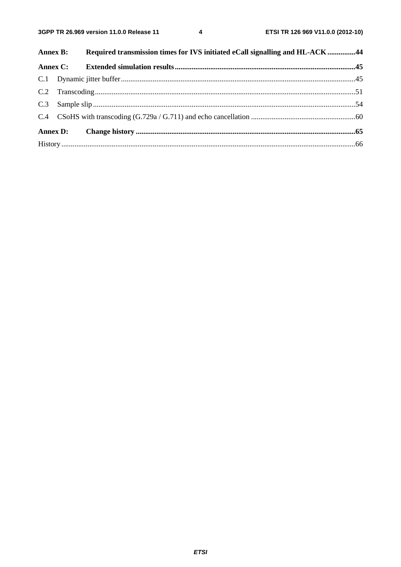$\overline{\mathbf{4}}$ 

|  | Annex B: Required transmission times for IVS initiated eCall signalling and HL-ACK 44 |  |
|--|---------------------------------------------------------------------------------------|--|
|  |                                                                                       |  |
|  |                                                                                       |  |
|  |                                                                                       |  |
|  |                                                                                       |  |
|  |                                                                                       |  |
|  |                                                                                       |  |
|  |                                                                                       |  |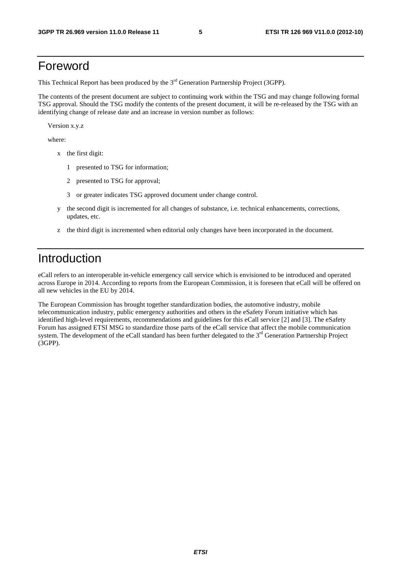## Foreword

This Technical Report has been produced by the  $3<sup>rd</sup>$  Generation Partnership Project (3GPP).

The contents of the present document are subject to continuing work within the TSG and may change following formal TSG approval. Should the TSG modify the contents of the present document, it will be re-released by the TSG with an identifying change of release date and an increase in version number as follows:

Version x.y.z

where:

- x the first digit:
	- 1 presented to TSG for information;
	- 2 presented to TSG for approval;
	- 3 or greater indicates TSG approved document under change control.
- y the second digit is incremented for all changes of substance, i.e. technical enhancements, corrections, updates, etc.
- z the third digit is incremented when editorial only changes have been incorporated in the document.

## Introduction

eCall refers to an interoperable in-vehicle emergency call service which is envisioned to be introduced and operated across Europe in 2014. According to reports from the European Commission, it is foreseen that eCall will be offered on all new vehicles in the EU by 2014.

The European Commission has brought together standardization bodies, the automotive industry, mobile telecommunication industry, public emergency authorities and others in the eSafety Forum initiative which has identified high-level requirements, recommendations and guidelines for this eCall service [2] and [3]. The eSafety Forum has assigned ETSI MSG to standardize those parts of the eCall service that affect the mobile communication system. The development of the eCall standard has been further delegated to the 3<sup>rd</sup> Generation Partnership Project (3GPP).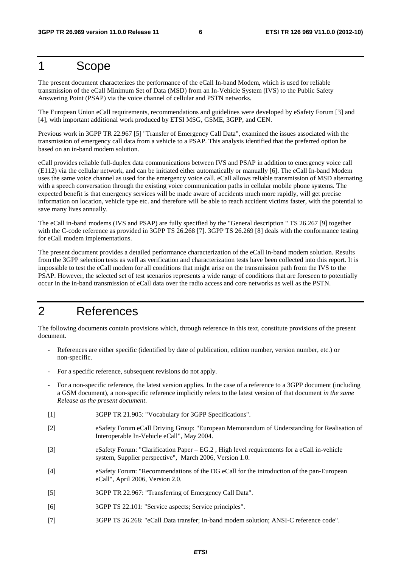## 1 Scope

The present document characterizes the performance of the eCall In-band Modem, which is used for reliable transmission of the eCall Minimum Set of Data (MSD) from an In-Vehicle System (IVS) to the Public Safety Answering Point (PSAP) via the voice channel of cellular and PSTN networks.

The European Union eCall requirements, recommendations and guidelines were developed by eSafety Forum [3] and [4], with important additional work produced by ETSI MSG, GSME, 3GPP, and CEN.

Previous work in 3GPP TR 22.967 [5] "Transfer of Emergency Call Data", examined the issues associated with the transmission of emergency call data from a vehicle to a PSAP. This analysis identified that the preferred option be based on an in-band modem solution.

eCall provides reliable full-duplex data communications between IVS and PSAP in addition to emergency voice call (E112) via the cellular network, and can be initiated either automatically or manually [6]. The eCall In-band Modem uses the same voice channel as used for the emergency voice call. eCall allows reliable transmission of MSD alternating with a speech conversation through the existing voice communication paths in cellular mobile phone systems. The expected benefit is that emergency services will be made aware of accidents much more rapidly, will get precise information on location, vehicle type etc. and therefore will be able to reach accident victims faster, with the potential to save many lives annually.

The eCall in-band modems (IVS and PSAP) are fully specified by the "General description " TS 26.267 [9] together with the C-code reference as provided in 3GPP TS 26.268 [7]. 3GPP TS 26.269 [8] deals with the conformance testing for eCall modem implementations.

The present document provides a detailed performance characterization of the eCall in-band modem solution. Results from the 3GPP selection tests as well as verification and characterization tests have been collected into this report. It is impossible to test the eCall modem for all conditions that might arise on the transmission path from the IVS to the PSAP. However, the selected set of test scenarios represents a wide range of conditions that are foreseen to potentially occur in the in-band transmission of eCall data over the radio access and core networks as well as the PSTN.

## 2 References

The following documents contain provisions which, through reference in this text, constitute provisions of the present document.

- References are either specific (identified by date of publication, edition number, version number, etc.) or non-specific.
- For a specific reference, subsequent revisions do not apply.
- For a non-specific reference, the latest version applies. In the case of a reference to a 3GPP document (including a GSM document), a non-specific reference implicitly refers to the latest version of that document *in the same Release as the present document*.
- [1] 3GPP TR 21.905: "Vocabulary for 3GPP Specifications".
- [2] eSafety Forum eCall Driving Group: "European Memorandum of Understanding for Realisation of Interoperable In-Vehicle eCall", May 2004.
- [3] eSafety Forum: "Clarification Paper EG.2 , High level requirements for a eCall in-vehicle system, Supplier perspective", March 2006, Version 1.0.
- [4] eSafety Forum: "Recommendations of the DG eCall for the introduction of the pan-European eCall", April 2006, Version 2.0.
- [5] 3GPP TR 22.967: "Transferring of Emergency Call Data".
- [6] 3GPP TS 22.101: "Service aspects; Service principles".
- [7] 3GPP TS 26.268: "eCall Data transfer; In-band modem solution; ANSI-C reference code".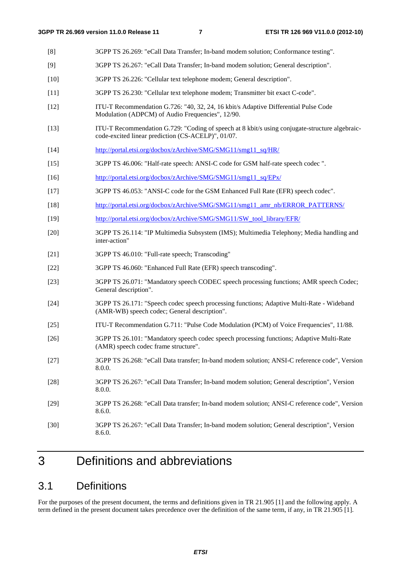- [8] 3GPP TS 26.269: "eCall Data Transfer; In-band modem solution; Conformance testing".
- [9] 3GPP TS 26.267: "eCall Data Transfer; In-band modem solution; General description".
- [10] 3GPP TS 26.226: "Cellular text telephone modem; General description".
- [11] 3GPP TS 26.230: "Cellular text telephone modem; Transmitter bit exact C-code".
- [12] ITU-T Recommendation G.726: "40, 32, 24, 16 kbit/s Adaptive Differential Pulse Code Modulation (ADPCM) of Audio Frequencies", 12/90.
- [13] ITU-T Recommendation G.729: "Coding of speech at 8 kbit/s using conjugate-structure algebraiccode-excited linear prediction (CS-ACELP)", 01/07.
- [14] [http://portal.etsi.org/docbox/zArchive/SMG/SMG11/smg11\\_sq/HR/](http://portal.etsi.org/docbox/zArchive/SMG/SMG11/smg11_sq/HR/)
- [15] 3GPP TS 46.006: "Half-rate speech: ANSI-C code for GSM half-rate speech codec ".
- [16] [http://portal.etsi.org/docbox/zArchive/SMG/SMG11/smg11\\_sq/EPx/](http://portal.etsi.org/docbox/zArchive/SMG/SMG11/smg11_sq/EPx/)
- [17] 3GPP TS 46.053: "ANSI-C code for the GSM Enhanced Full Rate (EFR) speech codec".
- [18] [http://portal.etsi.org/docbox/zArchive/SMG/SMG11/smg11\\_amr\\_nb/ERROR\\_PATTERNS/](http://portal.etsi.org/docbox/zArchive/SMG/SMG11/smg11_amr_nb/ERROR_PATTERNS/)
- [19] http://portal.etsi.org/docbox/zArchive/SMG/SMG11/SW\_tool\_library/EFR/
- [20] 3GPP TS 26.114: "IP Multimedia Subsystem (IMS); Multimedia Telephony; Media handling and inter-action"
- [21] 3GPP TS 46.010: "Full-rate speech; Transcoding"
- [22] 3GPP TS 46.060: "Enhanced Full Rate (EFR) speech transcoding".
- [23] 3GPP TS 26.071: "Mandatory speech CODEC speech processing functions; AMR speech Codec; General description".
- [24] 3GPP TS 26.171: "Speech codec speech processing functions; Adaptive Multi-Rate Wideband (AMR-WB) speech codec; General description".
- [25] ITU-T Recommendation G.711: "Pulse Code Modulation (PCM) of Voice Frequencies", 11/88.
- [26] 3GPP TS 26.101: "Mandatory speech codec speech processing functions; Adaptive Multi-Rate (AMR) speech codec frame structure".
- [27] 3GPP TS 26.268: "eCall Data transfer; In-band modem solution; ANSI-C reference code", Version 8.0.0.
- [28] 3GPP TS 26.267: "eCall Data Transfer; In-band modem solution; General description", Version 8.0.0.
- [29] 3GPP TS 26.268: "eCall Data transfer; In-band modem solution; ANSI-C reference code", Version 8.6.0.
- [30] 3GPP TS 26.267: "eCall Data Transfer; In-band modem solution; General description", Version 8.6.0.

## 3 Definitions and abbreviations

### 3.1 Definitions

For the purposes of the present document, the terms and definitions given in TR 21.905 [1] and the following apply. A term defined in the present document takes precedence over the definition of the same term, if any, in TR 21.905 [1].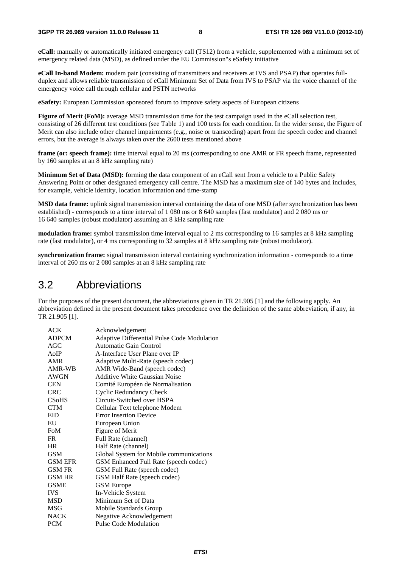**eCall:** manually or automatically initiated emergency call (TS12) from a vehicle, supplemented with a minimum set of emergency related data (MSD), as defined under the EU Commission"s eSafety initiative

**eCall In-band Modem:** modem pair (consisting of transmitters and receivers at IVS and PSAP) that operates fullduplex and allows reliable transmission of eCall Minimum Set of Data from IVS to PSAP via the voice channel of the emergency voice call through cellular and PSTN networks

**eSafety:** European Commission sponsored forum to improve safety aspects of European citizens

**Figure of Merit (FoM):** average MSD transmission time for the test campaign used in the eCall selection test, consisting of 26 different test conditions (see Table 1) and 100 tests for each condition. In the wider sense, the Figure of Merit can also include other channel impairments (e.g., noise or transcoding) apart from the speech codec and channel errors, but the average is always taken over the 2600 tests mentioned above

**frame (or: speech frame):** time interval equal to 20 ms (corresponding to one AMR or FR speech frame, represented by 160 samples at an 8 kHz sampling rate)

**Minimum Set of Data (MSD):** forming the data component of an eCall sent from a vehicle to a Public Safety Answering Point or other designated emergency call centre. The MSD has a maximum size of 140 bytes and includes, for example, vehicle identity, location information and time-stamp

**MSD data frame:** uplink signal transmission interval containing the data of one MSD (after synchronization has been established) - corresponds to a time interval of 1 080 ms or 8 640 samples (fast modulator) and 2 080 ms or 16 640 samples (robust modulator) assuming an 8 kHz sampling rate

**modulation frame:** symbol transmission time interval equal to 2 ms corresponding to 16 samples at 8 kHz sampling rate (fast modulator), or 4 ms corresponding to 32 samples at 8 kHz sampling rate (robust modulator).

**synchronization frame:** signal transmission interval containing synchronization information - corresponds to a time interval of 260 ms or 2 080 samples at an 8 kHz sampling rate

### 3.2 Abbreviations

For the purposes of the present document, the abbreviations given in TR 21.905 [1] and the following apply. An abbreviation defined in the present document takes precedence over the definition of the same abbreviation, if any, in TR 21.905 [1].

| <b>ACK</b>     | Acknowledgement                             |
|----------------|---------------------------------------------|
| <b>ADPCM</b>   | Adaptive Differential Pulse Code Modulation |
| AGC            | Automatic Gain Control                      |
| AoIP           | A-Interface User Plane over IP              |
| AMR            | Adaptive Multi-Rate (speech codec)          |
| AMR-WB         | AMR Wide-Band (speech codec)                |
| <b>AWGN</b>    | Additive White Gaussian Noise               |
| <b>CEN</b>     | Comité Européen de Normalisation            |
| <b>CRC</b>     | <b>Cyclic Redundancy Check</b>              |
| <b>CSoHS</b>   | Circuit-Switched over HSPA                  |
| <b>CTM</b>     | Cellular Text telephone Modem               |
| <b>EID</b>     | <b>Error Insertion Device</b>               |
| EU             | European Union                              |
| FoM            | Figure of Merit                             |
| FR.            | Full Rate (channel)                         |
| <b>HR</b>      | Half Rate (channel)                         |
| <b>GSM</b>     | Global System for Mobile communications     |
| <b>GSM EFR</b> | GSM Enhanced Full Rate (speech codec)       |
| <b>GSM FR</b>  | GSM Full Rate (speech codec)                |
| <b>GSM HR</b>  | GSM Half Rate (speech codec)                |
| <b>GSME</b>    | <b>GSM</b> Europe                           |
| <b>IVS</b>     | In-Vehicle System                           |
| <b>MSD</b>     | Minimum Set of Data                         |
| MSG            | Mobile Standards Group                      |
| <b>NACK</b>    | Negative Acknowledgement                    |
| PCM            | <b>Pulse Code Modulation</b>                |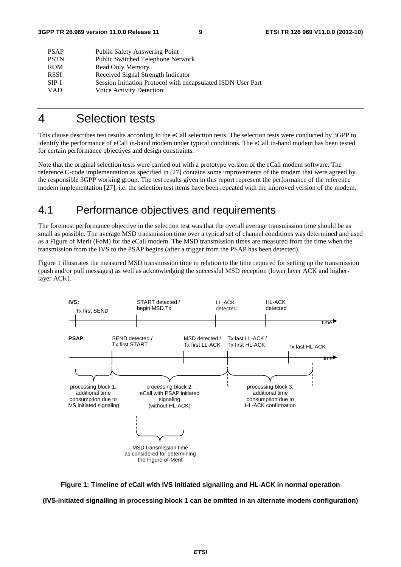| <b>PSAP</b> | Public Safety Answering Point                                |
|-------------|--------------------------------------------------------------|
| <b>PSTN</b> | Public Switched Telephone Network                            |
| <b>ROM</b>  | Read Only Memory                                             |
| <b>RSSI</b> | Received Signal Strength Indicator                           |
| SIP-I       | Session Initiation Protocol with encapsulated ISDN User Part |
| <b>VAD</b>  | Voice Activity Detection                                     |
|             |                                                              |

## 4 Selection tests

This clause describes test results according to the eCall selection tests. The selection tests were conducted by 3GPP to identify the performance of eCall in-band modem under typical conditions. The eCall in-band modem has been tested for certain performance objectives and design constraints.

Note that the original selection tests were carried out with a prototype version of the eCall modem software. The reference C-code implementation as specified in [27] contains some improvements of the modem that were agreed by the responsible 3GPP working group. The test results given in this report represent the performance of the reference modem implementation [27], i.e. the selection test items have been repeated with the improved version of the modem.

## 4.1 Performance objectives and requirements

The foremost performance objective in the selection test was that the overall average transmission time should be as small as possible. The average MSD transmission time over a typical set of channel conditions was determined and used as a Figure of Merit (FoM) for the eCall modem. The MSD transmission times are measured from the time when the transmission from the IVS to the PSAP begins (after a trigger from the PSAP has been detected).

Figure 1 illustrates the measured MSD transmission time in relation to the time required for setting up the transmission (push and/or pull messages) as well as acknowledging the successful MSD reception (lower layer ACK and higherlayer ACK).



**Figure 1: Timeline of eCall with IVS initiated signalling and HL-ACK in normal operation (IVS-initiated signalling in processing block 1 can be omitted in an alternate modem configuration)**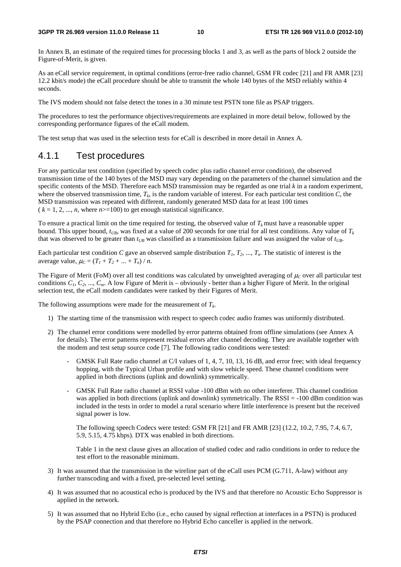In Annex B, an estimate of the required times for processing blocks 1 and 3, as well as the parts of block 2 outside the Figure-of-Merit, is given.

As an eCall service requirement, in optimal conditions (error-free radio channel, GSM FR codec [21] and FR AMR [23] 12.2 kbit/s mode) the eCall procedure should be able to transmit the whole 140 bytes of the MSD reliably within 4 seconds.

The IVS modem should not false detect the tones in a 30 minute test PSTN tone file as PSAP triggers.

The procedures to test the performance objectives/requirements are explained in more detail below, followed by the corresponding performance figures of the eCall modem.

The test setup that was used in the selection tests for eCall is described in more detail in Annex A.

### 4.1.1 Test procedures

For any particular test condition (specified by speech codec plus radio channel error condition), the observed transmission time of the 140 bytes of the MSD may vary depending on the parameters of the channel simulation and the specific contents of the MSD. Therefore each MSD transmission may be regarded as one trial *k* in a random experiment, where the observed transmission time,  $T_k$ , is the random variable of interest. For each particular test condition  $C$ , the MSD transmission was repeated with different, randomly generated MSD data for at least 100 times  $(k = 1, 2, ..., n$ , where  $n > 100$  to get enough statistical significance.

To ensure a practical limit on the time required for testing, the observed value of  $T_k$  must have a reasonable upper bound. This upper bound,  $t_{UB}$ , was fixed at a value of 200 seconds for one trial for all test conditions. Any value of  $T_k$ that was observed to be greater than  $t_{UB}$  was classified as a transmission failure and was assigned the value of  $t_{UB}$ .

Each particular test condition *C* gave an observed sample distribution  $T_1, T_2, ..., T_n$ . The statistic of interest is the average value,  $\mu_C = (T_1 + T_2 + ... + T_n) / n$ .

The Figure of Merit (FoM) over all test conditions was calculated by unweighted averaging of  $\mu_c$  over all particular test conditions  $C_1$ ,  $C_2$ , ...,  $C_m$ . A low Figure of Merit is – obviously - better than a higher Figure of Merit. In the original selection test, the eCall modem candidates were ranked by their Figures of Merit.

The following assumptions were made for the measurement of  $T_k$ .

- 1) The starting time of the transmission with respect to speech codec audio frames was uniformly distributed.
- 2) The channel error conditions were modelled by error patterns obtained from offline simulations (see Annex A for details). The error patterns represent residual errors after channel decoding. They are available together with the modem and test setup source code [7]. The following radio conditions were tested:
	- GMSK Full Rate radio channel at C/I values of 1, 4, 7, 10, 13, 16 dB, and error free; with ideal frequency hopping, with the Typical Urban profile and with slow vehicle speed. These channel conditions were applied in both directions (uplink and downlink) symmetrically.
	- GMSK Full Rate radio channel at RSSI value -100 dBm with no other interferer. This channel condition was applied in both directions (uplink and downlink) symmetrically. The RSSI = -100 dBm condition was included in the tests in order to model a rural scenario where little interference is present but the received signal power is low.

 The following speech Codecs were tested: GSM FR [21] and FR AMR [23] (12.2, 10.2, 7.95, 7.4, 6.7, 5.9, 5.15, 4.75 kbps). DTX was enabled in both directions.

 Table 1 in the next clause gives an allocation of studied codec and radio conditions in order to reduce the test effort to the reasonable minimum.

- 3) It was assumed that the transmission in the wireline part of the eCall uses PCM (G.711, A-law) without any further transcoding and with a fixed, pre-selected level setting.
- 4) It was assumed that no acoustical echo is produced by the IVS and that therefore no Acoustic Echo Suppressor is applied in the network.
- 5) It was assumed that no Hybrid Echo (i.e., echo caused by signal reflection at interfaces in a PSTN) is produced by the PSAP connection and that therefore no Hybrid Echo canceller is applied in the network.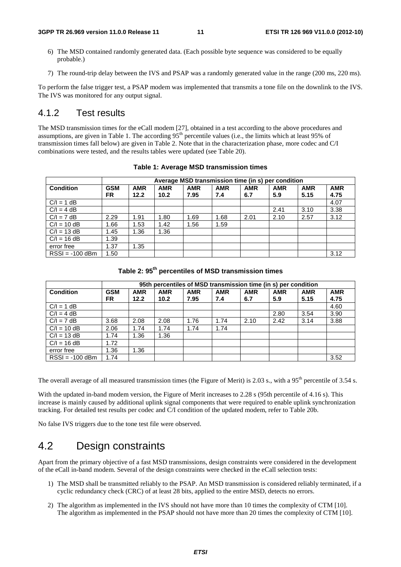- 6) The MSD contained randomly generated data. (Each possible byte sequence was considered to be equally probable.)
- 7) The round-trip delay between the IVS and PSAP was a randomly generated value in the range (200 ms, 220 ms).

To perform the false trigger test, a PSAP modem was implemented that transmits a tone file on the downlink to the IVS. The IVS was monitored for any output signal.

### 4.1.2 Test results

The MSD transmission times for the eCall modem [27], obtained in a test according to the above procedures and assumptions, are given in Table 1. The according 95<sup>th</sup> percentile values (i.e., the limits which at least 95% of transmission times fall below) are given in Table 2. Note that in the characterization phase, more codec and C/I combinations were tested, and the results tables were updated (see Table 20).

|                   | Average MSD transmission time (in s) per condition |            |            |            |            |            |            |            |            |
|-------------------|----------------------------------------------------|------------|------------|------------|------------|------------|------------|------------|------------|
| <b>Condition</b>  | <b>GSM</b>                                         | <b>AMR</b> | <b>AMR</b> | <b>AMR</b> | <b>AMR</b> | <b>AMR</b> | <b>AMR</b> | <b>AMR</b> | <b>AMR</b> |
|                   | FR.                                                | 12.2       | 10.2       | 7.95       | 7.4        | 6.7        | 5.9        | 5.15       | 4.75       |
| $C/I = 1 dB$      |                                                    |            |            |            |            |            |            |            | 4.07       |
| $C/I = 4 dB$      |                                                    |            |            |            |            |            | 2.41       | 3.10       | 3.38       |
| $C/I = 7 dB$      | 2.29                                               | 1.91       | 1.80       | 1.69       | 1.68       | 2.01       | 2.10       | 2.57       | 3.12       |
| $C/I = 10 dB$     | 1.66                                               | 1.53       | 1.42       | 1.56       | 1.59       |            |            |            |            |
| $C/I = 13 dB$     | 1.45                                               | 1.36       | 1.36       |            |            |            |            |            |            |
| $C/I = 16 dB$     | 1.39                                               |            |            |            |            |            |            |            |            |
| error free        | 1.37                                               | 1.35       |            |            |            |            |            |            |            |
| $RSSI = -100$ dBm | 1.50                                               |            |            |            |            |            |            |            | 3.12       |

**Table 1: Average MSD transmission times** 

### **Table 2: 95th percentiles of MSD transmission times**

|                   | 95th percentiles of MSD transmission time (in s) per condition |            |            |            |            |            |            |            |            |
|-------------------|----------------------------------------------------------------|------------|------------|------------|------------|------------|------------|------------|------------|
| <b>Condition</b>  | <b>GSM</b>                                                     | <b>AMR</b> | <b>AMR</b> | <b>AMR</b> | <b>AMR</b> | <b>AMR</b> | <b>AMR</b> | <b>AMR</b> | <b>AMR</b> |
|                   | FR                                                             | 12.2       | 10.2       | 7.95       | 7.4        | 6.7        | 5.9        | 5.15       | 4.75       |
| $C/I = 1 dB$      |                                                                |            |            |            |            |            |            |            | 4.60       |
| $C/I = 4 dB$      |                                                                |            |            |            |            |            | 2.80       | 3.54       | 3.90       |
| $C/I = 7 dB$      | 3.68                                                           | 2.08       | 2.08       | 1.76       | 1.74       | 2.10       | 2.42       | 3.14       | 3.88       |
| $C/I = 10 dB$     | 2.06                                                           | 1.74       | 1.74       | 1.74       | 1.74       |            |            |            |            |
| $C/I = 13 dB$     | 1.74                                                           | 1.36       | 1.36       |            |            |            |            |            |            |
| $C/I = 16 dB$     | 1.72                                                           |            |            |            |            |            |            |            |            |
| error free        | 1.36                                                           | 1.36       |            |            |            |            |            |            |            |
| $RSSI = -100$ dBm | 1.74                                                           |            |            |            |            |            |            |            | 3.52       |

The overall average of all measured transmission times (the Figure of Merit) is 2.03 s., with a 95<sup>th</sup> percentile of 3.54 s.

With the updated in-band modem version, the Figure of Merit increases to 2.28 s (95th percentile of 4.16 s). This increase is mainly caused by additional uplink signal components that were required to enable uplink synchronization tracking. For detailed test results per codec and C/I condition of the updated modem, refer to Table 20b.

No false IVS triggers due to the tone test file were observed.

## 4.2 Design constraints

Apart from the primary objective of a fast MSD transmissions, design constraints were considered in the development of the eCall in-band modem. Several of the design constraints were checked in the eCall selection tests:

- 1) The MSD shall be transmitted reliably to the PSAP. An MSD transmission is considered reliably terminated, if a cyclic redundancy check (CRC) of at least 28 bits, applied to the entire MSD, detects no errors.
- 2) The algorithm as implemented in the IVS should not have more than 10 times the complexity of CTM [10]. The algorithm as implemented in the PSAP should not have more than 20 times the complexity of CTM [10].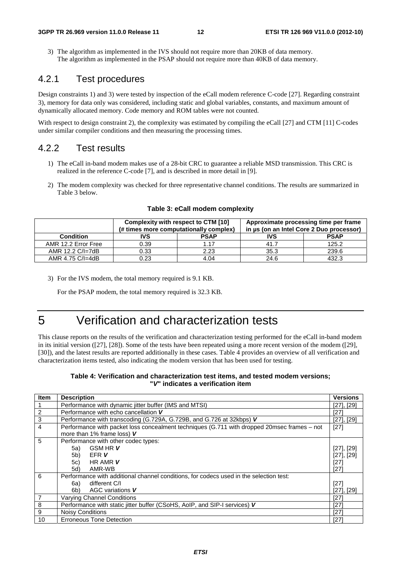3) The algorithm as implemented in the IVS should not require more than 20KB of data memory. The algorithm as implemented in the PSAP should not require more than 40KB of data memory.

### 4.2.1 Test procedures

Design constraints 1) and 3) were tested by inspection of the eCall modem reference C-code [27]. Regarding constraint 3), memory for data only was considered, including static and global variables, constants, and maximum amount of dynamically allocated memory. Code memory and ROM tables were not counted.

With respect to design constraint 2), the complexity was estimated by compiling the eCall [27] and CTM [11] C-codes under similar compiler conditions and then measuring the processing times.

### 4.2.2 Test results

- 1) The eCall in-band modem makes use of a 28-bit CRC to guarantee a reliable MSD transmission. This CRC is realized in the reference C-code [7], and is described in more detail in [9].
- 2) The modem complexity was checked for three representative channel conditions. The results are summarized in Table 3 below.

|                     | Complexity with respect to CTM [10]    |             |                                          | Approximate processing time per frame |
|---------------------|----------------------------------------|-------------|------------------------------------------|---------------------------------------|
|                     | (# times more computationally complex) |             | in µs (on an Intel Core 2 Duo processor) |                                       |
| <b>Condition</b>    | IVS                                    | <b>PSAP</b> | IVS                                      | <b>PSAP</b>                           |
| AMR 12.2 Error Free | 0.39                                   | 117         | 41.7                                     | 125.2                                 |
| AMR 12.2 C/I=7dB    | 0.33                                   | 2.23        | 35.3                                     | 239.6                                 |
| AMR 4.75 C/I=4dB    | 0.23                                   | 4.04        | 24.6                                     | 432.3                                 |

#### **Table 3: eCall modem complexity**

3) For the IVS modem, the total memory required is 9.1 KB.

For the PSAP modem, the total memory required is 32.3 KB.

## 5 Verification and characterization tests

This clause reports on the results of the verification and characterization testing performed for the eCall in-band modem in its initial version ([27], [28]). Some of the tests have been repeated using a more recent version of the modem ([29], [30]), and the latest results are reported additionally in these cases. Table 4 provides an overview of all verification and characterization items tested, also indicating the modem version that has been used for testing.

### **Table 4: Verification and characterization test items, and tested modem versions; "***V***" indicates a verification item**

| Item           | <b>Description</b>                                                                          | <b>Versions</b> |  |  |  |
|----------------|---------------------------------------------------------------------------------------------|-----------------|--|--|--|
|                | Performance with dynamic jitter buffer (IMS and MTSI)<br>$[27]$ , $[29]$                    |                 |  |  |  |
| $\overline{2}$ | Performance with echo cancellation V                                                        | [27]            |  |  |  |
| $\mathbf{3}$   | Performance with transcoding (G.729A, G.729B, and G.726 at 32kbps) V                        | $[27]$ , $[29]$ |  |  |  |
| $\overline{4}$ | Performance with packet loss concealment techniques (G.711 with dropped 20msec frames – not | $[27]$          |  |  |  |
|                | more than 1% frame loss) V                                                                  |                 |  |  |  |
| 5              | Performance with other codec types:                                                         |                 |  |  |  |
|                | <b>GSM HRV</b><br>5a)                                                                       | $[27]$ , $[29]$ |  |  |  |
|                | EFR V<br>5 <sub>b</sub>                                                                     | $[27]$ , $[29]$ |  |  |  |
|                | HR AMR V<br>5c)                                                                             | $[27]$          |  |  |  |
|                | AMR-WB<br>5d)<br>[27]                                                                       |                 |  |  |  |
| 6              | Performance with additional channel conditions, for codecs used in the selection test:      |                 |  |  |  |
|                | 6a)<br>different C/I                                                                        | $[27]$          |  |  |  |
|                | 6b)<br>AGC variations V                                                                     | $[27]$ , $[29]$ |  |  |  |
| $\overline{7}$ | <b>Varying Channel Conditions</b><br>[27]                                                   |                 |  |  |  |
| 8              | Performance with static jitter buffer (CSoHS, AoIP, and SIP-I services) V<br>[27]           |                 |  |  |  |
| $9\,$          | <b>Noisy Conditions</b>                                                                     | [27]            |  |  |  |
| 10             | <b>Erroneous Tone Detection</b>                                                             | [27]            |  |  |  |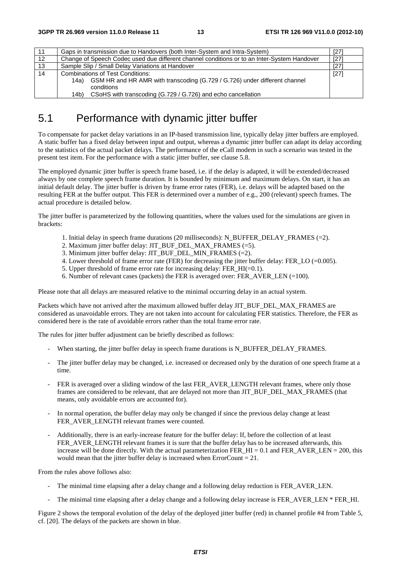| 11 | Gaps in transmission due to Handovers (both Inter-System and Intra-System)                       | [27]   |
|----|--------------------------------------------------------------------------------------------------|--------|
| 12 | Change of Speech Codec used due different channel conditions or to an Inter-System Handover      | [27]   |
| 13 | Sample Slip / Small Delay Variations at Handover                                                 | [27]   |
| 14 | <b>Combinations of Test Conditions:</b>                                                          | $[27]$ |
|    | GSM HR and HR AMR with transcoding (G.729 / G.726) under different channel<br>14a)<br>conditions |        |
|    |                                                                                                  |        |
|    | CSoHS with transcoding (G.729 / G.726) and echo cancellation<br>14b)                             |        |

## 5.1 Performance with dynamic jitter buffer

To compensate for packet delay variations in an IP-based transmission line, typically delay jitter buffers are employed. A static buffer has a fixed delay between input and output, whereas a dynamic jitter buffer can adapt its delay according to the statistics of the actual packet delays. The performance of the eCall modem in such a scenario was tested in the present test item. For the performance with a static jitter buffer, see clause 5.8.

The employed dynamic jitter buffer is speech frame based, i.e. if the delay is adapted, it will be extended/decreased always by one complete speech frame duration. It is bounded by minimum and maximum delays. On start, it has an initial default delay. The jitter buffer is driven by frame error rates (FER), i.e. delays will be adapted based on the resulting FER at the buffer output. This FER is determined over a number of e.g., 200 (relevant) speech frames. The actual procedure is detailed below.

The jitter buffer is parameterized by the following quantities, where the values used for the simulations are given in brackets:

- 1. Initial delay in speech frame durations (20 milliseconds): N\_BUFFER\_DELAY\_FRAMES (=2).
- 2. Maximum jitter buffer delay: JIT\_BUF\_DEL\_MAX\_FRAMES (=5).
- 3. Minimum jitter buffer delay: JIT\_BUF\_DEL\_MIN\_FRAMES (=2).
- 4. Lower threshold of frame error rate (FER) for decreasing the jitter buffer delay: FER\_LO (=0.005).
- 5. Upper threshold of frame error rate for increasing delay: FER  $HI(=0.1)$ .
- 6. Number of relevant cases (packets) the FER is averaged over: FER\_AVER\_LEN (=100).

Please note that all delays are measured relative to the minimal occurring delay in an actual system.

Packets which have not arrived after the maximum allowed buffer delay JIT\_BUF\_DEL\_MAX\_FRAMES are considered as unavoidable errors. They are not taken into account for calculating FER statistics. Therefore, the FER as considered here is the rate of avoidable errors rather than the total frame error rate.

The rules for jitter buffer adjustment can be briefly described as follows:

- When starting, the jitter buffer delay in speech frame durations is N\_BUFFER\_DELAY\_FRAMES.
- The jitter buffer delay may be changed, i.e. increased or decreased only by the duration of one speech frame at a time.
- FER is averaged over a sliding window of the last FER\_AVER\_LENGTH relevant frames, where only those frames are considered to be relevant, that are delayed not more than JIT\_BUF\_DEL\_MAX\_FRAMES (that means, only avoidable errors are accounted for).
- In normal operation, the buffer delay may only be changed if since the previous delay change at least FER\_AVER\_LENGTH relevant frames were counted.
- Additionally, there is an early-increase feature for the buffer delay: If, before the collection of at least FER\_AVER\_LENGTH relevant frames it is sure that the buffer delay has to be increased afterwards, this increase will be done directly. With the actual parameterization FER  $HI = 0.1$  and FER AVER LEN = 200, this would mean that the jitter buffer delay is increased when  $ErrorCount = 21$ .

From the rules above follows also:

- The minimal time elapsing after a delay change and a following delay reduction is FER\_AVER\_LEN.
- The minimal time elapsing after a delay change and a following delay increase is FER\_AVER\_LEN \* FER\_HI.

Figure 2 shows the temporal evolution of the delay of the deployed jitter buffer (red) in channel profile #4 from Table 5, cf. [20]. The delays of the packets are shown in blue.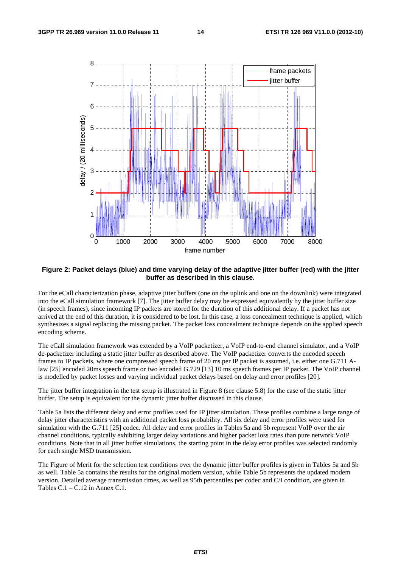

#### **Figure 2: Packet delays (blue) and time varying delay of the adaptive jitter buffer (red) with the jitter buffer as described in this clause.**

For the eCall characterization phase, adaptive jitter buffers (one on the uplink and one on the downlink) were integrated into the eCall simulation framework [7]. The jitter buffer delay may be expressed equivalently by the jitter buffer size (in speech frames), since incoming IP packets are stored for the duration of this additional delay. If a packet has not arrived at the end of this duration, it is considered to be lost. In this case, a loss concealment technique is applied, which synthesizes a signal replacing the missing packet. The packet loss concealment technique depends on the applied speech encoding scheme.

The eCall simulation framework was extended by a VoIP packetizer, a VoIP end-to-end channel simulator, and a VoIP de-packetizer including a static jitter buffer as described above. The VoIP packetizer converts the encoded speech frames to IP packets, where one compressed speech frame of 20 ms per IP packet is assumed, i.e. either one G.711 Alaw [25] encoded 20ms speech frame or two encoded G.729 [13] 10 ms speech frames per IP packet. The VoIP channel is modelled by packet losses and varying individual packet delays based on delay and error profiles [20].

The jitter buffer integration in the test setup is illustrated in Figure 8 (see clause 5.8) for the case of the static jitter buffer. The setup is equivalent for the dynamic jitter buffer discussed in this clause.

Table 5a lists the different delay and error profiles used for IP jitter simulation. These profiles combine a large range of delay jitter characteristics with an additional packet loss probability. All six delay and error profiles were used for simulation with the G.711 [25] codec. All delay and error profiles in Tables 5a and 5b represent VoIP over the air channel conditions, typically exhibiting larger delay variations and higher packet loss rates than pure network VoIP conditions. Note that in all jitter buffer simulations, the starting point in the delay error profiles was selected randomly for each single MSD transmission.

The Figure of Merit for the selection test conditions over the dynamic jitter buffer profiles is given in Tables 5a and 5b as well. Table 5a contains the results for the original modem version, while Table 5b represents the updated modem version. Detailed average transmission times, as well as 95th percentiles per codec and C/I condition, are given in Tables C.1 – C.12 in Annex C.1.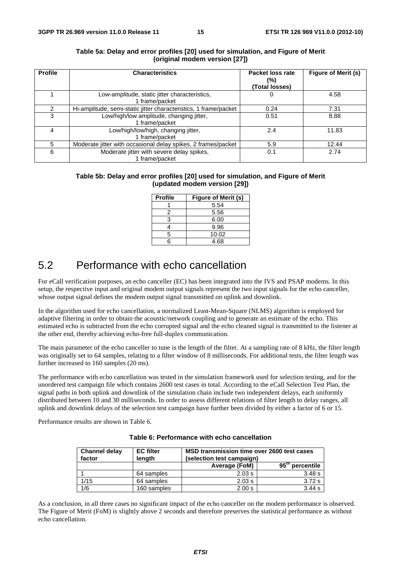| <b>Profile</b> | <b>Characteristics</b>                                           | Packet loss rate<br>(%)<br>(Total losses) | Figure of Merit (s) |
|----------------|------------------------------------------------------------------|-------------------------------------------|---------------------|
|                | Low-amplitude, static jitter characteristics,<br>1 frame/packet  |                                           | 4.58                |
|                | Hi-amplitude, semi-static jitter characteristics, 1 frame/packet | 0.24                                      | 7.31                |
| 3              | Low/high/low amplitude, changing jitter,<br>1 frame/packet       | 0.51                                      | 8.88                |
|                | Low/high/low/high, changing jitter,<br>1 frame/packet            | 2.4                                       | 11.83               |
| 5.             | Moderate jitter with occasional delay spikes, 2 frames/packet    | 5.9                                       | 12.44               |
| 6              | Moderate jitter with severe delay spikes,<br>1 frame/packet      | 0.1                                       | 2.74                |

#### **Table 5a: Delay and error profiles [20] used for simulation, and Figure of Merit (original modem version [27])**

### **Table 5b: Delay and error profiles [20] used for simulation, and Figure of Merit (updated modem version [29])**

| <b>Profile</b> | Figure of Merit (s) |
|----------------|---------------------|
|                | 5.54                |
| 2              | 5.56                |
| 3              | 6.00                |
|                | 9.96                |
| 5              | 10.02               |
|                | 4.68                |

## 5.2 Performance with echo cancellation

For eCall verification purposes, an echo canceller (EC) has been integrated into the IVS and PSAP modems. In this setup, the respective input and original modem output signals represent the two input signals for the echo canceller, whose output signal defines the modem output signal transmitted on uplink and downlink.

In the algorithm used for echo cancellation, a normalized Least-Mean-Square (NLMS) algorithm is employed for adaptive filtering in order to obtain the acoustic/network coupling and to generate an estimate of the echo. This estimated echo is subtracted from the echo corrupted signal and the echo cleaned signal is transmitted to the listener at the other end, thereby achieving echo-free full-duplex communication.

The main parameter of the echo canceller to tune is the length of the filter. At a sampling rate of 8 kHz, the filter length was originally set to 64 samples, relating to a filter window of 8 milliseconds. For additional tests, the filter length was further increased to 160 samples (20 ms).

The performance with echo cancellation was tested in the simulation framework used for selection testing, and for the unordered test campaign file which contains 2600 test cases in total. According to the eCall Selection Test Plan, the signal paths in both uplink and downlink of the simulation chain include two independent delays, each uniformly distributed between 10 and 30 milliseconds. In order to assess different relations of filter length to delay ranges, all uplink and downlink delays of the selection test campaign have further been divided by either a factor of 6 or 15.

Performance results are shown in Table 6.

| <b>Channel delay</b><br>factor | <b>EC</b> filter<br>length | MSD transmission time over 2600 test cases<br>(selection test campaign) |                                  |  |  |  |
|--------------------------------|----------------------------|-------------------------------------------------------------------------|----------------------------------|--|--|--|
|                                |                            | Average (FoM)                                                           | $95$ <sup>tn</sup><br>percentile |  |  |  |
|                                | 64 samples                 | 2.03 s                                                                  | 3.48 s                           |  |  |  |
| 1/15                           | 64 samples                 | 2.03 s                                                                  | 3.72 s                           |  |  |  |
| 1/6                            | 160 samples                | 2.00 s                                                                  | 3.44 s                           |  |  |  |

### **Table 6: Performance with echo cancellation**

As a conclusion, in all three cases no significant impact of the echo canceller on the modem performance is observed. The Figure of Merit (FoM) is slightly above 2 seconds and therefore preserves the statistical performance as without echo cancellation.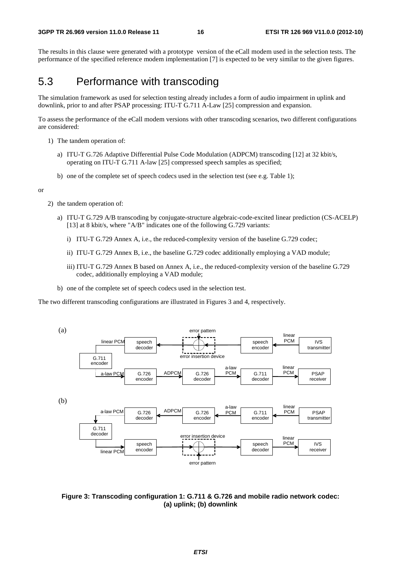The results in this clause were generated with a prototype version of the eCall modem used in the selection tests. The performance of the specified reference modem implementation [7] is expected to be very similar to the given figures.

## 5.3 Performance with transcoding

The simulation framework as used for selection testing already includes a form of audio impairment in uplink and downlink, prior to and after PSAP processing: ITU-T G.711 A-Law [25] compression and expansion.

To assess the performance of the eCall modem versions with other transcoding scenarios, two different configurations are considered:

- 1) The tandem operation of:
	- a) ITU-T G.726 Adaptive Differential Pulse Code Modulation (ADPCM) transcoding [12] at 32 kbit/s, operating on ITU-T G.711 A-law [25] compressed speech samples as specified;
	- b) one of the complete set of speech codecs used in the selection test (see e.g. Table 1);

or

- 2) the tandem operation of:
	- a) ITU-T G.729 A/B transcoding by conjugate-structure algebraic-code-excited linear prediction (CS-ACELP) [13] at 8 kbit/s, where "A/B" indicates one of the following G.729 variants:
		- i) ITU-T G.729 Annex A, i.e., the reduced-complexity version of the baseline G.729 codec;
		- ii) ITU-T G.729 Annex B, i.e., the baseline G.729 codec additionally employing a VAD module;
		- iii) ITU-T G.729 Annex B based on Annex A, i.e., the reduced-complexity version of the baseline G.729 codec, additionally employing a VAD module;
	- b) one of the complete set of speech codecs used in the selection test.

The two different transcoding configurations are illustrated in Figures 3 and 4, respectively.



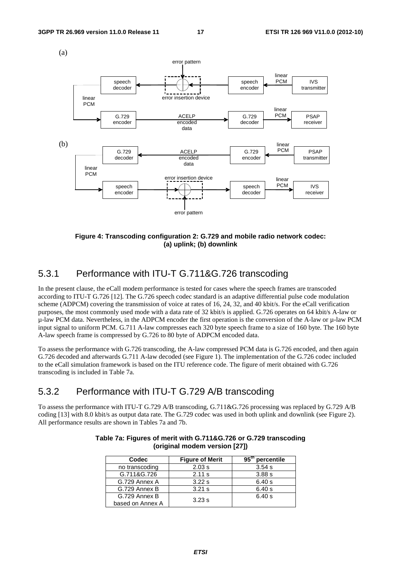

**Figure 4: Transcoding configuration 2: G.729 and mobile radio network codec: (a) uplink; (b) downlink** 

### 5.3.1 Performance with ITU-T G.711&G.726 transcoding

In the present clause, the eCall modem performance is tested for cases where the speech frames are transcoded according to ITU-T G.726 [12]. The G.726 speech codec standard is an adaptive differential pulse code modulation scheme (ADPCM) covering the transmission of voice at rates of 16, 24, 32, and 40 kbit/s. For the eCall verification purposes, the most commonly used mode with a data rate of 32 kbit/s is applied. G.726 operates on 64 kbit/s A-law or µ-law PCM data. Nevertheless, in the ADPCM encoder the first operation is the conversion of the A-law or µ-law PCM input signal to uniform PCM. G.711 A-law compresses each 320 byte speech frame to a size of 160 byte. The 160 byte A-law speech frame is compressed by G.726 to 80 byte of ADPCM encoded data.

To assess the performance with G.726 transcoding, the A-law compressed PCM data is G.726 encoded, and then again G.726 decoded and afterwards G.711 A-law decoded (see Figure 1). The implementation of the G.726 codec included to the eCall simulation framework is based on the ITU reference code. The figure of merit obtained with G.726 transcoding is included in Table 7a.

### 5.3.2 Performance with ITU-T G.729 A/B transcoding

To assess the performance with ITU-T G.729 A/B transcoding, G.711&G.726 processing was replaced by G.729 A/B coding [13] with 8.0 kbit/s as output data rate. The G.729 codec was used in both uplink and downlink (see Figure 2). All performance results are shown in Tables 7a and 7b.

| Codec            | <b>Figure of Merit</b> | 95 <sup>th</sup> percentile |
|------------------|------------------------|-----------------------------|
| no transcoding   | 2.03 s                 | 3.54 s                      |
| G.711&G.726      | 2.11 s                 | 3.88s                       |
| G.729 Annex A    | 3.22s                  | 6.40 s                      |
| G.729 Annex B    | 3.21 s                 | 6.40 s                      |
| G.729 Annex B    | 3.23 s                 | 6.40 s                      |
| based on Annex A |                        |                             |

| Table 7a: Figures of merit with G.711&G.726 or G.729 transcoding |
|------------------------------------------------------------------|
| (original modem version [27])                                    |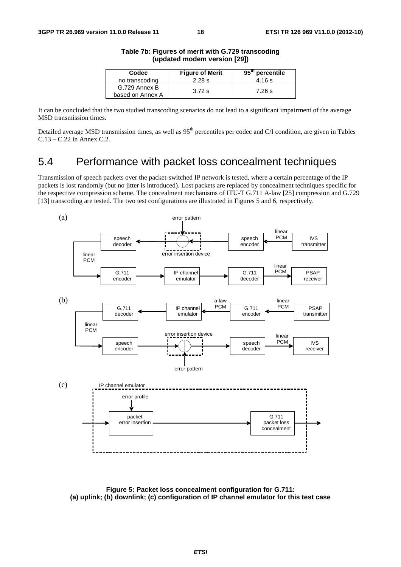| Codec                             | <b>Figure of Merit</b> | 95 <sup>th</sup> percentile |
|-----------------------------------|------------------------|-----------------------------|
| no transcoding                    | 2.28 s                 | 4.16 s                      |
| G.729 Annex B<br>based on Annex A | 3.72 s                 | 7.26 s                      |

#### **Table 7b: Figures of merit with G.729 transcoding (updated modem version [29])**

It can be concluded that the two studied transcoding scenarios do not lead to a significant impairment of the average MSD transmission times.

Detailed average MSD transmission times, as well as 95<sup>th</sup> percentiles per codec and C/I condition, are given in Tables C.13 – C.22 in Annex C.2.

## 5.4 Performance with packet loss concealment techniques

Transmission of speech packets over the packet-switched IP network is tested, where a certain percentage of the IP packets is lost randomly (but no jitter is introduced). Lost packets are replaced by concealment techniques specific for the respective compression scheme. The concealment mechanisms of ITU-T G.711 A-law [25] compression and G.729 [13] transcoding are tested. The two test configurations are illustrated in Figures 5 and 6, respectively.



**Figure 5: Packet loss concealment configuration for G.711: (a) uplink; (b) downlink; (c) configuration of IP channel emulator for this test case**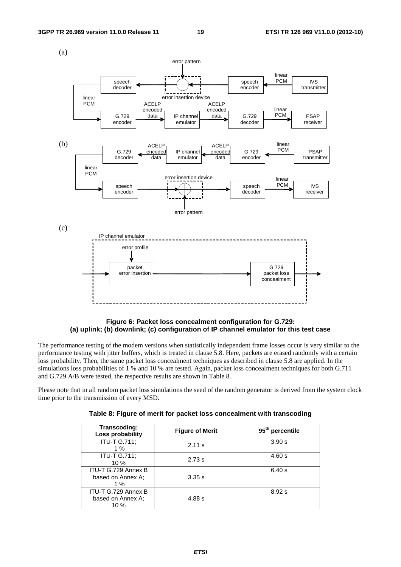

### **Figure 6: Packet loss concealment configuration for G.729: (a) uplink; (b) downlink; (c) configuration of IP channel emulator for this test case**

The performance testing of the modem versions when statistically independent frame losses occur is very similar to the performance testing with jitter buffers, which is treated in clause 5.8. Here, packets are erased randomly with a certain loss probability. Then, the same packet loss concealment techniques as described in clause 5.8 are applied. In the simulations loss probabilities of 1 % and 10 % are tested. Again, packet loss concealment techniques for both G.711 and G.729 A/B were tested, the respective results are shown in Table 8.

Please note that in all random packet loss simulations the seed of the random generator is derived from the system clock time prior to the transmission of every MSD.

| Transcoding;<br>Loss probability                    | <b>Figure of Merit</b> | 95 <sup>th</sup> percentile |
|-----------------------------------------------------|------------------------|-----------------------------|
| <b>ITU-T G.711;</b><br>1%                           | 2.11 s                 | 3.90 s                      |
| <b>ITU-T G.711:</b><br>$10 \%$                      | 2.73 s                 | 4.60 s                      |
| ITU-T G.729 Annex B<br>based on Annex A;<br>1%      | 3.35 s                 | 6.40 s                      |
| ITU-T G.729 Annex B<br>based on Annex A:<br>$10 \%$ | 4.88 s                 | 8.92 s                      |

| Table 8: Figure of merit for packet loss concealment with transcoding |
|-----------------------------------------------------------------------|
|-----------------------------------------------------------------------|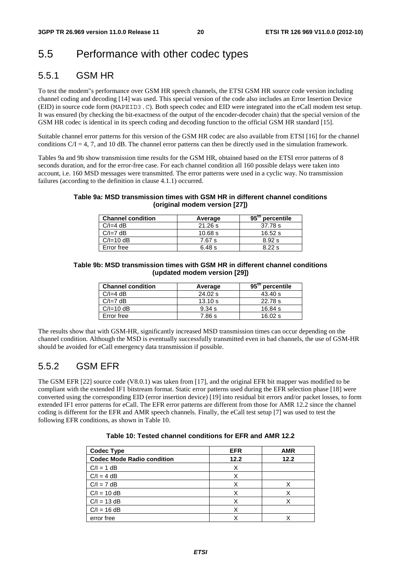## 5.5 Performance with other codec types

## 5.5.1 GSM HR

To test the modem"s performance over GSM HR speech channels, the ETSI GSM HR source code version including channel coding and decoding [14] was used. This special version of the code also includes an Error Insertion Device (EID) in source code form (MAPEID3.C). Both speech codec and EID were integrated into the eCall modem test setup. It was ensured (by checking the bit-exactness of the output of the encoder-decoder chain) that the special version of the GSM HR codec is identical in its speech coding and decoding function to the official GSM HR standard [15].

Suitable channel error patterns for this version of the GSM HR codec are also available from ETSI [16] for the channel conditions  $C/I = 4$ , 7, and 10 dB. The channel error patterns can then be directly used in the simulation framework.

Tables 9a and 9b show transmission time results for the GSM HR, obtained based on the ETSI error patterns of 8 seconds duration, and for the error-free case. For each channel condition all 160 possible delays were taken into account, i.e. 160 MSD messages were transmitted. The error patterns were used in a cyclic way. No transmission failures (according to the definition in clause 4.1.1) occurred.

### **Table 9a: MSD transmission times with GSM HR in different channel conditions (original modem version [27])**

| <b>Channel condition</b> | Average | $95^{\mathrm{m}}$<br>percentile |
|--------------------------|---------|---------------------------------|
| $C/I=4 dB$               | 21.26 s | 37.78 s                         |
| $C/I=7 dB$               | 10.68 s | 16.52 s                         |
| $C/I = 10 dB$            | 7.67 s  | 8.92 s                          |
| Error free               | 6.48s   | 8.22 s                          |

### **Table 9b: MSD transmission times with GSM HR in different channel conditions (updated modem version [29])**

| <b>Channel condition</b> | Average | $95^{\mathrm{m}}$<br>percentile |
|--------------------------|---------|---------------------------------|
| $C/I=4 dB$               | 24.02 s | 43.40 s                         |
| $C/I=7 dB$               | 13.10 s | 22.78 s                         |
| $C/I = 10 dB$            | 9.34 s  | 16.84 s                         |
| Error free               | 7.86 s  | 16.02 s                         |

The results show that with GSM-HR, significantly increased MSD transmission times can occur depending on the channel condition. Although the MSD is eventually successfully transmitted even in bad channels, the use of GSM-HR should be avoided for eCall emergency data transmission if possible.

## 5.5.2 GSM EFR

The GSM EFR [22] source code (V8.0.1) was taken from [17], and the original EFR bit mapper was modified to be compliant with the extended IF1 bitstream format. Static error patterns used during the EFR selection phase [18] were converted using the corresponding EID (error insertion device) [19] into residual bit errors and/or packet losses, to form extended IF1 error patterns for eCall. The EFR error patterns are different from those for AMR 12.2 since the channel coding is different for the EFR and AMR speech channels. Finally, the eCall test setup [7] was used to test the following EFR conditions, as shown in Table 10.

| Table 10: Tested channel conditions for EFR and AMR 12.2 |  |  |
|----------------------------------------------------------|--|--|
|----------------------------------------------------------|--|--|

| <b>Codec Type</b>                 | <b>EFR</b> | <b>AMR</b> |
|-----------------------------------|------------|------------|
| <b>Codec Mode Radio condition</b> | 12.2       | 12.2       |
| $C/I = 1 dB$                      |            |            |
| $C/I = 4 dB$                      |            |            |
| $C/I = 7 dB$                      |            |            |
| $C/I = 10 dB$                     |            |            |
| $C/I = 13 dB$                     |            | X          |
| $C/I = 16 dB$                     |            |            |
| error free                        |            |            |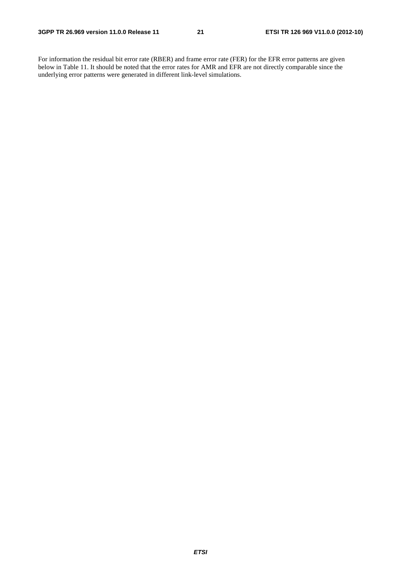For information the residual bit error rate (RBER) and frame error rate (FER) for the EFR error patterns are given below in Table 11. It should be noted that the error rates for AMR and EFR are not directly comparable since the underlying error patterns were generated in different link-level simulations.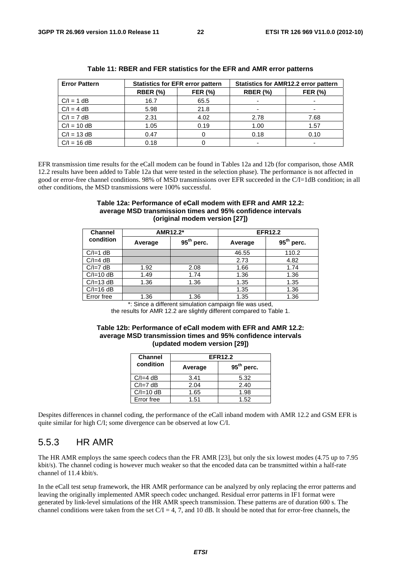| <b>Error Pattern</b> | <b>Statistics for EFR error pattern</b> |                |                 | <b>Statistics for AMR12.2 error pattern</b> |
|----------------------|-----------------------------------------|----------------|-----------------|---------------------------------------------|
|                      | <b>RBER (%)</b>                         | <b>FER (%)</b> | <b>RBER (%)</b> | <b>FER (%)</b>                              |
| $C/I = 1 dB$         | 16.7                                    | 65.5           |                 |                                             |
| $C/I = 4 dB$         | 5.98                                    | 21.8           |                 |                                             |
| $C/I = 7 dB$         | 2.31                                    | 4.02           | 2.78            | 7.68                                        |
| $C/I = 10 dB$        | 1.05                                    | 0.19           | 1.00            | 1.57                                        |
| $C/I = 13 dB$        | 0.47                                    |                | 0.18            | 0.10                                        |
| $C/I = 16 dB$        | 0.18                                    |                |                 |                                             |

#### **Table 11: RBER and FER statistics for the EFR and AMR error patterns**

EFR transmission time results for the eCall modem can be found in Tables 12a and 12b (for comparison, those AMR 12.2 results have been added to Table 12a that were tested in the selection phase). The performance is not affected in good or error-free channel conditions. 98% of MSD transmissions over EFR succeeded in the C/I=1dB condition; in all other conditions, the MSD transmissions were 100% successful.

### **Table 12a: Performance of eCall modem with EFR and AMR 12.2: average MSD transmission times and 95% confidence intervals (original modem version [27])**

| <b>Channel</b> | AMR12.2* |              |         | <b>EFR12.2</b> |
|----------------|----------|--------------|---------|----------------|
| condition      | Average  | $95th$ perc. | Average | $95th$ perc.   |
| $C/I=1$ dB     |          |              | 46.55   | 110.2          |
| $C/I=4 dB$     |          |              | 2.73    | 4.82           |
| $C/I=7 dB$     | 1.92     | 2.08         | 1.66    | 1.74           |
| $C/I = 10 dB$  | 1.49     | 1.74         | 1.36    | 1.36           |
| $C/I = 13 dB$  | 1.36     | 1.36         | 1.35    | 1.35           |
| $C/I = 16 dB$  |          |              | 1.35    | 1.36           |
| Error free     | 1.36     | 1.36         | 1.35    | 1.36           |

\*: Since a different simulation campaign file was used,

the results for AMR 12.2 are slightly different compared to Table 1.

#### **Table 12b: Performance of eCall modem with EFR and AMR 12.2: average MSD transmission times and 95% confidence intervals (updated modem version [29])**

| <b>Channel</b> | <b>EFR12.2</b> |              |  |
|----------------|----------------|--------------|--|
| condition      | Average        | $95th$ perc. |  |
| $C/I=4 dB$     | 3.41           | 5.32         |  |
| $C/I=7 dB$     | 2.04           | 2.40         |  |
| $C/I = 10$ dB  | 1.65           | 1.98         |  |
| Error free     | 1.51           | 1.52         |  |

Despites differences in channel coding, the performance of the eCall inband modem with AMR 12.2 and GSM EFR is quite similar for high C/I; some divergence can be observed at low C/I.

### 5.5.3 HR AMR

The HR AMR employs the same speech codecs than the FR AMR [23], but only the six lowest modes (4.75 up to 7.95 kbit/s). The channel coding is however much weaker so that the encoded data can be transmitted within a half-rate channel of 11.4 kbit/s.

In the eCall test setup framework, the HR AMR performance can be analyzed by only replacing the error patterns and leaving the originally implemented AMR speech codec unchanged. Residual error patterns in IF1 format were generated by link-level simulations of the HR AMR speech transmission. These patterns are of duration 600 s. The channel conditions were taken from the set  $C/I = 4, 7$ , and 10 dB. It should be noted that for error-free channels, the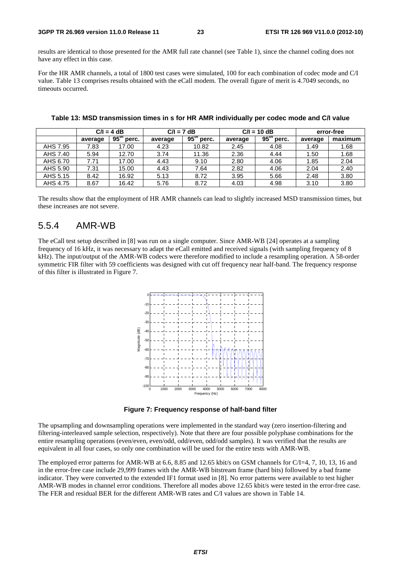results are identical to those presented for the AMR full rate channel (see Table 1), since the channel coding does not have any effect in this case.

For the HR AMR channels, a total of 1800 test cases were simulated, 100 for each combination of codec mode and C/I value. Table 13 comprises results obtained with the eCall modem. The overall figure of merit is 4.7049 seconds, no timeouts occurred.

|          | $C/I = 4 dB$ |                           | $C/I = 7 dB$ |              |         | $C/I = 10 dB$             | error-free |         |
|----------|--------------|---------------------------|--------------|--------------|---------|---------------------------|------------|---------|
|          | average      | 95 <sup>th</sup><br>perc. | average      | $95th$ perc. | average | 95 <sup>th</sup><br>perc. | average    | maximum |
| AHS 7.95 | 7.83         | 17.00                     | 4.23         | 10.82        | 2.45    | 4.08                      | 1.49       | 1.68    |
| AHS 7.40 | 5.94         | 12.70                     | 3.74         | 11.36        | 2.36    | 4.44                      | 1.50       | 1.68    |
| AHS 6.70 | 7.71         | 17.00                     | 4.43         | 9.10         | 2.80    | 4.06                      | 1.85       | 2.04    |
| AHS 5.90 | 7.31         | 15.00                     | 4.43         | 7.64         | 2.82    | 4.06                      | 2.04       | 2.40    |
| AHS 5.15 | 8.42         | 16.92                     | 5.13         | 8.72         | 3.95    | 5.66                      | 2.48       | 3.80    |
| AHS 4.75 | 8.67         | 16.42                     | 5.76         | 8.72         | 4.03    | 4.98                      | 3.10       | 3.80    |

**Table 13: MSD transmission times in s for HR AMR individually per codec mode and C/I value** 

The results show that the employment of HR AMR channels can lead to slightly increased MSD transmission times, but these increases are not severe.

### 5.5.4 AMR-WB

The eCall test setup described in [8] was run on a single computer. Since AMR-WB [24] operates at a sampling frequency of 16 kHz, it was necessary to adapt the eCall emitted and received signals (with sampling frequency of 8 kHz). The input/output of the AMR-WB codecs were therefore modified to include a resampling operation. A 58-order symmetric FIR filter with 59 coefficients was designed with cut off frequency near half-band. The frequency response of this filter is illustrated in Figure 7.



**Figure 7: Frequency response of half-band filter** 

The upsampling and downsampling operations were implemented in the standard way (zero insertion-filtering and filtering-interleaved sample selection, respectively). Note that there are four possible polyphase combinations for the entire resampling operations (even/even, even/odd, odd/even, odd/odd samples). It was verified that the results are equivalent in all four cases, so only one combination will be used for the entire tests with AMR-WB.

The employed error patterns for AMR-WB at 6.6, 8.85 and 12.65 kbit/s on GSM channels for C/I=4, 7, 10, 13, 16 and in the error-free case include 29,999 frames with the AMR-WB bitstream frame (hard bits) followed by a bad frame indicator. They were converted to the extended IF1 format used in [8]. No error patterns were available to test higher AMR-WB modes in channel error conditions. Therefore all modes above 12.65 kbit/s were tested in the error-free case. The FER and residual BER for the different AMR-WB rates and C/I values are shown in Table 14.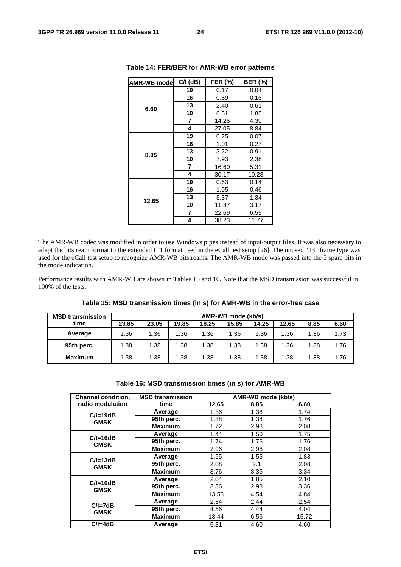| <b>AMR-WB mode</b> | $C/I$ (dB) | <b>FER (%)</b> | <b>BER (%)</b> |
|--------------------|------------|----------------|----------------|
|                    | 19         | 0.17           | 0.04           |
|                    | 16         | 0.69           | 0.16           |
| 6.60               | 13         | 2.40           | 0.61           |
|                    | 10         | 6.51           | 1.85           |
|                    | 7          | 14.26          | 4.39           |
|                    | 4          | 27.05          | 8.84           |
|                    | 19         | 0.25           | 0.07           |
|                    | 16         | 1.01           | 0.27           |
| 8.85               | 13         | 3.22           | 0.91           |
|                    | 10         | 7.93           | 2.38           |
|                    | 7          | 16.60          | 5.31           |
|                    | 4          | 30.17          | 10.23          |
|                    | 19         | 0.63           | 0.14           |
|                    | 16         | 1.95           | 0.46           |
| 12.65              | 13         | 5.37           | 1.34           |
|                    | 10         | 11.87          | 3.17           |
|                    | 7          | 22.69          | 6.55           |
|                    | 4          | 38.23          | 11.77          |

#### **Table 14: FER/BER for AMR-WB error patterns**

The AMR-WB codec was modified in order to use Windows pipes instead of input/output files. It was also necessary to adapt the bitstream format to the extended IF1 format used in the eCall test setup [26]. The unused "13" frame type was used for the eCall test setup to recognize AMR-WB bitstreams. The AMR-WB mode was passed into the 5 spare bits in the mode indication.

Performance results with AMR-WB are shown in Tables 15 and 16. Note that the MSD transmission was successful in 100% of the tests.

| <b>MSD transmission</b> | AMR-WB mode (kb/s) |       |       |       |       |       |       |      |      |  |
|-------------------------|--------------------|-------|-------|-------|-------|-------|-------|------|------|--|
| time                    | 23.85              | 23.05 | 19.85 | 18.25 | 15.85 | 14.25 | 12.65 | 8.85 | 6.60 |  |
| Average                 | 1.36               | 1.36  | 1.36  | 1.36  | 1.36  | 1.36  | 1.36  | 1.36 | 1.73 |  |
| 95th perc.              | 1.38               | 1.38  | 1.38  | 1.38  | 1.38  | 1.38  | 1.36  | 1.38 | 1.76 |  |
| <b>Maximum</b>          | 1.38               | 1.38  | 1.38  | 1.38  | 1.38  | 1.38  | 1.38  | 1.38 | 1.76 |  |

**Table 15: MSD transmission times (in s) for AMR-WB in the error-free case** 

| Table 16: MSD transmission times (in s) for AMR-WB |  |
|----------------------------------------------------|--|
|----------------------------------------------------|--|

| <b>Channel condition,</b>   | <b>MSD transmission</b> |       | AMR-WB mode (kb/s) |       |
|-----------------------------|-------------------------|-------|--------------------|-------|
| radio modulation            | time                    | 12.65 | 8.85               | 6.60  |
| $C/I = 19dB$                | Average                 | 1.36  | 1.38               | 1.74  |
| <b>GMSK</b>                 | 95th perc.              | 1.38  | 1.38               | 1.76  |
|                             | <b>Maximum</b>          | 1.72  | 2.98               | 2.08  |
|                             | Average                 | 1.44  | 1.50               | 1.75  |
| $C/I = 16dB$<br><b>GMSK</b> | 95th perc.              | 1.74  | 1.76               | 1.76  |
|                             | <b>Maximum</b>          | 2.96  | 2.98               | 2.08  |
|                             | Average                 | 1.55  | 1.55               | 1.83  |
| $C/I = 13dB$<br><b>GMSK</b> | 95th perc.              | 2.08  | 2.1                | 2.08  |
|                             | <b>Maximum</b>          | 3.76  | 3.36               | 3.34  |
| $C/I = 10dB$                | Average                 | 2.04  | 1.85               | 2.10  |
| <b>GMSK</b>                 | 95th perc.              | 3.36  | 2.98               | 3.36  |
|                             | <b>Maximum</b>          | 13.56 | 4.54               | 4.84  |
|                             | Average                 | 2.64  | 2.44               | 2.54  |
| $C/I = 7dB$<br><b>GMSK</b>  | 95th perc.              | 4.56  | 4.44               | 4.04  |
|                             | <b>Maximum</b>          | 13.44 | 6.56               | 15.72 |
| $C/I = 4dB$                 | Average                 | 5.31  | 4.60               | 4.60  |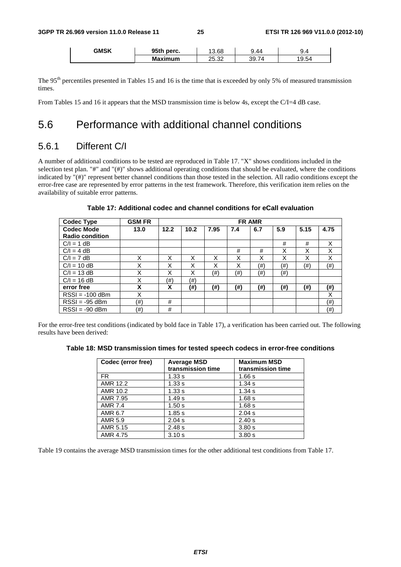| <b>GMSK</b> | 95th perc.     | 3.68  | 9.44<br>ч   | 9.4<br>. . |
|-------------|----------------|-------|-------------|------------|
|             | <b>Maximum</b> | 25.32 | 74<br>39.7، | 19.54      |

The 95<sup>th</sup> percentiles presented in Tables 15 and 16 is the time that is exceeded by only 5% of measured transmission times.

From Tables 15 and 16 it appears that the MSD transmission time is below 4s, except the C/I=4 dB case.

## 5.6 Performance with additional channel conditions

### 5.6.1 Different C/I

A number of additional conditions to be tested are reproduced in Table 17. "X" shows conditions included in the selection test plan. "#" and "(#)" shows additional operating conditions that should be evaluated, where the conditions indicated by "(#)" represent better channel conditions than those tested in the selection. All radio conditions except the error-free case are represented by error patterns in the test framework. Therefore, this verification item relies on the availability of suitable error patterns.

| Codec Type             | <b>GSM FR</b> |      | <b>FR AMR</b> |      |     |            |        |      |      |  |  |
|------------------------|---------------|------|---------------|------|-----|------------|--------|------|------|--|--|
| <b>Codec Mode</b>      | 13.0          | 12.2 | 10.2          | 7.95 | 7.4 | 6.7        | 5.9    | 5.15 | 4.75 |  |  |
| <b>Radio condition</b> |               |      |               |      |     |            |        |      |      |  |  |
| $C/I = 1 dB$           |               |      |               |      |     |            | #      | #    | X    |  |  |
| $C/I = 4 dB$           |               |      |               |      | #   | #          | X      | X    | X    |  |  |
| $C/I = 7 dB$           | X             | X    | X             | X    | Χ   | X          | X      | X    | X    |  |  |
| $C/I = 10 dB$          | X             | X    | X             | X    | Χ   | $(\#)$     | (#)    | (#)  | (#)  |  |  |
| $C/I = 13 dB$          | X             | X    | X             | (#)  | (#) | $^{( \#)}$ | $(\#)$ |      |      |  |  |
| $C/I = 16 dB$          | X             | (#)  | (#)           |      |     |            |        |      |      |  |  |
| error free             | X             | X    | (#)           | (#)  | (#) | (# )       | (#)    | (# ) | (#)  |  |  |
| $RSSI = -100$ dBm      | X             |      |               |      |     |            |        |      | X    |  |  |
| $RSSI = -95$ dBm       | (#)           | #    |               |      |     |            |        |      | (#)  |  |  |
| $RSSI = -90$ dBm       | (#)           | #    |               |      |     |            |        |      | (#)  |  |  |

**Table 17: Additional codec and channel conditions for eCall evaluation** 

For the error-free test conditions (indicated by bold face in Table 17), a verification has been carried out. The following results have been derived:

| Codec (error free) | <b>Average MSD</b><br>transmission time | <b>Maximum MSD</b><br>transmission time |
|--------------------|-----------------------------------------|-----------------------------------------|
| <b>FR</b>          | 1.33s                                   | 1.66 s                                  |
| AMR 12.2           | 1.33 s                                  | 1.34 s                                  |
| AMR 10.2           | 1.33 s                                  | 1.34 s                                  |
| AMR 7.95           | 1.49 s                                  | 1.68 s                                  |
| AMR 7.4            | 1.50 s                                  | 1.68 s                                  |
| AMR 6.7            | 1.85s                                   | 2.04 s                                  |
| AMR 5.9            | 2.04 s                                  | 2.40 s                                  |
| AMR 5.15           | 2.48 s                                  | 3.80 s                                  |
| AMR 4.75           | 3.10 s                                  | 3.80s                                   |

Table 19 contains the average MSD transmission times for the other additional test conditions from Table 17.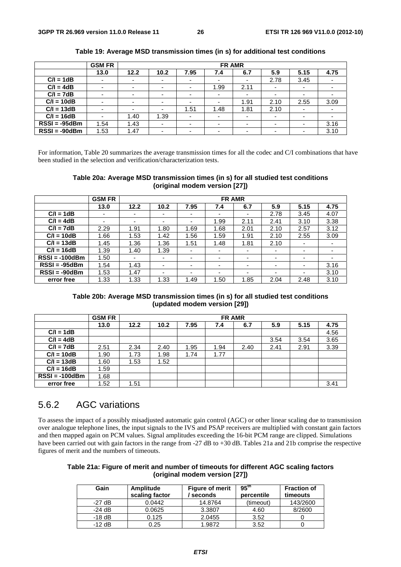|                 | <b>GSM FR</b>            |                          | <b>FR AMR</b>            |                          |      |        |                          |                          |      |  |  |
|-----------------|--------------------------|--------------------------|--------------------------|--------------------------|------|--------|--------------------------|--------------------------|------|--|--|
|                 | 13.0                     | 12.2                     | 10.2                     | 7.95                     | 7.4  | 6.7    | 5.9                      | 5.15                     | 4.75 |  |  |
| $C/I = 1dB$     |                          | $\overline{\phantom{0}}$ | $\overline{\phantom{0}}$ | -                        |      |        | 2.78                     | 3.45                     |      |  |  |
| $C/I = 4dB$     |                          | $\overline{\phantom{0}}$ | ٠                        | $\overline{\phantom{0}}$ | 1.99 | 2.11   | ۰                        | $\overline{\phantom{a}}$ |      |  |  |
| $C/I = 7dB$     |                          | $\overline{\phantom{0}}$ | $\overline{\phantom{0}}$ |                          |      |        | $\overline{\phantom{0}}$ |                          |      |  |  |
| $C/I = 10dB$    |                          | $\overline{\phantom{0}}$ | $\overline{\phantom{0}}$ | -                        |      | 1.91   | 2.10                     | 2.55                     | 3.09 |  |  |
| $C/I = 13dB$    |                          | $\overline{\phantom{0}}$ | ۰                        | 1.51                     | 1.48 | 1.81   | 2.10                     | $\overline{\phantom{0}}$ |      |  |  |
| $C/I = 16dB$    | $\overline{\phantom{0}}$ | 1.40                     | 1.39                     | $\overline{\phantom{0}}$ |      |        | ۰                        | $\overline{\phantom{0}}$ |      |  |  |
| $RSSI = -95dBm$ | 1.54                     | 1.43                     | ۰                        |                          |      | $\sim$ | $\overline{\phantom{0}}$ |                          | 3.16 |  |  |
| $RSSI = -90dBm$ | 1.53                     | 1.47                     | $\overline{\phantom{0}}$ |                          |      |        | $\overline{\phantom{0}}$ | $\overline{\phantom{0}}$ | 3.10 |  |  |

**Table 19: Average MSD transmission times (in s) for additional test conditions** 

For information, Table 20 summarizes the average transmission times for all the codec and C/I combinations that have been studied in the selection and verification/characterization tests.

#### **Table 20a: Average MSD transmission times (in s) for all studied test conditions (original modem version [27])**

|                  | <b>GSM FR</b>            |      | <b>FR AMR</b> |                          |      |      |                          |                          |                          |  |
|------------------|--------------------------|------|---------------|--------------------------|------|------|--------------------------|--------------------------|--------------------------|--|
|                  | 13.0                     | 12.2 | 10.2          | 7.95                     | 7.4  | 6.7  | 5.9                      | 5.15                     | 4.75                     |  |
| $C/I = 1dB$      |                          | -    |               | -                        | ۰    | -    | 2.78                     | 3.45                     | 4.07                     |  |
| $C/I = 4dB$      | $\overline{\phantom{0}}$ | ۰    |               | -                        | 1.99 | 2.11 | 2.41                     | 3.10                     | 3.38                     |  |
| $C/I = 7dB$      | 2.29                     | 1.91 | 1.80          | 1.69                     | 1.68 | 2.01 | 2.10                     | 2.57                     | 3.12                     |  |
| $C/I = 10dB$     | 1.66                     | 1.53 | 1.42          | 1.56                     | 1.59 | 1.91 | 2.10                     | 2.55                     | 3.09                     |  |
| $C/I = 13dB$     | 1.45                     | 1.36 | 1.36          | 1.51                     | 1.48 | 1.81 | 2.10                     | $\overline{\phantom{a}}$ | $\overline{\phantom{0}}$ |  |
| $C/I = 16dB$     | 1.39                     | 1.40 | 1.39          | $\overline{\phantom{0}}$ | ٠    | -    |                          | ۰                        | $\overline{\phantom{0}}$ |  |
| $RSSI = -100dBm$ | 1.50                     | ۰    |               | -                        | ۰    | -    | $\overline{\phantom{0}}$ | $\overline{\phantom{0}}$ | $\overline{\phantom{0}}$ |  |
| $RSSI = -95dBm$  | 1.54                     | 1.43 |               | $\overline{\phantom{0}}$ | ۰    |      | $\overline{\phantom{0}}$ | ٠                        | 3.16                     |  |
| $RSSI = -90dBm$  | 1.53                     | 1.47 |               | -                        | ۰    | -    | $\overline{\phantom{0}}$ | ٠                        | 3.10                     |  |
| error free       | 1.33                     | 1.33 | 1.33          | 1.49                     | 1.50 | 1.85 | 2.04                     | 2.48                     | 3.10                     |  |

**Table 20b: Average MSD transmission times (in s) for all studied test conditions (updated modem version [29])** 

|                  | <b>GSM FR</b> |      | <b>FR AMR</b> |      |      |      |      |      |      |
|------------------|---------------|------|---------------|------|------|------|------|------|------|
|                  | 13.0          | 12.2 | 10.2          | 7.95 | 7.4  | 6.7  | 5.9  | 5.15 | 4.75 |
| $C/I = 1dB$      |               |      |               |      |      |      |      |      | 4.56 |
| $C/I = 4dB$      |               |      |               |      |      |      | 3.54 | 3.54 | 3.65 |
| $C/I = 7dB$      | 2.51          | 2.34 | 2.40          | 1.95 | 1.94 | 2.40 | 2.41 | 2.91 | 3.39 |
| $C/I = 10dB$     | 1.90          | 1.73 | 1.98          | 1.74 | 1.77 |      |      |      |      |
| $C/I = 13dB$     | 1.60          | 1.53 | 1.52          |      |      |      |      |      |      |
| $C/I = 16dB$     | 1.59          |      |               |      |      |      |      |      |      |
| $RSSI = -100dBm$ | 1.68          |      |               |      |      |      |      |      |      |
| error free       | 1.52          | 1.51 |               |      |      |      |      |      | 3.41 |

## 5.6.2 AGC variations

To assess the impact of a possibly misadjusted automatic gain control (AGC) or other linear scaling due to transmission over analogue telephone lines, the input signals to the IVS and PSAP receivers are multiplied with constant gain factors and then mapped again on PCM values. Signal amplitudes exceeding the 16-bit PCM range are clipped. Simulations have been carried out with gain factors in the range from -27 dB to +30 dB. Tables 21a and 21b comprise the respective figures of merit and the numbers of timeouts.

### **Table 21a: Figure of merit and number of timeouts for different AGC scaling factors (original modem version [27])**

| Gain     | Amplitude<br>scaling factor | <b>Figure of merit</b><br>seconds | 95 <sup>th</sup><br>percentile | <b>Fraction of</b><br>timeouts |
|----------|-----------------------------|-----------------------------------|--------------------------------|--------------------------------|
| $-27$ dB | 0.0442                      | 14.8764                           | (timeout)                      | 143/2600                       |
| $-24$ dB | 0.0625                      | 3.3807                            | 4.60                           | 8/2600                         |
| $-18$ dB | 0.125                       | 2.0455                            | 3.52                           |                                |
| $-12$ dB | 0.25                        | 1.9872                            | 3.52                           |                                |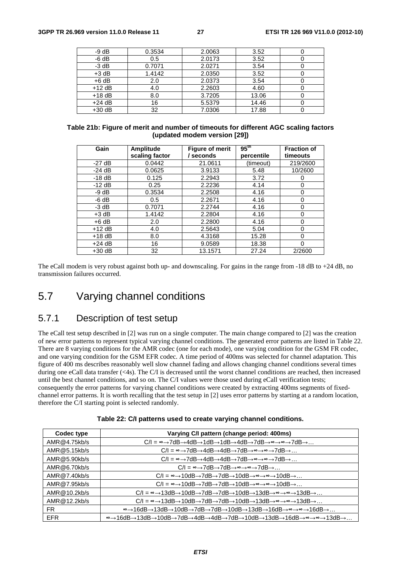| $-9 dB$  | 0.3534 | 2.0063 | 3.52  |  |
|----------|--------|--------|-------|--|
| $-6 dB$  | 0.5    | 2.0173 | 3.52  |  |
| $-3$ dB  | 0.7071 | 2.0271 | 3.54  |  |
| $+3$ dB  | 1.4142 | 2.0350 | 3.52  |  |
| $+6$ dB  | 2.0    | 2.0373 | 3.54  |  |
| $+12$ dB | 4.0    | 2.2603 | 4.60  |  |
| $+18$ dB | 8.0    | 3.7205 | 13.06 |  |
| $+24$ dB | 16     | 5.5379 | 14.46 |  |
| $+30$ dB | 32     | 7.0306 | 17.88 |  |

#### **Table 21b: Figure of merit and number of timeouts for different AGC scaling factors (updated modem version [29])**

| Gain     | Amplitude      | <b>Figure of merit</b> | 95 <sup>th</sup> | <b>Fraction of</b> |
|----------|----------------|------------------------|------------------|--------------------|
|          | scaling factor | seconds                | percentile       | timeouts           |
| $-27$ dB | 0.0442         | 21.0611                | (timeout)        | 219/2600           |
| $-24$ dB | 0.0625         | 3.9133                 | 5.48             | 10/2600            |
| $-18$ dB | 0.125          | 2.2943                 | 3.72             |                    |
| $-12$ dB | 0.25           | 2.2236                 | 4.14             | 0                  |
| $-9 dB$  | 0.3534         | 2.2508                 | 4.16             | 0                  |
| $-6 dB$  | 0.5            | 2.2671                 | 4.16             | 0                  |
| $-3$ dB  | 0.7071         | 2.2744                 | 4.16             | 0                  |
| $+3$ dB  | 1.4142         | 2.2804                 | 4.16             | 0                  |
| $+6$ dB  | 2.0            | 2.2800                 | 4.16             | 0                  |
| $+12$ dB | 4.0            | 2.5643                 | 5.04             | 0                  |
| $+18$ dB | 8.0            | 4.3168                 | 15.28            | $\Omega$           |
| $+24$ dB | 16             | 9.0589                 | 18.38            | 0                  |
| $+30$ dB | 32             | 13.1571                | 27.24            | 2/2600             |

The eCall modem is very robust against both up- and downscaling. For gains in the range from -18 dB to +24 dB, no transmission failures occurred.

## 5.7 Varying channel conditions

### 5.7.1 Description of test setup

The eCall test setup described in [2] was run on a single computer. The main change compared to [2] was the creation of new error patterns to represent typical varying channel conditions. The generated error patterns are listed in Table 22. There are 8 varying conditions for the AMR codec (one for each mode), one varying condition for the GSM FR codec, and one varying condition for the GSM EFR codec. A time period of 400ms was selected for channel adaptation. This figure of 400 ms describes reasonably well slow channel fading and allows changing channel conditions several times during one eCall data transfer (<4s). The C/I is decreased until the worst channel conditions are reached, then increased until the best channel conditions, and so on. The C/I values were those used during eCall verification tests; consequently the error patterns for varying channel conditions were created by extracting 400ms segments of fixedchannel error patterns. It is worth recalling that the test setup in [2] uses error patterns by starting at a random location, therefore the C/I starting point is selected randomly.

| Codec type   | Varying C/I pattern (change period: 400ms)                                                                                                                                                                 |
|--------------|------------------------------------------------------------------------------------------------------------------------------------------------------------------------------------------------------------|
| AMR@4.75kb/s | $C/I = \infty \rightarrow 7$ dB $\rightarrow$ 4dB $\rightarrow$ 1dB $\rightarrow$ 1dB $\rightarrow$ 4dB $\rightarrow$ 7dB $\rightarrow \infty \rightarrow \infty$ $\rightarrow$ 7dB $\rightarrow \infty$ . |
| AMR@5.15kb/s | $C/I = \infty \rightarrow 7$ dB $\rightarrow 4$ dB $\rightarrow 4$ dB $\rightarrow 7$ dB $\rightarrow \infty \rightarrow \infty \rightarrow 7$ dB $\rightarrow \dots$                                      |
| AMR@5.90kb/s | $C/I = \infty \rightarrow 7$ dB $\rightarrow$ 4dB $\rightarrow$ 4dB $\rightarrow$ 7dB $\rightarrow \infty \rightarrow \infty$ $\rightarrow$ 7dB $\rightarrow \dots$                                        |
| AMR@6.70kb/s | $C/I = \infty \rightarrow 7dB \rightarrow 7dB \rightarrow \infty \rightarrow 7dB \rightarrow \dots$                                                                                                        |
| AMR@7.40kb/s | $C/I = \infty \rightarrow 10dB \rightarrow 7dB \rightarrow 7dB \rightarrow 10dB \rightarrow \infty \rightarrow \infty \rightarrow 10dB \rightarrow \dots$                                                  |
| AMR@7.95kb/s | $C/I = \infty \rightarrow 10dB \rightarrow 7dB \rightarrow 7dB \rightarrow 10dB \rightarrow \infty \rightarrow \infty \rightarrow 10dB \rightarrow \dots$                                                  |
| AMR@10.2kb/s | $C/I = \infty \rightarrow 13dB \rightarrow 10dB \rightarrow 7dB \rightarrow 7dB \rightarrow 10dB \rightarrow 13dB \rightarrow \infty \rightarrow 13dB \rightarrow \dots$                                   |
| AMR@12.2kb/s | $C/I = \infty \rightarrow 13dB \rightarrow 10dB \rightarrow 7dB \rightarrow 7dB \rightarrow 10dB \rightarrow 13dB \rightarrow \infty \rightarrow 13dB \rightarrow \dots$                                   |
| FR.          | $\approx$ →16dB→13dB→10dB→7dB→7dB→10dB→13dB→16dB→ $\approx$ → $\approx$ →16dB→                                                                                                                             |
| <b>EFR</b>   | ∞→16dB→13dB→10dB→7dB→4dB→4dB→7dB→10dB→13dB→16dB→∝→∝→≈→13dB→…                                                                                                                                               |
|              |                                                                                                                                                                                                            |

| Table 22: C/I patterns used to create varying channel conditions. |  |  |  |  |  |  |
|-------------------------------------------------------------------|--|--|--|--|--|--|
|-------------------------------------------------------------------|--|--|--|--|--|--|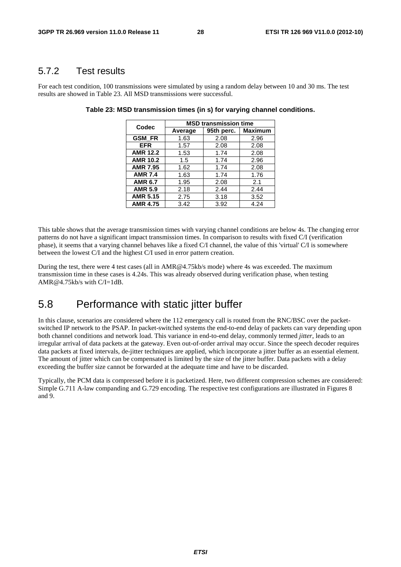### 5.7.2 Test results

For each test condition, 100 transmissions were simulated by using a random delay between 10 and 30 ms. The test results are showed in Table 23. All MSD transmissions were successful.

| Codec           | <b>MSD transmission time</b> |            |                |  |  |  |  |
|-----------------|------------------------------|------------|----------------|--|--|--|--|
|                 | Average                      | 95th perc. | <b>Maximum</b> |  |  |  |  |
| <b>GSM FR</b>   | 1.63                         | 2.08       | 2.96           |  |  |  |  |
| <b>EFR</b>      | 1.57                         | 2.08       | 2.08           |  |  |  |  |
| <b>AMR 12.2</b> | 1.53                         | 1.74       | 2.08           |  |  |  |  |
| <b>AMR 10.2</b> | 1.5                          | 1.74       | 2.96           |  |  |  |  |
| <b>AMR 7.95</b> | 1.62                         | 1.74       | 2.08           |  |  |  |  |
| <b>AMR 7.4</b>  | 1.63                         | 1.74       | 1.76           |  |  |  |  |
| <b>AMR 6.7</b>  | 1.95                         | 2.08       | 2.1            |  |  |  |  |
| <b>AMR 5.9</b>  | 2.18                         | 2.44       | 2.44           |  |  |  |  |
| <b>AMR 5.15</b> | 2.75                         | 3.18       | 3.52           |  |  |  |  |
| <b>AMR 4.75</b> | 3.42                         | 3.92       | 4.24           |  |  |  |  |

**Table 23: MSD transmission times (in s) for varying channel conditions.** 

This table shows that the average transmission times with varying channel conditions are below 4s. The changing error patterns do not have a significant impact transmission times. In comparison to results with fixed C/I (verification phase), it seems that a varying channel behaves like a fixed C/I channel, the value of this 'virtual' C/I is somewhere between the lowest C/I and the highest C/I used in error pattern creation.

During the test, there were 4 test cases (all in AMR@4.75kb/s mode) where 4s was exceeded. The maximum transmission time in these cases is 4.24s. This was already observed during verification phase, when testing AMR@4.75kb/s with  $C/I = 1dB$ .

## 5.8 Performance with static jitter buffer

In this clause, scenarios are considered where the 112 emergency call is routed from the RNC/BSC over the packetswitched IP network to the PSAP. In packet-switched systems the end-to-end delay of packets can vary depending upon both channel conditions and network load. This variance in end-to-end delay, commonly termed *jitter*, leads to an irregular arrival of data packets at the gateway. Even out-of-order arrival may occur. Since the speech decoder requires data packets at fixed intervals, de-jitter techniques are applied, which incorporate a jitter buffer as an essential element. The amount of jitter which can be compensated is limited by the size of the jitter buffer. Data packets with a delay exceeding the buffer size cannot be forwarded at the adequate time and have to be discarded.

Typically, the PCM data is compressed before it is packetized. Here, two different compression schemes are considered: Simple G.711 A-law companding and G.729 encoding. The respective test configurations are illustrated in Figures 8 and 9.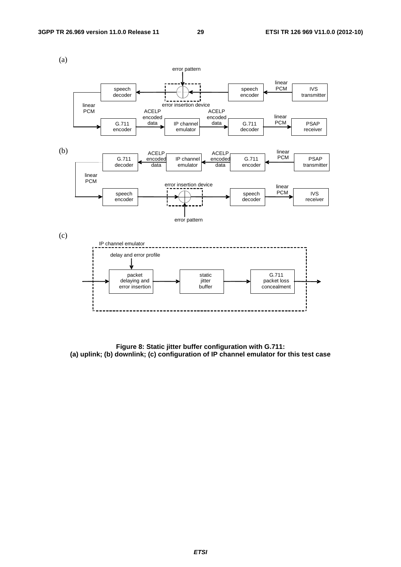

**Figure 8: Static jitter buffer configuration with G.711: (a) uplink; (b) downlink; (c) configuration of IP channel emulator for this test case**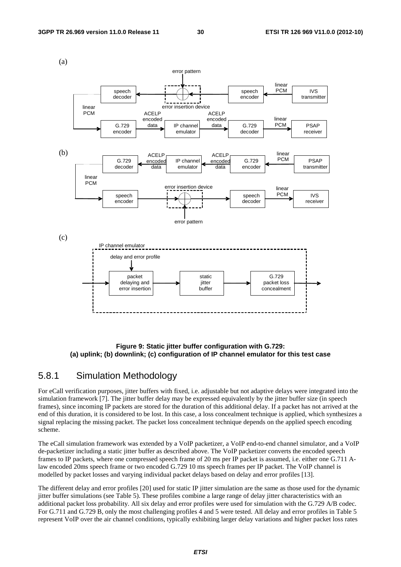

#### **Figure 9: Static jitter buffer configuration with G.729: (a) uplink; (b) downlink; (c) configuration of IP channel emulator for this test case**

### 5.8.1 Simulation Methodology

For eCall verification purposes, jitter buffers with fixed, i.e. adjustable but not adaptive delays were integrated into the simulation framework [7]. The jitter buffer delay may be expressed equivalently by the jitter buffer size (in speech frames), since incoming IP packets are stored for the duration of this additional delay. If a packet has not arrived at the end of this duration, it is considered to be lost. In this case, a loss concealment technique is applied, which synthesizes a signal replacing the missing packet. The packet loss concealment technique depends on the applied speech encoding scheme.

The eCall simulation framework was extended by a VoIP packetizer, a VoIP end-to-end channel simulator, and a VoIP de-packetizer including a static jitter buffer as described above. The VoIP packetizer converts the encoded speech frames to IP packets, where one compressed speech frame of 20 ms per IP packet is assumed, i.e. either one G.711 Alaw encoded 20ms speech frame or two encoded G.729 10 ms speech frames per IP packet. The VoIP channel is modelled by packet losses and varying individual packet delays based on delay and error profiles [13].

The different delay and error profiles [20] used for static IP jitter simulation are the same as those used for the dynamic jitter buffer simulations (see Table 5). These profiles combine a large range of delay jitter characteristics with an additional packet loss probability. All six delay and error profiles were used for simulation with the G.729 A/B codec. For G.711 and G.729 B, only the most challenging profiles 4 and 5 were tested. All delay and error profiles in Table 5 represent VoIP over the air channel conditions, typically exhibiting larger delay variations and higher packet loss rates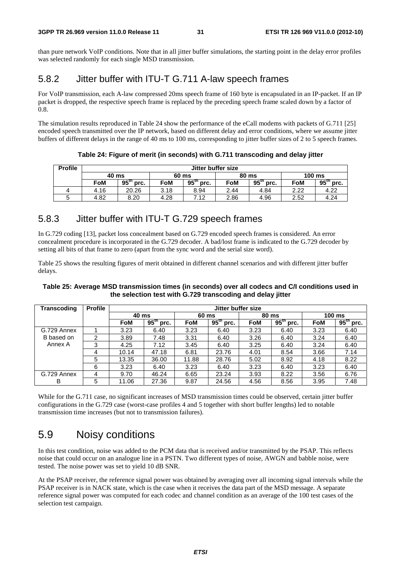than pure network VoIP conditions. Note that in all jitter buffer simulations, the starting point in the delay error profiles was selected randomly for each single MSD transmission.

## 5.8.2 Jitter buffer with ITU-T G.711 A-law speech frames

For VoIP transmission, each A-law compressed 20ms speech frame of 160 byte is encapsulated in an IP-packet. If an IP packet is dropped, the respective speech frame is replaced by the preceding speech frame scaled down by a factor of 0.8.

The simulation results reproduced in Table 24 show the performance of the eCall modems with packets of G.711 [25] encoded speech transmitted over the IP network, based on different delay and error conditions, where we assume jitter buffers of different delays in the range of 40 ms to 100 ms, corresponding to jitter buffer sizes of 2 to 5 speech frames.

| <b>Profile</b> | Jitter buffer size |                      |            |                          |      |                          |      |                  |  |  |  |
|----------------|--------------------|----------------------|------------|--------------------------|------|--------------------------|------|------------------|--|--|--|
|                | 40 ms              |                      |            | 60 ms                    |      | 80 ms                    |      | $100 \text{ ms}$ |  |  |  |
|                | FoM                | $95^{\rm m}$<br>prc. | <b>FoM</b> | 95 <sup>th</sup><br>prc. | FoM  | 95 <sup>th</sup><br>prc. | FoM  | $95th$ prc.      |  |  |  |
|                | 4.16               | 20.26                | 3.18       | 8.94                     | 2.44 | 4.84                     | 2.22 | 4.22             |  |  |  |
|                | 4.82               | 8.20                 | 4.28       | 7.12                     | 2.86 | 4.96                     | 2.52 | 4.24             |  |  |  |

**Table 24: Figure of merit (in seconds) with G.711 transcoding and delay jitter** 

### 5.8.3 Jitter buffer with ITU-T G.729 speech frames

In G.729 coding [13], packet loss concealment based on G.729 encoded speech frames is considered. An error concealment procedure is incorporated in the G.729 decoder. A bad/lost frame is indicated to the G.729 decoder by setting all bits of that frame to zero (apart from the sync word and the serial size word).

Table 25 shows the resulting figures of merit obtained in different channel scenarios and with different jitter buffer delays.

#### **Table 25: Average MSD transmission times (in seconds) over all codecs and C/I conditions used in the selection test with G.729 transcoding and delay jitter**

| <b>Transcoding</b>    | <b>Profile</b> |            | Jitter buffer size       |            |                           |            |                          |            |                           |  |
|-----------------------|----------------|------------|--------------------------|------------|---------------------------|------------|--------------------------|------------|---------------------------|--|
|                       |                | 40 ms      |                          |            | 60 ms                     |            | 80 ms                    | 100 ms     |                           |  |
|                       |                | <b>FoM</b> | 95 <sup>th</sup><br>prc. | <b>FoM</b> | $95^{\mathrm{m}}$<br>prc. | <b>FoM</b> | $95^{\text{th}}$<br>prc. | <b>FoM</b> | $95^{\mathrm{m}}$<br>prc. |  |
| G.729 Annex           |                | 3.23       | 6.40                     | 3.23       | 6.40                      | 3.23       | 6.40                     | 3.23       | 6.40                      |  |
| B based on<br>Annex A | 2              | 3.89       | 7.48                     | 3.31       | 6.40                      | 3.26       | 6.40                     | 3.24       | 6.40                      |  |
|                       | 3              | 4.25       | 7.12                     | 3.45       | 6.40                      | 3.25       | 6.40                     | 3.24       | 6.40                      |  |
|                       | 4              | 10.14      | 47.18                    | 6.81       | 23.76                     | 4.01       | 8.54                     | 3.66       | 7.14                      |  |
|                       | 5              | 13.35      | 36.00                    | 11.88      | 28.76                     | 5.02       | 8.92                     | 4.18       | 8.22                      |  |
|                       | 6              | 3.23       | 6.40                     | 3.23       | 6.40                      | 3.23       | 6.40                     | 3.23       | 6.40                      |  |
| G.729 Annex           | 4              | 9.70       | 46.24                    | 6.65       | 23.24                     | 3.93       | 8.22                     | 3.56       | 6.76                      |  |
| в                     | 5              | 11.06      | 27.36                    | 9.87       | 24.56                     | 4.56       | 8.56                     | 3.95       | 7.48                      |  |

While for the G.711 case, no significant increases of MSD transmission times could be observed, certain jitter buffer configurations in the G.729 case (worst-case profiles 4 and 5 together with short buffer lengths) led to notable transmission time increases (but not to transmission failures).

## 5.9 Noisy conditions

In this test condition, noise was added to the PCM data that is received and/or transmitted by the PSAP. This reflects noise that could occur on an analogue line in a PSTN. Two different types of noise, AWGN and babble noise, were tested. The noise power was set to yield 10 dB SNR.

At the PSAP receiver, the reference signal power was obtained by averaging over all incoming signal intervals while the PSAP receiver is in NACK state, which is the case when it receives the data part of the MSD message. A separate reference signal power was computed for each codec and channel condition as an average of the 100 test cases of the selection test campaign.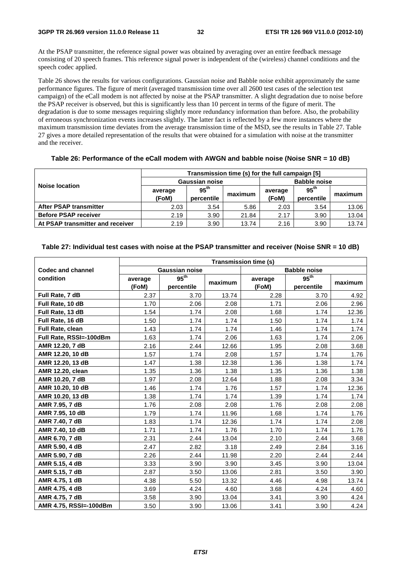At the PSAP transmitter, the reference signal power was obtained by averaging over an entire feedback message consisting of 20 speech frames. This reference signal power is independent of the (wireless) channel conditions and the speech codec applied.

Table 26 shows the results for various configurations. Gaussian noise and Babble noise exhibit approximately the same performance figures. The figure of merit (averaged transmission time over all 2600 test cases of the selection test campaign) of the eCall modem is not affected by noise at the PSAP transmitter. A slight degradation due to noise before the PSAP receiver is observed, but this is significantly less than 10 percent in terms of the figure of merit. The degradation is due to some messages requiring slightly more redundancy information than before. Also, the probability of erroneous synchronization events increases slightly. The latter fact is reflected by a few more instances where the maximum transmission time deviates from the average transmission time of the MSD, see the results in Table 27. Table 27 gives a more detailed representation of the results that were obtained for a simulation with noise at the transmitter and the receiver.

| Table 26: Performance of the eCall modem with AWGN and babble noise (Noise SNR = 10 dB) |  |
|-----------------------------------------------------------------------------------------|--|
|-----------------------------------------------------------------------------------------|--|

|                                  | Transmission time (s) for the full campaign [5] |                       |                     |         |                       |       |  |  |  |  |
|----------------------------------|-------------------------------------------------|-----------------------|---------------------|---------|-----------------------|-------|--|--|--|--|
|                                  |                                                 | <b>Gaussian noise</b> | <b>Babble noise</b> |         |                       |       |  |  |  |  |
| Noise location                   | average                                         | 95 <sup>th</sup>      |                     | average | $95^{\text{th}}$      |       |  |  |  |  |
|                                  | (FoM)                                           | percentile            | maximum             | (FoM)   | maximum<br>percentile |       |  |  |  |  |
| <b>After PSAP transmitter</b>    | 2.03                                            | 3.54                  | 5.86                | 2.03    | 3.54                  | 13.06 |  |  |  |  |
| <b>Before PSAP receiver</b>      | 2.19                                            | 3.90                  | 21.84               | 2.17    | 3.90                  | 13.04 |  |  |  |  |
| At PSAP transmitter and receiver | 2.19                                            | 3.90                  | 13.74               | 2.16    | 3.90                  | 13.74 |  |  |  |  |

### **Table 27: Individual test cases with noise at the PSAP transmitter and receiver (Noise SNR = 10 dB)**

|                          | <b>Transmission time (s)</b> |                             |         |         |                     |         |  |  |  |
|--------------------------|------------------------------|-----------------------------|---------|---------|---------------------|---------|--|--|--|
| <b>Codec and channel</b> |                              | Gaussian noise              |         |         | <b>Babble noise</b> |         |  |  |  |
| condition                | average                      | $95^{\overline{\text{th}}}$ |         | average | 95 <sup>th</sup>    |         |  |  |  |
|                          | (FoM)                        | percentile                  | maximum | (FoM)   | percentile          | maximum |  |  |  |
| Full Rate, 7 dB          | 2.37                         | 3.70                        | 13.74   | 2.28    | 3.70                | 4.92    |  |  |  |
| Full Rate, 10 dB         | 1.70                         | 2.06                        | 2.08    | 1.71    | 2.06                | 2.96    |  |  |  |
| Full Rate, 13 dB         | 1.54                         | 1.74                        | 2.08    | 1.68    | 1.74                | 12.36   |  |  |  |
| Full Rate, 16 dB         | 1.50                         | 1.74                        | 1.74    | 1.50    | 1.74                | 1.74    |  |  |  |
| <b>Full Rate, clean</b>  | 1.43                         | 1.74                        | 1.74    | 1.46    | 1.74                | 1.74    |  |  |  |
| Full Rate, RSSI=-100dBm  | 1.63                         | 1.74                        | 2.06    | 1.63    | 1.74                | 2.06    |  |  |  |
| AMR 12.20, 7 dB          | 2.16                         | 2.44                        | 12.66   | 1.95    | 2.08                | 3.68    |  |  |  |
| AMR 12.20, 10 dB         | 1.57                         | 1.74                        | 2.08    | 1.57    | 1.74                | 1.76    |  |  |  |
| AMR 12.20, 13 dB         | 1.47                         | 1.38                        | 12.38   | 1.36    | 1.38                | 1.74    |  |  |  |
| <b>AMR 12.20, clean</b>  | 1.35                         | 1.36                        | 1.38    | 1.35    | 1.36                | 1.38    |  |  |  |
| AMR 10.20, 7 dB          | 1.97                         | 2.08                        | 12.64   | 1.88    | 2.08                | 3.34    |  |  |  |
| AMR 10.20, 10 dB         | 1.46                         | 1.74                        | 1.76    | 1.57    | 1.74                | 12.36   |  |  |  |
| AMR 10.20, 13 dB         | 1.38                         | 1.74                        | 1.74    | 1.39    | 1.74                | 1.74    |  |  |  |
| AMR 7.95, 7 dB           | 1.76                         | 2.08                        | 2.08    | 1.76    | 2.08                | 2.08    |  |  |  |
| AMR 7.95, 10 dB          | 1.79                         | 1.74                        | 11.96   | 1.68    | 1.74                | 1.76    |  |  |  |
| AMR 7.40, 7 dB           | 1.83                         | 1.74                        | 12.36   | 1.74    | 1.74                | 2.08    |  |  |  |
| AMR 7.40, 10 dB          | 1.71                         | 1.74                        | 1.76    | 1.70    | 1.74                | 1.76    |  |  |  |
| AMR 6.70, 7 dB           | 2.31                         | 2.44                        | 13.04   | 2.10    | 2.44                | 3.68    |  |  |  |
| AMR 5.90, 4 dB           | 2.47                         | 2.82                        | 3.18    | 2.49    | 2.84                | 3.16    |  |  |  |
| AMR 5.90, 7 dB           | 2.26                         | 2.44                        | 11.98   | 2.20    | 2.44                | 2.44    |  |  |  |
| AMR 5.15, 4 dB           | 3.33                         | 3.90                        | 3.90    | 3.45    | 3.90                | 13.04   |  |  |  |
| AMR 5.15, 7 dB           | 2.87                         | 3.50                        | 13.06   | 2.81    | 3.50                | 3.90    |  |  |  |
| AMR 4.75, 1 dB           | 4.38                         | 5.50                        | 13.32   | 4.46    | 4.98                | 13.74   |  |  |  |
| AMR 4.75, 4 dB           | 3.69                         | 4.24                        | 4.60    | 3.68    | 4.24                | 4.60    |  |  |  |
| AMR 4.75, 7 dB           | 3.58                         | 3.90                        | 13.04   | 3.41    | 3.90                | 4.24    |  |  |  |
| AMR 4.75, RSSI=-100dBm   | 3.50                         | 3.90                        | 13.06   | 3.41    | 3.90                | 4.24    |  |  |  |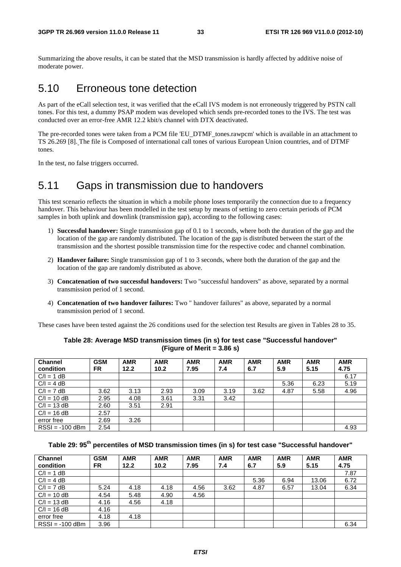Summarizing the above results, it can be stated that the MSD transmission is hardly affected by additive noise of moderate power.

### 5.10 Erroneous tone detection

As part of the eCall selection test, it was verified that the eCall IVS modem is not erroneously triggered by PSTN call tones. For this test, a dummy PSAP modem was developed which sends pre-recorded tones to the IVS. The test was conducted over an error-free AMR 12.2 kbit/s channel with DTX deactivated.

The pre-recorded tones were taken from a PCM file 'EU\_DTMF\_tones.rawpcm' which is available in an attachment to TS 26.269 [8]. The file is Composed of international call tones of various European Union countries, and of DTMF tones.

In the test, no false triggers occurred.

## 5.11 Gaps in transmission due to handovers

This test scenario reflects the situation in which a mobile phone loses temporarily the connection due to a frequency handover. This behaviour has been modelled in the test setup by means of setting to zero certain periods of PCM samples in both uplink and downlink (transmission gap), according to the following cases:

- 1) **Successful handover:** Single transmission gap of 0.1 to 1 seconds, where both the duration of the gap and the location of the gap are randomly distributed. The location of the gap is distributed between the start of the transmission and the shortest possible transmission time for the respective codec and channel combination.
- 2) **Handover failure:** Single transmission gap of 1 to 3 seconds, where both the duration of the gap and the location of the gap are randomly distributed as above.
- 3) **Concatenation of two successful handovers:** Two "successful handovers" as above, separated by a normal transmission period of 1 second.
- 4) **Concatenation of two handover failures:** Two " handover failures" as above, separated by a normal transmission period of 1 second.

These cases have been tested against the 26 conditions used for the selection test Results are given in Tables 28 to 35.

| <b>Channel</b><br>condition | <b>GSM</b><br>FR. | <b>AMR</b><br>12.2 | <b>AMR</b><br>10.2 | <b>AMR</b><br>7.95 | <b>AMR</b><br>7.4 | <b>AMR</b><br>6.7 | <b>AMR</b><br>5.9 | <b>AMR</b><br>5.15 | <b>AMR</b><br>4.75 |
|-----------------------------|-------------------|--------------------|--------------------|--------------------|-------------------|-------------------|-------------------|--------------------|--------------------|
| $C/I = 1 dB$                |                   |                    |                    |                    |                   |                   |                   |                    | 6.17               |
| $C/I = 4 dB$                |                   |                    |                    |                    |                   |                   | 5.36              | 6.23               | 5.19               |
| $C/I = 7 dB$                | 3.62              | 3.13               | 2.93               | 3.09               | 3.19              | 3.62              | 4.87              | 5.58               | 4.96               |
| $C/I = 10 dB$               | 2.95              | 4.08               | 3.61               | 3.31               | 3.42              |                   |                   |                    |                    |
| $C/I = 13 dB$               | 2.60              | 3.51               | 2.91               |                    |                   |                   |                   |                    |                    |
| $C/I = 16 dB$               | 2.57              |                    |                    |                    |                   |                   |                   |                    |                    |
| error free                  | 2.69              | 3.26               |                    |                    |                   |                   |                   |                    |                    |
| $RSSI = -100$ dBm           | 2.54              |                    |                    |                    |                   |                   |                   |                    | 4.93               |

#### **Table 28: Average MSD transmission times (in s) for test case "Successful handover" (Figure of Merit = 3.86 s)**

### Table 29: 95<sup>th</sup> percentiles of MSD transmission times (in s) for test case "Successful handover"

| <b>Channel</b>    | <b>GSM</b> | <b>AMR</b> | <b>AMR</b> | <b>AMR</b> | <b>AMR</b> | <b>AMR</b> | <b>AMR</b> | <b>AMR</b> | <b>AMR</b> |
|-------------------|------------|------------|------------|------------|------------|------------|------------|------------|------------|
| condition         | FR.        | 12.2       | 10.2       | 7.95       | 7.4        | 6.7        | 5.9        | 5.15       | 4.75       |
| $C/I = 1 dB$      |            |            |            |            |            |            |            |            | 7.87       |
| $C/I = 4 dB$      |            |            |            |            |            | 5.36       | 6.94       | 13.06      | 6.72       |
| $C/I = 7 dB$      | 5.24       | 4.18       | 4.18       | 4.56       | 3.62       | 4.87       | 6.57       | 13.04      | 6.34       |
| $C/I = 10 dB$     | 4.54       | 5.48       | 4.90       | 4.56       |            |            |            |            |            |
| $C/I = 13 dB$     | 4.16       | 4.56       | 4.18       |            |            |            |            |            |            |
| $C/I = 16 dB$     | 4.16       |            |            |            |            |            |            |            |            |
| error free        | 4.18       | 4.18       |            |            |            |            |            |            |            |
| $RSSI = -100$ dBm | 3.96       |            |            |            |            |            |            |            | 6.34       |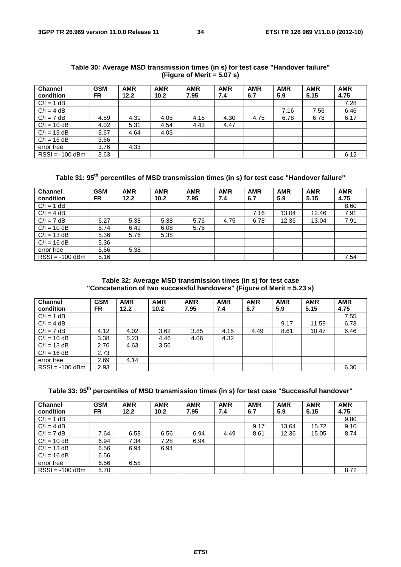| <b>Channel</b><br>condition | <b>GSM</b><br>FR. | <b>AMR</b><br>12.2 | <b>AMR</b><br>10.2 | <b>AMR</b><br>7.95 | <b>AMR</b><br>7.4 | <b>AMR</b><br>6.7 | <b>AMR</b><br>5.9 | <b>AMR</b><br>5.15 | <b>AMR</b><br>4.75 |
|-----------------------------|-------------------|--------------------|--------------------|--------------------|-------------------|-------------------|-------------------|--------------------|--------------------|
| $C/I = 1 dB$                |                   |                    |                    |                    |                   |                   |                   |                    | 7.28               |
| $C/I = 4 dB$                |                   |                    |                    |                    |                   |                   | 7.16              | 7.56               | 6.46               |
| $C/I = 7 dB$                | 4.59              | 4.31               | 4.05               | 4.16               | 4.30              | 4.75              | 6.78              | 6.78               | 6.17               |
| $C/I = 10 dB$               | 4.02              | 5.31               | 4.54               | 4.43               | 4.47              |                   |                   |                    |                    |
| $C/I = 13 dB$               | 3.67              | 4.64               | 4.03               |                    |                   |                   |                   |                    |                    |
| $C/I = 16 dB$               | 3.66              |                    |                    |                    |                   |                   |                   |                    |                    |
| error free                  | 3.76              | 4.33               |                    |                    |                   |                   |                   |                    |                    |
| $RSSI = -100$ dBm           | 3.63              |                    |                    |                    |                   |                   |                   |                    | 6.12               |

**Table 30: Average MSD transmission times (in s) for test case "Handover failure" (Figure of Merit = 5.07 s)** 

Table 31: 95<sup>th</sup> percentiles of MSD transmission times (in s) for test case "Handover failure"

| <b>Channel</b><br>condition | <b>GSM</b><br><b>FR</b> | <b>AMR</b><br>12.2 | <b>AMR</b><br>10.2 | <b>AMR</b><br>7.95 | <b>AMR</b><br>7.4 | <b>AMR</b><br>6.7 | <b>AMR</b><br>5.9 | <b>AMR</b><br>5.15 | <b>AMR</b><br>4.75 |
|-----------------------------|-------------------------|--------------------|--------------------|--------------------|-------------------|-------------------|-------------------|--------------------|--------------------|
| $C/I = 1 dB$                |                         |                    |                    |                    |                   |                   |                   |                    | 8.60               |
| $C/I = 4 dB$                |                         |                    |                    |                    |                   | 7.16              | 13.04             | 12.46              | 7.91               |
| $C/I = 7 dB$                | 6.27                    | 5.38               | 5.38               | 5.76               | 4.75              | 6.78              | 12.36             | 13.04              | 7.91               |
| $C/I = 10 dB$               | 5.74                    | 6.49               | 6.08               | 5.76               |                   |                   |                   |                    |                    |
| $C/I = 13 dB$               | 5.36                    | 5.76               | 5.38               |                    |                   |                   |                   |                    |                    |
| $C/I = 16 dB$               | 5.36                    |                    |                    |                    |                   |                   |                   |                    |                    |
| error free                  | 5.56                    | 5.38               |                    |                    |                   |                   |                   |                    |                    |
| $RSSI = -100$ dBm           | 5.16                    |                    |                    |                    |                   |                   |                   |                    | 7.54               |

#### **Table 32: Average MSD transmission times (in s) for test case "Concatenation of two successful handovers" (Figure of Merit = 5.23 s)**

| <b>Channel</b><br>condition | <b>GSM</b><br>FR. | <b>AMR</b><br>12.2 | <b>AMR</b><br>10.2 | <b>AMR</b><br>7.95 | <b>AMR</b><br>7.4 | <b>AMR</b><br>6.7 | <b>AMR</b><br>5.9 | <b>AMR</b><br>5.15 | <b>AMR</b><br>4.75 |
|-----------------------------|-------------------|--------------------|--------------------|--------------------|-------------------|-------------------|-------------------|--------------------|--------------------|
| $C/I = 1 dB$                |                   |                    |                    |                    |                   |                   |                   |                    | 7.55               |
| $C/I = 4 dB$                |                   |                    |                    |                    |                   |                   | 9.17              | 11.59              | 6.73               |
| $C/I = 7 dB$                | 4.12              | 4.02               | 3.62               | 3.85               | 4.15              | 4.49              | 8.61              | 10.47              | 6.46               |
| $C/I = 10 dB$               | 3.38              | 5.23               | 4.46               | 4.06               | 4.32              |                   |                   |                    |                    |
| $C/I = 13 dB$               | 2.76              | 4.63               | 3.56               |                    |                   |                   |                   |                    |                    |
| $C/I = 16 dB$               | 2.73              |                    |                    |                    |                   |                   |                   |                    |                    |
| error free                  | 2.69              | 4.14               |                    |                    |                   |                   |                   |                    |                    |
| $RSSI = -100$ dBm           | 2.93              |                    |                    |                    |                   |                   |                   |                    | 6.30               |

| Table 33: 95 $^{\rm th}$ percentiles of MSD transmission times (in s) for test case "Successful handover" |  |  |  |  |  |
|-----------------------------------------------------------------------------------------------------------|--|--|--|--|--|
|-----------------------------------------------------------------------------------------------------------|--|--|--|--|--|

| <b>Channel</b>    | <b>GSM</b> | <b>AMR</b> | <b>AMR</b> | <b>AMR</b> | <b>AMR</b> | <b>AMR</b> | <b>AMR</b> | <b>AMR</b> | <b>AMR</b> |
|-------------------|------------|------------|------------|------------|------------|------------|------------|------------|------------|
| condition         | FR.        | 12.2       | 10.2       | 7.95       | 7.4        | 6.7        | 5.9        | 5.15       | 4.75       |
| $C/I = 1 dB$      |            |            |            |            |            |            |            |            | 9.80       |
| $C/I = 4 dB$      |            |            |            |            |            | 9.17       | 13.64      | 15.72      | 9.10       |
| $C/I = 7 dB$      | 7.64       | 6.58       | 6.56       | 6.94       | 4.49       | 8.61       | 12.36      | 15.05      | 8.74       |
| $C/I = 10 dB$     | 6.94       | 7.34       | 7.28       | 6.94       |            |            |            |            |            |
| $C/I = 13 dB$     | 6.56       | 6.94       | 6.94       |            |            |            |            |            |            |
| $C/I = 16 dB$     | 6.56       |            |            |            |            |            |            |            |            |
| error free        | 6.56       | 6.58       |            |            |            |            |            |            |            |
| $RSSI = -100$ dBm | 5.70       |            |            |            |            |            |            |            | 8.72       |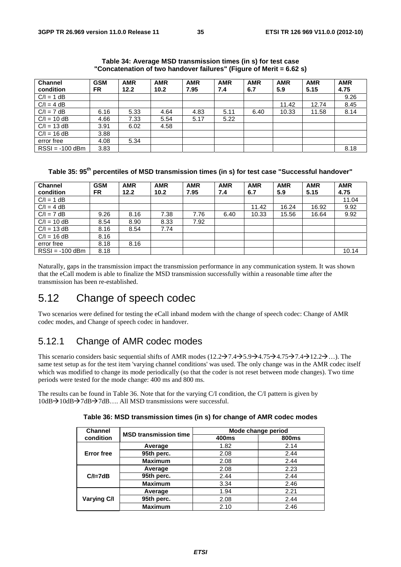| <b>Channel</b>    | <b>GSM</b> | <b>AMR</b> | <b>AMR</b> | <b>AMR</b> | <b>AMR</b> | <b>AMR</b> | <b>AMR</b> | <b>AMR</b> | <b>AMR</b> |
|-------------------|------------|------------|------------|------------|------------|------------|------------|------------|------------|
| condition         | <b>FR</b>  | 12.2       | 10.2       | 7.95       | 7.4        | 6.7        | 5.9        | 5.15       | 4.75       |
| $C/I = 1 dB$      |            |            |            |            |            |            |            |            | 9.26       |
| $C/I = 4 dB$      |            |            |            |            |            |            | 11.42      | 12.74      | 8.45       |
| $C/I = 7 dB$      | 6.16       | 5.33       | 4.64       | 4.83       | 5.11       | 6.40       | 10.33      | 11.58      | 8.14       |
| $C/I = 10 dB$     | 4.66       | 7.33       | 5.54       | 5.17       | 5.22       |            |            |            |            |
| $C/I = 13 dB$     | 3.91       | 6.02       | 4.58       |            |            |            |            |            |            |
| $C/I = 16 dB$     | 3.88       |            |            |            |            |            |            |            |            |
| error free        | 4.08       | 5.34       |            |            |            |            |            |            |            |
| $RSSI = -100$ dBm | 3.83       |            |            |            |            |            |            |            | 8.18       |

**Table 34: Average MSD transmission times (in s) for test case "Concatenation of two handover failures" (Figure of Merit = 6.62 s)** 

### Table 35: 95<sup>th</sup> percentiles of MSD transmission times (in s) for test case "Successful handover"

| <b>Channel</b>    | <b>GSM</b> | <b>AMR</b> | <b>AMR</b> | <b>AMR</b> | <b>AMR</b> | <b>AMR</b> | <b>AMR</b> | <b>AMR</b> | <b>AMR</b> |
|-------------------|------------|------------|------------|------------|------------|------------|------------|------------|------------|
| condition         | FR.        | 12.2       | 10.2       | 7.95       | 7.4        | 6.7        | 5.9        | 5.15       | 4.75       |
| $C/I = 1 dB$      |            |            |            |            |            |            |            |            | 11.04      |
| $C/I = 4 dB$      |            |            |            |            |            | 11.42      | 16.24      | 16.92      | 9.92       |
| $C/I = 7 dB$      | 9.26       | 8.16       | 7.38       | 7.76       | 6.40       | 10.33      | 15.56      | 16.64      | 9.92       |
| $C/I = 10 dB$     | 8.54       | 8.90       | 8.33       | 7.92       |            |            |            |            |            |
| $C/I = 13 dB$     | 8.16       | 8.54       | 7.74       |            |            |            |            |            |            |
| $C/I = 16 dB$     | 8.16       |            |            |            |            |            |            |            |            |
| error free        | 8.18       | 8.16       |            |            |            |            |            |            |            |
| $RSSI = -100$ dBm | 8.18       |            |            |            |            |            |            |            | 10.14      |

Naturally, gaps in the transmission impact the transmission performance in any communication system. It was shown that the eCall modem is able to finalize the MSD transmission successfully within a reasonable time after the transmission has been re-established.

## 5.12 Change of speech codec

Two scenarios were defined for testing the eCall inband modem with the change of speech codec: Change of AMR codec modes, and Change of speech codec in handover.

### 5.12.1 Change of AMR codec modes

This scenario considers basic sequential shifts of AMR modes  $(12.2 \rightarrow 7.4 \rightarrow 5.9 \rightarrow 4.75 \rightarrow 4.75 \rightarrow 7.4 \rightarrow 12.2 \rightarrow ...)$ . The same test setup as for the test item 'varying channel conditions' was used. The only change was in the AMR codec itself which was modified to change its mode periodically (so that the coder is not reset between mode changes). Two time periods were tested for the mode change: 400 ms and 800 ms.

The results can be found in Table 36. Note that for the varying C/I condition, the C/I pattern is given by  $10dB \rightarrow 10dB \rightarrow 7dB \rightarrow 7dB$ .... All MSD transmissions were successful.

| <b>Channel</b>    | <b>MSD transmission time</b> | Mode change period |              |  |  |  |
|-------------------|------------------------------|--------------------|--------------|--|--|--|
| condition         |                              | 400ms              | <b>800ms</b> |  |  |  |
|                   | Average                      | 1.82               | 2.14         |  |  |  |
| <b>Error</b> free | 95th perc.                   | 2.08               | 2.44         |  |  |  |
|                   | <b>Maximum</b>               | 2.08               | 2.44         |  |  |  |
|                   | Average                      | 2.08               | 2.23         |  |  |  |
| $C/I = 7dB$       | 95th perc.                   | 2.44               | 2.44         |  |  |  |
|                   | <b>Maximum</b>               | 3.34               | 2.46         |  |  |  |
|                   | Average                      | 1.94               | 2.21         |  |  |  |
| Varying C/I       | 95th perc.                   | 2.08               | 2.44         |  |  |  |
|                   | <b>Maximum</b>               | 2.10               | 2.46         |  |  |  |

**Table 36: MSD transmission times (in s) for change of AMR codec modes**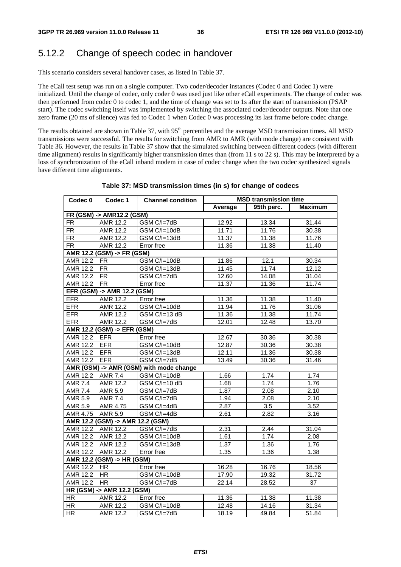### 5.12.2 Change of speech codec in handover

This scenario considers several handover cases, as listed in Table 37.

The eCall test setup was run on a single computer. Two coder/decoder instances (Codec 0 and Codec 1) were initialized. Until the change of codec, only coder 0 was used just like other eCall experiments. The change of codec was then performed from codec 0 to codec 1, and the time of change was set to 1s after the start of transmission (PSAP start). The codec switching itself was implemented by switching the associated coder/decoder outputs. Note that one zero frame (20 ms of silence) was fed to Codec 1 when Codec 0 was processing its last frame before codec change.

The results obtained are shown in Table 37, with 95<sup>th</sup> percentiles and the average MSD transmission times. All MSD transmissions were successful. The results for switching from AMR to AMR (with mode change) are consistent with Table 36. However, the results in Table 37 show that the simulated switching between different codecs (with different time alignment) results in significantly higher transmission times than (from 11 s to 22 s). This may be interpreted by a loss of synchronization of the eCall inband modem in case of codec change when the two codec synthesized signals have different time alignments.

| Codec $0$                     | Codec 1                          | <b>Channel condition</b>                |         | <b>MSD transmission time</b> |                 |
|-------------------------------|----------------------------------|-----------------------------------------|---------|------------------------------|-----------------|
|                               |                                  |                                         | Average | 95th perc.                   | <b>Maximum</b>  |
|                               | FR (GSM) -> AMR12.2 (GSM)        |                                         |         |                              |                 |
| <b>FR</b>                     | <b>AMR</b> 12.2                  | GSM C/I=7dB                             | 12.92   | 13.34                        | 31.44           |
| FR.                           | AMR 12.2                         | GSM C/I=10dB                            | 11.71   | 11.76                        | 30.38           |
| FR.                           | AMR 12.2                         | GSM C/I=13dB                            | 11.37   | 11.38                        | 11.76           |
| FR.                           | AMR 12.2                         | Error free                              | 11.36   | 11.38                        | 11.40           |
|                               | AMR 12.2 (GSM) -> FR (GSM)       |                                         |         |                              |                 |
| AMR 12.2 FR                   |                                  | GSM C/I=10dB                            | 11.86   | 12.1                         | 30.34           |
| <b>AMR 12.2</b>               | FR                               | GSM C/I=13dB                            | 11.45   | 11.74                        | 12.12           |
| AMR 12.2 FR                   |                                  | GSM C/I=7dB                             | 12.60   | 14.08                        | 31.04           |
| AMR 12.2 FR                   |                                  | Error free                              | 11.37   | 11.36                        | 11.74           |
|                               | EFR (GSM) -> AMR 12.2 (GSM)      |                                         |         |                              |                 |
| <b>EFR</b>                    | <b>AMR 12.2</b>                  | Error free                              | 11.36   | 11.38                        | 11.40           |
| <b>EFR</b>                    | AMR 12.2                         | GSM C/I=10dB                            | 11.94   | 11.76                        | 31.06           |
| <b>EFR</b>                    | AMR 12.2                         | GSM C/I=13 dB                           | 11.36   | 11.38                        | 11.74           |
| <b>EFR</b>                    | AMR 12.2                         | GSM C/I=7dB                             | 12.01   | 12.48                        | 13.70           |
|                               | AMR 12.2 (GSM) -> EFR (GSM)      |                                         |         |                              |                 |
| AMR 12.2 EFR                  |                                  | Error free                              | 12.67   | 30.36                        | 30.38           |
| AMR 12.2 EFR                  |                                  | GSM C/I=10dB                            | 12.87   | 30.36                        | 30.38           |
| AMR 12.2 EFR                  |                                  | GSM C/I=13dB                            | 12.11   | 11.36                        | 30.38           |
| AMR 12.2 EFR                  |                                  | GSM C/I=7dB                             | 13.49   | 30.36                        | 31.46           |
|                               |                                  | AMR (GSM) -> AMR (GSM) with mode change |         |                              |                 |
| AMR 12.2 AMR 7.4              |                                  | GSM C/I=10dB                            | 1.66    | 1.74                         | 1.74            |
| $\overline{\mathsf{AMR}}$ 7.4 | <b>AMR 12.2</b>                  | GSM C/I=10 dB                           | 1.68    | 1.74                         | 1.76            |
| AMR 7.4                       | <b>AMR 5.9</b>                   | GSM C/I=7dB                             | 1.87    | 2.08                         | 2.10            |
| AMR 5.9                       | <b>AMR 7.4</b>                   | GSM C/I=7dB                             | 1.94    | 2.08                         | 2.10            |
| <b>AMR 5.9</b>                | AMR 4.75                         | GSM C/I=4dB                             | 2.87    | 3.5                          | 3.52            |
| AMR 4.75 AMR 5.9              |                                  | GSM C/I=4dB                             | 2.61    | 2.82                         | 3.16            |
|                               | AMR 12.2 (GSM) -> AMR 12.2 (GSM) |                                         |         |                              |                 |
|                               | AMR 12.2 AMR 12.2                | GSM C/I=7dB                             | 2.31    | 2.44                         | 31.04           |
|                               | AMR 12.2   AMR 12.2              | GSM C/I=10dB                            | 1.61    | 1.74                         | 2.08            |
|                               | AMR 12.2   AMR 12.2              | GSM C/I=13dB                            | 1.37    | 1.36                         | 1.76            |
|                               | AMR 12.2 AMR 12.2                | Error free                              | 1.35    | 1.36                         | 1.38            |
|                               | AMR 12.2 (GSM) -> HR (GSM)       |                                         |         |                              |                 |
| AMR 12.2   HR                 |                                  | Error free                              | 16.28   | 16.76                        | 18.56           |
| AMR 12.2   HR                 |                                  | GSM C/I=10dB                            | 17.90   | 19.32                        | 31.72           |
| AMR 12.2 HR                   |                                  | GSM C/I=7dB                             | 22.14   | 28.52                        | $\overline{37}$ |
|                               | HR (GSM) -> AMR 12.2 (GSM)       |                                         |         |                              |                 |
| HR                            | AMR 12.2                         | Error free                              | 11.36   | 11.38                        | 11.38           |
| <b>HR</b>                     | AMR 12.2                         | $\overline{GSM}$ $C/I=10dB$             | 12.48   | 14.16                        | 31.34           |
| $\overline{HR}$               | AMR 12.2                         | GSM C/I=7dB                             | 18.19   | 49.84                        | 51.84           |

#### **Table 37: MSD transmission times (in s) for change of codecs**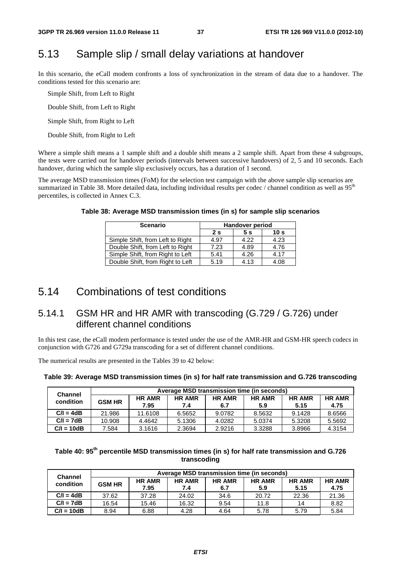## 5.13 Sample slip / small delay variations at handover

In this scenario, the eCall modem confronts a loss of synchronization in the stream of data due to a handover. The conditions tested for this scenario are:

Simple Shift, from Left to Right

Double Shift, from Left to Right

Simple Shift, from Right to Left

Double Shift, from Right to Left

Where a simple shift means a 1 sample shift and a double shift means a 2 sample shift. Apart from these 4 subgroups, the tests were carried out for handover periods (intervals between successive handovers) of 2, 5 and 10 seconds. Each handover, during which the sample slip exclusively occurs, has a duration of 1 second.

The average MSD transmission times (FoM) for the selection test campaign with the above sample slip scenarios are summarized in Table 38. More detailed data, including individual results per codec / channel condition as well as 95<sup>th</sup> percentiles, is collected in Annex C.3.

|  | Table 38: Average MSD transmission times (in s) for sample slip scenarios |
|--|---------------------------------------------------------------------------|
|  |                                                                           |

| <b>Scenario</b>                  | <b>Handover period</b> |      |                 |  |  |
|----------------------------------|------------------------|------|-----------------|--|--|
|                                  | 2 <sub>s</sub>         | 5 s  | 10 <sub>s</sub> |  |  |
| Simple Shift, from Left to Right | 4.97                   | 4.22 | 4.23            |  |  |
| Double Shift, from Left to Right | 7.23                   | 4.89 | 4.76            |  |  |
| Simple Shift, from Right to Left | 5.41                   | 4.26 | 4.17            |  |  |
| Double Shift, from Right to Left | 5.19                   | 4.13 | 4.08            |  |  |

### 5.14 Combinations of test conditions

### 5.14.1 GSM HR and HR AMR with transcoding (G.729 / G.726) under different channel conditions

In this test case, the eCall modem performance is tested under the use of the AMR-HR and GSM-HR speech codecs in conjunction with G726 and G729a transcoding for a set of different channel conditions.

The numerical results are presented in the Tables 39 to 42 below:

#### **Table 39: Average MSD transmission times (in s) for half rate transmission and G.726 transcoding**

| <b>Channel</b> | Average MSD transmission time (in seconds) |         |                                               |        |                      |                       |                       |  |  |  |
|----------------|--------------------------------------------|---------|-----------------------------------------------|--------|----------------------|-----------------------|-----------------------|--|--|--|
| condition      | <b>GSM HR</b>                              |         | <b>HR AMR</b><br><b>HR AMR</b><br>7.95<br>7.4 |        | <b>HR AMR</b><br>5.9 | <b>HR AMR</b><br>5.15 | <b>HR AMR</b><br>4.75 |  |  |  |
| $C/I = 4dB$    | 21.986                                     | 11.6108 | 6.5652                                        | 9.0782 | 8.5632               | 9.1428                | 8.6566                |  |  |  |
| $C/I = 7dB$    | 10.908                                     | 4.4642  | 5.1306                                        | 4.0282 | 5.0374               | 5.3208                | 5.5692                |  |  |  |
| $C/I = 10dB$   | 7.584                                      | 3.1616  | 2.3694                                        | 2.9216 | 3.3288               | 3.8966                | 4.3154                |  |  |  |

### Table 40: 95<sup>th</sup> percentile MSD transmission times (in s) for half rate transmission and G.726 **transcoding**

| <b>Channel</b> | Average MSD transmission time (in seconds) |                       |                      |                      |                      |                       |                       |  |  |  |
|----------------|--------------------------------------------|-----------------------|----------------------|----------------------|----------------------|-----------------------|-----------------------|--|--|--|
| condition      | <b>GSM HR</b>                              | <b>HR AMR</b><br>7.95 | <b>HR AMR</b><br>7.4 | <b>HR AMR</b><br>6.7 | <b>HR AMR</b><br>5.9 | <b>HR AMR</b><br>5.15 | <b>HR AMR</b><br>4.75 |  |  |  |
| $C/I = 4dB$    | 37.62                                      | 37.28                 | 24.02                | 34.6                 | 20.72                | 22.36                 | 21.36                 |  |  |  |
| $C/I = 7dB$    | 16.54                                      | 15.46                 | 16.32                | 9.54                 | 11.8                 | 14                    | 8.82                  |  |  |  |
| $C/I = 10dB$   | 8.94                                       | 6.88                  | 4.28                 | 4.64                 | 5.78                 | 5.79                  | 5.84                  |  |  |  |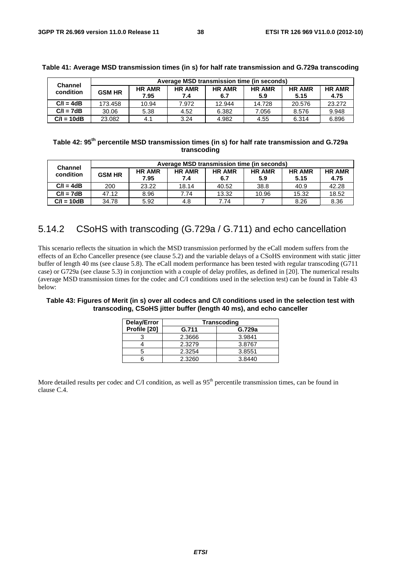| <b>Channel</b> | Average MSD transmission time (in seconds) |               |               |               |               |               |               |  |  |  |
|----------------|--------------------------------------------|---------------|---------------|---------------|---------------|---------------|---------------|--|--|--|
| condition      | <b>GSM HR</b>                              | <b>HR AMR</b> | <b>HR AMR</b> | <b>HR AMR</b> | <b>HR AMR</b> | <b>HR AMR</b> | <b>HR AMR</b> |  |  |  |
|                |                                            | 7.95          | 7.4           | 6.7           | 5.9           | 5.15          | 4.75          |  |  |  |
| $C/I = 4dB$    | 173.458                                    | 10.94         | 7.972         | 12.944        | 14.728        | 20.576        | 23.272        |  |  |  |
| $C/I = 7dB$    | 30.06                                      | 5.38          | 4.52          | 6.382         | 7.056         | 8.576         | 9.948         |  |  |  |
| $C/I = 10dB$   | 23.082                                     | 4.1           | 3.24          | 4.982         | 4.55          | 6.314         | 6.896         |  |  |  |

#### **Table 41: Average MSD transmission times (in s) for half rate transmission and G.729a transcoding**

Table 42: 95<sup>th</sup> percentile MSD transmission times (in s) for half rate transmission and G.729a **transcoding** 

| <b>Channel</b> | Average MSD transmission time (in seconds) |               |               |               |               |               |               |  |  |  |
|----------------|--------------------------------------------|---------------|---------------|---------------|---------------|---------------|---------------|--|--|--|
| condition      | <b>GSM HR</b>                              | <b>HR AMR</b> | <b>HR AMR</b> | <b>HR AMR</b> | <b>HR AMR</b> | <b>HR AMR</b> | <b>HR AMR</b> |  |  |  |
|                |                                            | 7.95          | 7.4           | 6.7           | 5.9           | 5.15          | 4.75          |  |  |  |
| $C/I = 4dB$    | 200                                        | 23.22         | 18.14         | 40.52         | 38.8          | 40.9          | 42.28         |  |  |  |
| $C/I = 7dB$    | 47.12                                      | 8.96          | 7.74          | 13.32         | 10.96         | 15.32         | 18.52         |  |  |  |
| $C/I = 10dB$   | 34.78                                      | 5.92          | 4.8           | 7.74          |               | 8.26          | 8.36          |  |  |  |

### 5.14.2 CSoHS with transcoding (G.729a / G.711) and echo cancellation

This scenario reflects the situation in which the MSD transmission performed by the eCall modem suffers from the effects of an Echo Canceller presence (see clause 5.2) and the variable delays of a CSoHS environment with static jitter buffer of length 40 ms (see clause 5.8). The eCall modem performance has been tested with regular transcoding (G711 case) or G729a (see clause 5.3) in conjunction with a couple of delay profiles, as defined in [20]. The numerical results (average MSD transmission times for the codec and C/I conditions used in the selection test) can be found in Table 43 below:

#### **Table 43: Figures of Merit (in s) over all codecs and C/I conditions used in the selection test with transcoding, CSoHS jitter buffer (length 40 ms), and echo canceller**

| Delay/Error  | <b>Transcoding</b> |        |  |  |  |  |  |
|--------------|--------------------|--------|--|--|--|--|--|
| Profile [20] | G.711              | G.729a |  |  |  |  |  |
|              | 2.3666             | 3.9841 |  |  |  |  |  |
|              | 2.3279             | 3.8767 |  |  |  |  |  |
|              | 2.3254             | 3.8551 |  |  |  |  |  |
|              | 2.3260             | 3.8440 |  |  |  |  |  |

More detailed results per codec and C/I condition, as well as 95<sup>th</sup> percentile transmission times, can be found in clause C.4.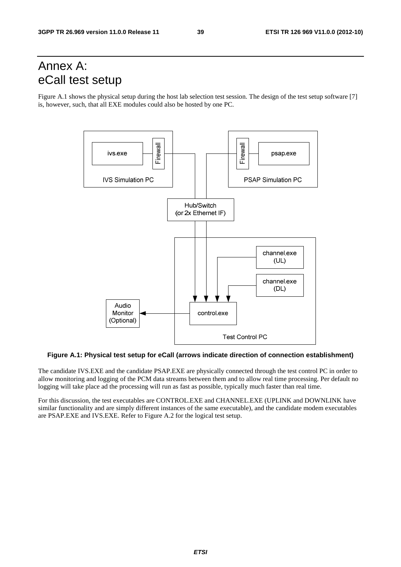## Annex A: eCall test setup

Figure A.1 shows the physical setup during the host lab selection test session. The design of the test setup software [7] is, however, such, that all EXE modules could also be hosted by one PC.



**Figure A.1: Physical test setup for eCall (arrows indicate direction of connection establishment)** 

The candidate IVS.EXE and the candidate PSAP.EXE are physically connected through the test control PC in order to allow monitoring and logging of the PCM data streams between them and to allow real time processing. Per default no logging will take place ad the processing will run as fast as possible, typically much faster than real time.

For this discussion, the test executables are CONTROL.EXE and CHANNEL.EXE (UPLINK and DOWNLINK have similar functionality and are simply different instances of the same executable), and the candidate modem executables are PSAP.EXE and IVS.EXE. Refer to Figure A.2 for the logical test setup.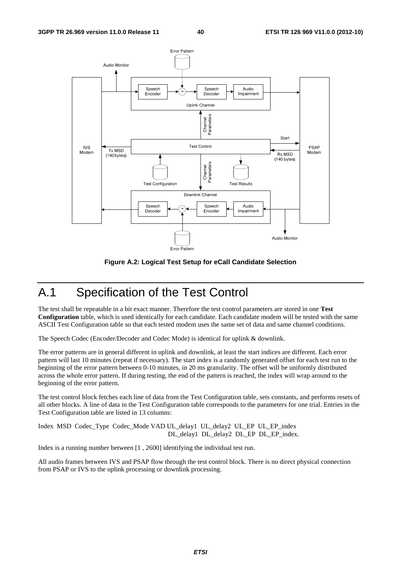

**Figure A.2: Logical Test Setup for eCall Candidate Selection** 

## A.1 Specification of the Test Control

The test shall be repeatable in a bit exact manner. Therefore the test control parameters are stored in one **Test Configuration** table, which is used identically for each candidate. Each candidate modem will be tested with the same ASCII Test Configuration table so that each tested modem uses the same set of data and same channel conditions.

The Speech Codec (Encoder/Decoder and Codec Mode) is identical for uplink & downlink.

The error patterns are in general different in uplink and downlink, at least the start indices are different. Each error pattern will last 10 minutes (repeat if necessary). The start index is a randomly generated offset for each test run to the beginning of the error pattern between 0-10 minutes, in 20 ms granularity. The offset will be uniformly distributed across the whole error pattern. If during testing, the end of the pattern is reached, the index will wrap around to the beginning of the error pattern.

The test control block fetches each line of data from the Test Configuration table, sets constants, and performs resets of all other blocks. A line of data in the Test Configuration table corresponds to the parameters for one trial. Entries in the Test Configuration table are listed in 13 columns:

Index MSD Codec\_Type Codec\_Mode VAD UL\_delay1 UL\_delay2 UL\_EP UL\_EP\_index DL\_delay1 DL\_delay2 DL\_EP DL\_EP\_index.

Index is a running number between [1 , 2600] identifying the individual test run.

All audio frames between IVS and PSAP flow through the test control block. There is no direct physical connection from PSAP or IVS to the uplink processing or downlink processing.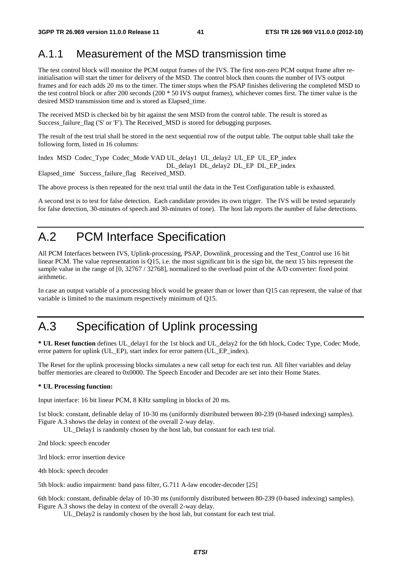## A.1.1 Measurement of the MSD transmission time

The test control block will monitor the PCM output frames of the IVS. The first non-zero PCM output frame after reinitialisation will start the timer for delivery of the MSD. The control block then counts the number of IVS output frames and for each adds 20 ms to the timer. The timer stops when the PSAP finishes delivering the completed MSD to the test control block or after 200 seconds (200 \* 50 IVS output frames), whichever comes first. The timer value is the desired MSD transmission time and is stored as Elapsed\_time.

The received MSD is checked bit by bit against the sent MSD from the control table. The result is stored as Success failure flag ('S' or 'F'). The Received MSD is stored for debugging purposes.

The result of the test trial shall be stored in the next sequential row of the output table. The output table shall take the following form, listed in 16 columns:

Index MSD Codec\_Type Codec\_Mode VAD UL\_delay1 UL\_delay2 UL\_EP UL\_EP\_index

DL\_delay1 DL\_delay2 DL\_EP DL\_EP\_index

Elapsed\_time Success\_failure\_flag Received\_MSD.

The above process is then repeated for the next trial until the data in the Test Configuration table is exhausted.

A second test is to test for false detection. Each candidate provides its own trigger. The IVS will be tested separately for false detection, 30-minutes of speech and 30-minutes of tone). The host lab reports the number of false detections.

## A.2 PCM Interface Specification

All PCM Interfaces between IVS, Uplink-processing, PSAP, Downlink\_processing and the Test\_Control use 16 bit linear PCM. The value representation is Q15, i.e. the most significant bit is the sign bit, the next 15 bits represent the sample value in the range of [0, 32767 / 32768], normalized to the overload point of the A/D converter: fixed point arithmetic.

In case an output variable of a processing block would be greater than or lower than Q15 can represent, the value of that variable is limited to the maximum respectively minimum of Q15.

## A.3 Specification of Uplink processing

**\* UL Reset function** defines UL\_delay1 for the 1st block and UL\_delay2 for the 6th block, Codec Type, Codec Mode, error pattern for uplink (UL\_EP), start index for error pattern (UL\_EP\_index).

The Reset for the uplink processing blocks simulates a new call setup for each test run. All filter variables and delay buffer memories are cleared to 0x0000. The Speech Encoder and Decoder are set into their Home States.

### **\* UL Processing function:**

Input interface: 16 bit linear PCM, 8 KHz sampling in blocks of 20 ms.

1st block: constant, definable delay of 10-30 ms (uniformly distributed between 80-239 (0-based indexing) samples). Figure A.3 shows the delay in context of the overall 2-way delay.

UL\_Delay1 is randomly chosen by the host lab, but constant for each test trial.

2nd block: speech encoder

3rd block: error insertion device

4th block: speech decoder

5th block: audio impairment: band pass filter, G.711 A-law encoder-decoder [25]

6th block: constant, definable delay of 10-30 ms (uniformly distributed between 80-239 (0-based indexing) samples). Figure A.3 shows the delay in context of the overall 2-way delay.

UL Delay2 is randomly chosen by the host lab, but constant for each test trial.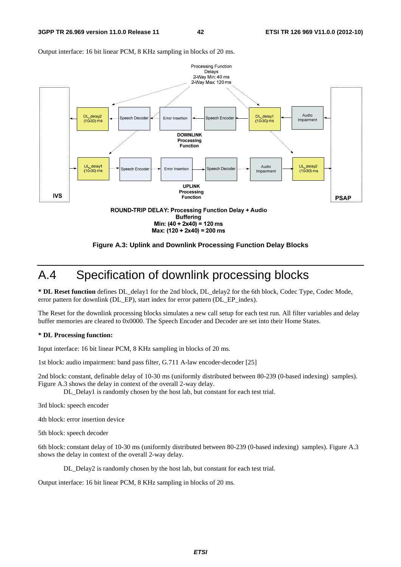

Output interface: 16 bit linear PCM, 8 KHz sampling in blocks of 20 ms.



## A.4 Specification of downlink processing blocks

**\* DL Reset function** defines DL\_delay1 for the 2nd block, DL\_delay2 for the 6th block, Codec Type, Codec Mode, error pattern for downlink (DL\_EP), start index for error pattern (DL\_EP\_index).

The Reset for the downlink processing blocks simulates a new call setup for each test run. All filter variables and delay buffer memories are cleared to 0x0000. The Speech Encoder and Decoder are set into their Home States.

#### **\* DL Processing function:**

Input interface: 16 bit linear PCM, 8 KHz sampling in blocks of 20 ms.

1st block: audio impairment: band pass filter, G.711 A-law encoder-decoder [25]

2nd block: constant, definable delay of 10-30 ms (uniformly distributed between 80-239 (0-based indexing) samples). Figure A.3 shows the delay in context of the overall 2-way delay.

DL Delay1 is randomly chosen by the host lab, but constant for each test trial.

3rd block: speech encoder

4th block: error insertion device

5th block: speech decoder

6th block: constant delay of 10-30 ms (uniformly distributed between 80-239 (0-based indexing) samples). Figure A.3 shows the delay in context of the overall 2-way delay.

DL Delay2 is randomly chosen by the host lab, but constant for each test trial.

Output interface: 16 bit linear PCM, 8 KHz sampling in blocks of 20 ms.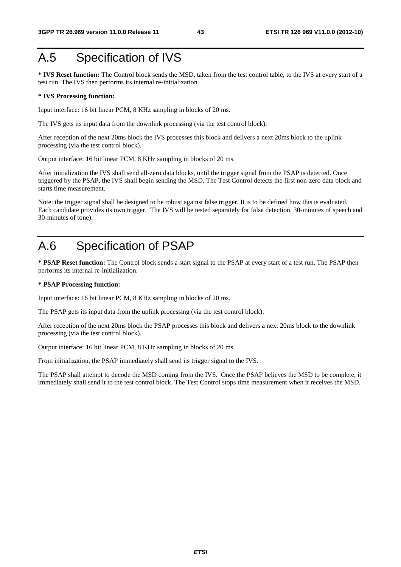## A.5 Specification of IVS

**\* IVS Reset function:** The Control block sends the MSD, taken from the test control table, to the IVS at every start of a test run. The IVS then performs its internal re-initialization.

#### **\* IVS Processing function:**

Input interface: 16 bit linear PCM, 8 KHz sampling in blocks of 20 ms.

The IVS gets its input data from the downlink processing (via the test control block).

After reception of the next 20ms block the IVS processes this block and delivers a next 20ms block to the uplink processing (via the test control block).

Output interface: 16 bit linear PCM, 8 KHz sampling in blocks of 20 ms.

After initialization the IVS shall send all-zero data blocks, until the trigger signal from the PSAP is detected. Once triggered by the PSAP, the IVS shall begin sending the MSD. The Test Control detects the first non-zero data block and starts time measurement.

Note: the trigger signal shall be designed to be robust against false trigger. It is to be defined how this is evaluated. Each candidate provides its own trigger. The IVS will be tested separately for false detection, 30-minutes of speech and 30-minutes of tone).

## A.6 Specification of PSAP

**\* PSAP Reset function:** The Control block sends a start signal to the PSAP at every start of a test run. The PSAP then performs its internal re-initialization.

#### **\* PSAP Processing function:**

Input interface: 16 bit linear PCM, 8 KHz sampling in blocks of 20 ms.

The PSAP gets its input data from the uplink processing (via the test control block).

After reception of the next 20ms block the PSAP processes this block and delivers a next 20ms block to the downlink processing (via the test control block).

Output interface: 16 bit linear PCM, 8 KHz sampling in blocks of 20 ms.

From initialization, the PSAP immediately shall send its trigger signal to the IVS.

The PSAP shall attempt to decode the MSD coming from the IVS. Once the PSAP believes the MSD to be complete, it immediately shall send it to the test control block. The Test Control stops time measurement when it receives the MSD.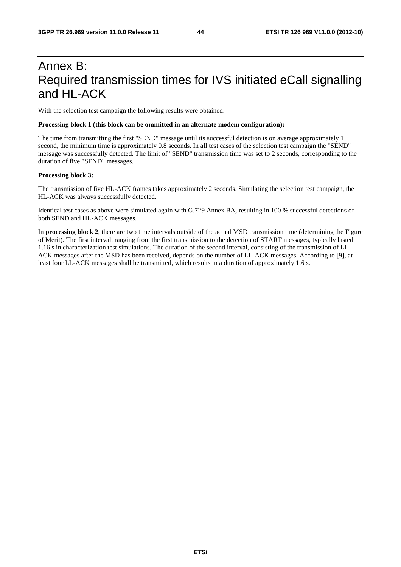## Annex B: Required transmission times for IVS initiated eCall signalling and HL-ACK

With the selection test campaign the following results were obtained:

#### **Processing block 1 (this block can be ommitted in an alternate modem configuration):**

The time from transmitting the first "SEND" message until its successful detection is on average approximately 1 second, the minimum time is approximately 0.8 seconds. In all test cases of the selection test campaign the "SEND" message was successfully detected. The limit of "SEND" transmission time was set to 2 seconds, corresponding to the duration of five "SEND" messages.

#### **Processing block 3:**

The transmission of five HL-ACK frames takes approximately 2 seconds. Simulating the selection test campaign, the HL-ACK was always successfully detected.

Identical test cases as above were simulated again with G.729 Annex BA, resulting in 100 % successful detections of both SEND and HL-ACK messages.

In **processing block 2**, there are two time intervals outside of the actual MSD transmission time (determining the Figure of Merit). The first interval, ranging from the first transmission to the detection of START messages, typically lasted 1.16 s in characterization test simulations. The duration of the second interval, consisting of the transmission of LL-ACK messages after the MSD has been received, depends on the number of LL-ACK messages. According to [9], at least four LL-ACK messages shall be transmitted, which results in a duration of approximately 1.6 s.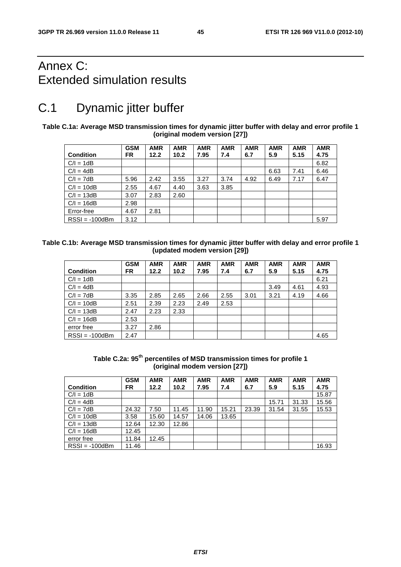## Annex C: Extended simulation results

## C.1 Dynamic jitter buffer

**Table C.1a: Average MSD transmission times for dynamic jitter buffer with delay and error profile 1 (original modem version [27])** 

|                  | <b>GSM</b> | <b>AMR</b> | <b>AMR</b> | <b>AMR</b> | <b>AMR</b> | <b>AMR</b> | <b>AMR</b> | <b>AMR</b> | <b>AMR</b> |
|------------------|------------|------------|------------|------------|------------|------------|------------|------------|------------|
| <b>Condition</b> | FR.        | 12.2       | 10.2       | 7.95       | 7.4        | 6.7        | 5.9        | 5.15       | 4.75       |
| $C/I = 1dB$      |            |            |            |            |            |            |            |            | 6.82       |
| $C/I = 4dB$      |            |            |            |            |            |            | 6.63       | 7.41       | 6.46       |
| $C/I = 7dB$      | 5.96       | 2.42       | 3.55       | 3.27       | 3.74       | 4.92       | 6.49       | 7.17       | 6.47       |
| $C/I = 10dB$     | 2.55       | 4.67       | 4.40       | 3.63       | 3.85       |            |            |            |            |
| $C/I = 13dB$     | 3.07       | 2.83       | 2.60       |            |            |            |            |            |            |
| $C/I = 16dB$     | 2.98       |            |            |            |            |            |            |            |            |
| Error-free       | 4.67       | 2.81       |            |            |            |            |            |            |            |
| $RSSI = -100dBm$ | 3.12       |            |            |            |            |            |            |            | 5.97       |

| Table C.1b: Average MSD transmission times for dynamic jitter buffer with delay and error profile 1 |
|-----------------------------------------------------------------------------------------------------|
| (updated modem version [29])                                                                        |

|                  | <b>GSM</b> | <b>AMR</b> | <b>AMR</b> | <b>AMR</b> | <b>AMR</b> | <b>AMR</b> | <b>AMR</b> | <b>AMR</b> | <b>AMR</b> |
|------------------|------------|------------|------------|------------|------------|------------|------------|------------|------------|
| <b>Condition</b> | <b>FR</b>  | 12.2       | 10.2       | 7.95       | 7.4        | 6.7        | 5.9        | 5.15       | 4.75       |
| $C/I = 1dB$      |            |            |            |            |            |            |            |            | 6.21       |
| $C/I = 4dB$      |            |            |            |            |            |            | 3.49       | 4.61       | 4.93       |
| $C/I = 7dB$      | 3.35       | 2.85       | 2.65       | 2.66       | 2.55       | 3.01       | 3.21       | 4.19       | 4.66       |
| $C/I = 10dB$     | 2.51       | 2.39       | 2.23       | 2.49       | 2.53       |            |            |            |            |
| $C/I = 13dB$     | 2.47       | 2.23       | 2.33       |            |            |            |            |            |            |
| $C/I = 16dB$     | 2.53       |            |            |            |            |            |            |            |            |
| error free       | 3.27       | 2.86       |            |            |            |            |            |            |            |
| $RSSI = -100dBm$ | 2.47       |            |            |            |            |            |            |            | 4.65       |

**Table C.2a: 95th percentiles of MSD transmission times for profile 1 (original modem version [27])** 

|                  | <b>GSM</b> | <b>AMR</b> | <b>AMR</b> | <b>AMR</b> | <b>AMR</b> | <b>AMR</b> | <b>AMR</b> | <b>AMR</b> | <b>AMR</b> |
|------------------|------------|------------|------------|------------|------------|------------|------------|------------|------------|
| <b>Condition</b> | <b>FR</b>  | 12.2       | 10.2       | 7.95       | 7.4        | 6.7        | 5.9        | 5.15       | 4.75       |
| $C/I = 1dB$      |            |            |            |            |            |            |            |            | 15.87      |
| $C/I = 4dB$      |            |            |            |            |            |            | 15.71      | 31.33      | 15.56      |
| $C/I = 7dB$      | 24.32      | 7.50       | 11.45      | 11.90      | 15.21      | 23.39      | 31.54      | 31.55      | 15.53      |
| $C/I = 10dB$     | 3.58       | 15.60      | 14.57      | 14.06      | 13.65      |            |            |            |            |
| $C/I = 13dB$     | 12.64      | 12.30      | 12.86      |            |            |            |            |            |            |
| $C/I = 16dB$     | 12.45      |            |            |            |            |            |            |            |            |
| error free       | 11.84      | 12.45      |            |            |            |            |            |            |            |
| $RSSI = -100dBm$ | 11.46      |            |            |            |            |            |            |            | 16.93      |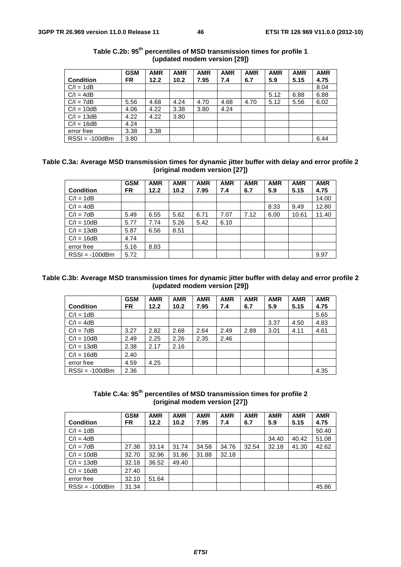|                  | <b>GSM</b> | <b>AMR</b> | <b>AMR</b> | <b>AMR</b> | <b>AMR</b> | <b>AMR</b> | <b>AMR</b> | <b>AMR</b> | <b>AMR</b> |
|------------------|------------|------------|------------|------------|------------|------------|------------|------------|------------|
| <b>Condition</b> | <b>FR</b>  | 12.2       | 10.2       | 7.95       | 7.4        | 6.7        | 5.9        | 5.15       | 4.75       |
| $C/I = 1dB$      |            |            |            |            |            |            |            |            | 8.04       |
| $C/I = 4dB$      |            |            |            |            |            |            | 5.12       | 6.88       | 6.88       |
| $C/I = 7dB$      | 5.56       | 4.68       | 4.24       | 4.70       | 4.68       | 4.70       | 5.12       | 5.56       | 6.02       |
| $C/I = 10dB$     | 4.06       | 4.22       | 3.38       | 3.80       | 4.24       |            |            |            |            |
| $C/I = 13dB$     | 4.22       | 4.22       | 3.80       |            |            |            |            |            |            |
| $C/I = 16dB$     | 4.24       |            |            |            |            |            |            |            |            |
| error free       | 3.38       | 3.38       |            |            |            |            |            |            |            |
| $RSSI = -100dBm$ | 3.80       |            |            |            |            |            |            |            | 6.44       |

### Table C.2b: 95<sup>th</sup> percentiles of MSD transmission times for profile 1 **(updated modem version [29])**

| Table C.3a: Average MSD transmission times for dynamic jitter buffer with delay and error profile 2 |
|-----------------------------------------------------------------------------------------------------|
| (original modem version [27])                                                                       |

| <b>Condition</b> | <b>GSM</b><br><b>FR</b> | <b>AMR</b><br>12.2 | <b>AMR</b><br>10.2 | <b>AMR</b><br>7.95 | <b>AMR</b><br>7.4 | <b>AMR</b><br>6.7 | <b>AMR</b><br>5.9 | <b>AMR</b><br>5.15 | <b>AMR</b><br>4.75 |
|------------------|-------------------------|--------------------|--------------------|--------------------|-------------------|-------------------|-------------------|--------------------|--------------------|
| $C/I = 1dB$      |                         |                    |                    |                    |                   |                   |                   |                    | 14.00              |
| $C/I = 4dB$      |                         |                    |                    |                    |                   |                   | 8.33              | 9.49               | 12.80              |
| $C/I = 7dB$      | 5.49                    | 6.55               | 5.62               | 6.71               | 7.07              | 7.12              | 6.00              | 10.61              | 11.40              |
| $C/I = 10dB$     | 5.77                    | 7.74               | 5.26               | 5.42               | 6.10              |                   |                   |                    |                    |
| $C/I = 13dB$     | 5.87                    | 6.56               | 8.51               |                    |                   |                   |                   |                    |                    |
| $C/I = 16dB$     | 4.74                    |                    |                    |                    |                   |                   |                   |                    |                    |
| error free       | 5.16                    | 8.83               |                    |                    |                   |                   |                   |                    |                    |
| $RSSI = -100dBm$ | 5.72                    |                    |                    |                    |                   |                   |                   |                    | 9.97               |

### **Table C.3b: Average MSD transmission times for dynamic jitter buffer with delay and error profile 2 (updated modem version [29])**

|                  | <b>GSM</b> | <b>AMR</b> | <b>AMR</b> | <b>AMR</b> | <b>AMR</b> | <b>AMR</b> | <b>AMR</b> | <b>AMR</b> | <b>AMR</b> |
|------------------|------------|------------|------------|------------|------------|------------|------------|------------|------------|
| <b>Condition</b> | FR.        | 12.2       | 10.2       | 7.95       | 7.4        | 6.7        | 5.9        | 5.15       | 4.75       |
| $C/I = 1dB$      |            |            |            |            |            |            |            |            | 5.65       |
| $C/I = 4dB$      |            |            |            |            |            |            | 3.37       | 4.50       | 4.83       |
| $C/I = 7dB$      | 3.27       | 2.82       | 2.68       | 2.64       | 2.49       | 2.89       | 3.01       | 4.11       | 4.61       |
| $C/I = 10dB$     | 2.49       | 2.25       | 2.26       | 2.35       | 2.46       |            |            |            |            |
| $C/I = 13dB$     | 2.38       | 2.17       | 2.16       |            |            |            |            |            |            |
| $C/I = 16dB$     | 2.40       |            |            |            |            |            |            |            |            |
| error free       | 4.59       | 4.25       |            |            |            |            |            |            |            |
| $RSSI = -100dBm$ | 2.36       |            |            |            |            |            |            |            | 4.35       |

### **Table C.4a: 95th percentiles of MSD transmission times for profile 2 (original modem version [27])**

| <b>Condition</b> | <b>GSM</b><br>FR. | <b>AMR</b><br>12.2 | <b>AMR</b><br>10.2 | <b>AMR</b><br>7.95 | <b>AMR</b><br>7.4 | <b>AMR</b><br>6.7 | <b>AMR</b><br>5.9 | <b>AMR</b><br>5.15 | <b>AMR</b><br>4.75 |
|------------------|-------------------|--------------------|--------------------|--------------------|-------------------|-------------------|-------------------|--------------------|--------------------|
| $C/I = 1dB$      |                   |                    |                    |                    |                   |                   |                   |                    | 50.40              |
| $C/I = 4dB$      |                   |                    |                    |                    |                   |                   | 34.40             | 40.42              | 51.08              |
| $C/I = 7dB$      | 27.38             | 33.14              | 31.74              | 34.58              | 34.76             | 32.54             | 32.18             | 41.30              | 42.62              |
| $C/I = 10dB$     | 32.70             | 32.96              | 31.86              | 31.88              | 32.18             |                   |                   |                    |                    |
| $C/I = 13dB$     | 32.18             | 36.52              | 49.40              |                    |                   |                   |                   |                    |                    |
| $C/I = 16dB$     | 27.40             |                    |                    |                    |                   |                   |                   |                    |                    |
| error free       | 32.10             | 51.64              |                    |                    |                   |                   |                   |                    |                    |
| $RSSI = -100dBm$ | 31.34             |                    |                    |                    |                   |                   |                   |                    | 45.86              |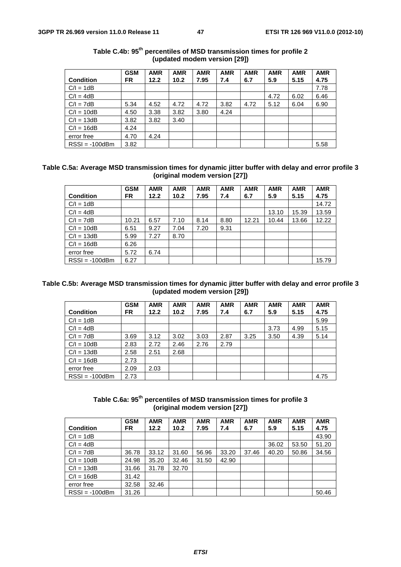|                  | <b>GSM</b> | <b>AMR</b> | <b>AMR</b> | <b>AMR</b> | <b>AMR</b> | <b>AMR</b> | <b>AMR</b> | <b>AMR</b> | <b>AMR</b> |
|------------------|------------|------------|------------|------------|------------|------------|------------|------------|------------|
| <b>Condition</b> | FR.        | 12.2       | 10.2       | 7.95       | 7.4        | 6.7        | 5.9        | 5.15       | 4.75       |
| $C/I = 1dB$      |            |            |            |            |            |            |            |            | 7.78       |
| $C/I = 4dB$      |            |            |            |            |            |            | 4.72       | 6.02       | 6.46       |
| $C/I = 7dB$      | 5.34       | 4.52       | 4.72       | 4.72       | 3.82       | 4.72       | 5.12       | 6.04       | 6.90       |
| $C/I = 10dB$     | 4.50       | 3.38       | 3.82       | 3.80       | 4.24       |            |            |            |            |
| $C/I = 13dB$     | 3.82       | 3.82       | 3.40       |            |            |            |            |            |            |
| $C/I = 16dB$     | 4.24       |            |            |            |            |            |            |            |            |
| error free       | 4.70       | 4.24       |            |            |            |            |            |            |            |
| $RSSI = -100dBm$ | 3.82       |            |            |            |            |            |            |            | 5.58       |

| Table C.4b: 95 <sup>th</sup> percentiles of MSD transmission times for profile 2 |  |                              |  |
|----------------------------------------------------------------------------------|--|------------------------------|--|
|                                                                                  |  | (updated modem version [29]) |  |

### **Table C.5a: Average MSD transmission times for dynamic jitter buffer with delay and error profile 3 (original modem version [27])**

|                  | <b>GSM</b> | <b>AMR</b> | <b>AMR</b> | <b>AMR</b> | <b>AMR</b> | <b>AMR</b> | <b>AMR</b> | <b>AMR</b> | <b>AMR</b> |
|------------------|------------|------------|------------|------------|------------|------------|------------|------------|------------|
| <b>Condition</b> | FR.        | 12.2       | 10.2       | 7.95       | 7.4        | 6.7        | 5.9        | 5.15       | 4.75       |
| $C/I = 1dB$      |            |            |            |            |            |            |            |            | 14.72      |
| $C/I = 4dB$      |            |            |            |            |            |            | 13.10      | 15.39      | 13.59      |
| $C/I = 7dB$      | 10.21      | 6.57       | 7.10       | 8.14       | 8.80       | 12.21      | 10.44      | 13.66      | 12.22      |
| $C/I = 10dB$     | 6.51       | 9.27       | 7.04       | 7.20       | 9.31       |            |            |            |            |
| $C/I = 13dB$     | 5.99       | 7.27       | 8.70       |            |            |            |            |            |            |
| $C/I = 16dB$     | 6.26       |            |            |            |            |            |            |            |            |
| error free       | 5.72       | 6.74       |            |            |            |            |            |            |            |
| $RSSI = -100dBm$ | 6.27       |            |            |            |            |            |            |            | 15.79      |

### **Table C.5b: Average MSD transmission times for dynamic jitter buffer with delay and error profile 3 (updated modem version [29])**

|                  | <b>GSM</b> | <b>AMR</b> | <b>AMR</b> | <b>AMR</b> | <b>AMR</b> | <b>AMR</b> | <b>AMR</b> | <b>AMR</b> | <b>AMR</b> |
|------------------|------------|------------|------------|------------|------------|------------|------------|------------|------------|
| <b>Condition</b> | FR.        | 12.2       | 10.2       | 7.95       | 7.4        | 6.7        | 5.9        | 5.15       | 4.75       |
| $C/I = 1dB$      |            |            |            |            |            |            |            |            | 5.99       |
| $C/I = 4dB$      |            |            |            |            |            |            | 3.73       | 4.99       | 5.15       |
| $C/I = 7dB$      | 3.69       | 3.12       | 3.02       | 3.03       | 2.87       | 3.25       | 3.50       | 4.39       | 5.14       |
| $C/I = 10dB$     | 2.83       | 2.72       | 2.46       | 2.76       | 2.79       |            |            |            |            |
| $C/I = 13dB$     | 2.58       | 2.51       | 2.68       |            |            |            |            |            |            |
| $C/I = 16dB$     | 2.73       |            |            |            |            |            |            |            |            |
| error free       | 2.09       | 2.03       |            |            |            |            |            |            |            |
| $RSSI = -100dBm$ | 2.73       |            |            |            |            |            |            |            | 4.75       |

**Table C.6a: 95th percentiles of MSD transmission times for profile 3 (original modem version [27])** 

|                  | <b>GSM</b> | <b>AMR</b> | <b>AMR</b> | <b>AMR</b> | <b>AMR</b> | <b>AMR</b> | <b>AMR</b> | <b>AMR</b> | <b>AMR</b> |
|------------------|------------|------------|------------|------------|------------|------------|------------|------------|------------|
| <b>Condition</b> | FR.        | 12.2       | 10.2       | 7.95       | 7.4        | 6.7        | 5.9        | 5.15       | 4.75       |
| $C/I = 1dB$      |            |            |            |            |            |            |            |            | 43.90      |
| $C/I = 4dB$      |            |            |            |            |            |            | 36.02      | 53.50      | 51.20      |
| $C/I = 7dB$      | 36.78      | 33.12      | 31.60      | 56.96      | 33.20      | 37.46      | 40.20      | 50.86      | 34.56      |
| $C/I = 10dB$     | 24.98      | 35.20      | 32.46      | 31.50      | 42.90      |            |            |            |            |
| $C/I = 13dB$     | 31.66      | 31.78      | 32.70      |            |            |            |            |            |            |
| $C/I = 16dB$     | 31.42      |            |            |            |            |            |            |            |            |
| error free       | 32.58      | 32.46      |            |            |            |            |            |            |            |
| $RSSI = -100dBm$ | 31.26      |            |            |            |            |            |            |            | 50.46      |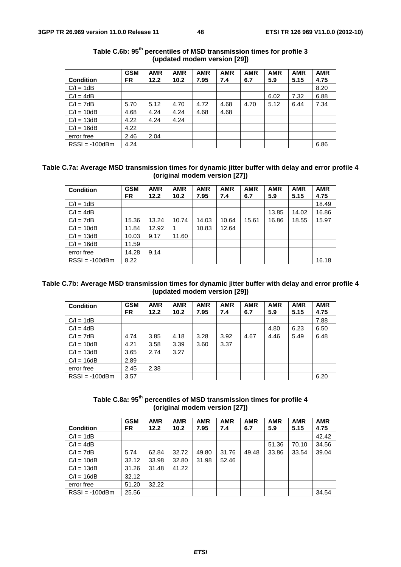|                  | <b>GSM</b> | <b>AMR</b> | <b>AMR</b> | <b>AMR</b> | <b>AMR</b> | <b>AMR</b> | <b>AMR</b> | <b>AMR</b> | <b>AMR</b> |
|------------------|------------|------------|------------|------------|------------|------------|------------|------------|------------|
| <b>Condition</b> | <b>FR</b>  | 12.2       | 10.2       | 7.95       | 7.4        | 6.7        | 5.9        | 5.15       | 4.75       |
| $C/I = 1dB$      |            |            |            |            |            |            |            |            | 8.20       |
| $C/I = 4dB$      |            |            |            |            |            |            | 6.02       | 7.32       | 6.88       |
| $C/I = 7dB$      | 5.70       | 5.12       | 4.70       | 4.72       | 4.68       | 4.70       | 5.12       | 6.44       | 7.34       |
| $C/I = 10dB$     | 4.68       | 4.24       | 4.24       | 4.68       | 4.68       |            |            |            |            |
| $C/I = 13dB$     | 4.22       | 4.24       | 4.24       |            |            |            |            |            |            |
| $C/I = 16dB$     | 4.22       |            |            |            |            |            |            |            |            |
| error free       | 2.46       | 2.04       |            |            |            |            |            |            |            |
| $RSSI = -100dBm$ | 4.24       |            |            |            |            |            |            |            | 6.86       |

| Table C.6b: 95 <sup>th</sup> percentiles of MSD transmission times for profile 3 |  |                              |  |
|----------------------------------------------------------------------------------|--|------------------------------|--|
|                                                                                  |  | (updated modem version [29]) |  |

### **Table C.7a: Average MSD transmission times for dynamic jitter buffer with delay and error profile 4 (original modem version [27])**

| <b>Condition</b> | <b>GSM</b><br><b>FR</b> | <b>AMR</b><br>12.2 | <b>AMR</b><br>10.2 | <b>AMR</b><br>7.95 | <b>AMR</b><br>7.4 | <b>AMR</b><br>6.7 | <b>AMR</b><br>5.9 | <b>AMR</b><br>5.15 | <b>AMR</b><br>4.75 |
|------------------|-------------------------|--------------------|--------------------|--------------------|-------------------|-------------------|-------------------|--------------------|--------------------|
| $C/I = 1dB$      |                         |                    |                    |                    |                   |                   |                   |                    | 18.49              |
| $C/I = 4dB$      |                         |                    |                    |                    |                   |                   | 13.85             | 14.02              | 16.86              |
| $C/I = 7dB$      | 15.36                   | 13.24              | 10.74              | 14.03              | 10.64             | 15.61             | 16.86             | 18.55              | 15.97              |
| $C/I = 10dB$     | 11.84                   | 12.92              |                    | 10.83              | 12.64             |                   |                   |                    |                    |
| $C/I = 13dB$     | 10.03                   | 9.17               | 11.60              |                    |                   |                   |                   |                    |                    |
| $C/I = 16dB$     | 11.59                   |                    |                    |                    |                   |                   |                   |                    |                    |
| error free       | 14.28                   | 9.14               |                    |                    |                   |                   |                   |                    |                    |
| $RSSI = -100dBm$ | 8.22                    |                    |                    |                    |                   |                   |                   |                    | 16.18              |

### **Table C.7b: Average MSD transmission times for dynamic jitter buffer with delay and error profile 4 (updated modem version [29])**

| <b>Condition</b> | <b>GSM</b> | <b>AMR</b> | <b>AMR</b>        | <b>AMR</b> | <b>AMR</b> | <b>AMR</b> | <b>AMR</b> | <b>AMR</b> | <b>AMR</b> |
|------------------|------------|------------|-------------------|------------|------------|------------|------------|------------|------------|
|                  | FR.        | 12.2       | 10.2 <sub>1</sub> | 7.95       | 7.4        | 6.7        | 5.9        | 5.15       | 4.75       |
| $C/I = 1dB$      |            |            |                   |            |            |            |            |            | 7.88       |
| $C/I = 4dB$      |            |            |                   |            |            |            | 4.80       | 6.23       | 6.50       |
| $C/I = 7dB$      | 4.74       | 3.85       | 4.18              | 3.28       | 3.92       | 4.67       | 4.46       | 5.49       | 6.48       |
| $C/I = 10dB$     | 4.21       | 3.58       | 3.39              | 3.60       | 3.37       |            |            |            |            |
| $C/I = 13dB$     | 3.65       | 2.74       | 3.27              |            |            |            |            |            |            |
| $C/I = 16dB$     | 2.89       |            |                   |            |            |            |            |            |            |
| error free       | 2.45       | 2.38       |                   |            |            |            |            |            |            |
| $RSSI = -100dBm$ | 3.57       |            |                   |            |            |            |            |            | 6.20       |

**Table C.8a: 95th percentiles of MSD transmission times for profile 4 (original modem version [27])** 

|                  | <b>GSM</b> | <b>AMR</b> | <b>AMR</b> | <b>AMR</b> | <b>AMR</b> | <b>AMR</b> | <b>AMR</b> | <b>AMR</b> | <b>AMR</b> |
|------------------|------------|------------|------------|------------|------------|------------|------------|------------|------------|
| <b>Condition</b> | FR.        | 12.2       | 10.2       | 7.95       | 7.4        | 6.7        | 5.9        | 5.15       | 4.75       |
| $C/I = 1dB$      |            |            |            |            |            |            |            |            | 42.42      |
| $C/I = 4dB$      |            |            |            |            |            |            | 51.36      | 70.10      | 34.56      |
| $C/I = 7dB$      | 5.74       | 62.84      | 32.72      | 49.80      | 31.76      | 49.48      | 33.86      | 33.54      | 39.04      |
| $C/I = 10dB$     | 32.12      | 33.98      | 32.80      | 31.98      | 52.46      |            |            |            |            |
| $C/I = 13dB$     | 31.26      | 31.48      | 41.22      |            |            |            |            |            |            |
| $C/I = 16dB$     | 32.12      |            |            |            |            |            |            |            |            |
| error free       | 51.20      | 32.22      |            |            |            |            |            |            |            |
| $RSSI = -100dBm$ | 25.56      |            |            |            |            |            |            |            | 34.54      |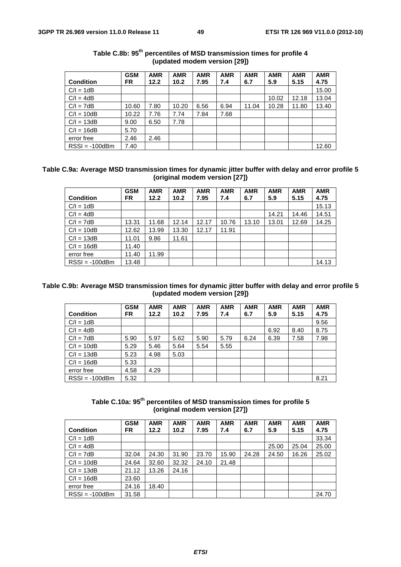|                  | <b>GSM</b> | <b>AMR</b> | <b>AMR</b> | <b>AMR</b> | <b>AMR</b> | <b>AMR</b> | <b>AMR</b> | <b>AMR</b> | <b>AMR</b> |
|------------------|------------|------------|------------|------------|------------|------------|------------|------------|------------|
| <b>Condition</b> | FR.        | 12.2       | 10.2       | 7.95       | 7.4        | 6.7        | 5.9        | 5.15       | 4.75       |
| $C/I = 1dB$      |            |            |            |            |            |            |            |            | 15.00      |
| $C/I = 4dB$      |            |            |            |            |            |            | 10.02      | 12.18      | 13.04      |
| $C/I = 7dB$      | 10.60      | 7.80       | 10.20      | 6.56       | 6.94       | 11.04      | 10.28      | 11.80      | 13.40      |
| $C/I = 10dB$     | 10.22      | 7.76       | 7.74       | 7.84       | 7.68       |            |            |            |            |
| $C/I = 13dB$     | 9.00       | 6.50       | 7.78       |            |            |            |            |            |            |
| $C/I = 16dB$     | 5.70       |            |            |            |            |            |            |            |            |
| error free       | 2.46       | 2.46       |            |            |            |            |            |            |            |
| $RSSI = -100dBm$ | 7.40       |            |            |            |            |            |            |            | 12.60      |

### Table C.8b: 95<sup>th</sup> percentiles of MSD transmission times for profile 4 **(updated modem version [29])**

### **Table C.9a: Average MSD transmission times for dynamic jitter buffer with delay and error profile 5 (original modem version [27])**

|                  | <b>GSM</b> | <b>AMR</b> | <b>AMR</b> | <b>AMR</b> | <b>AMR</b> | <b>AMR</b> | <b>AMR</b> | <b>AMR</b> | <b>AMR</b> |
|------------------|------------|------------|------------|------------|------------|------------|------------|------------|------------|
| <b>Condition</b> | FR.        | 12.2       | 10.2       | 7.95       | 7.4        | 6.7        | 5.9        | 5.15       | 4.75       |
| $C/I = 1dB$      |            |            |            |            |            |            |            |            | 15.13      |
| $C/I = 4dB$      |            |            |            |            |            |            | 14.21      | 14.46      | 14.51      |
| $C/I = 7dB$      | 13.31      | 11.68      | 12.14      | 12.17      | 10.76      | 13.10      | 13.01      | 12.69      | 14.25      |
| $C/I = 10dB$     | 12.62      | 13.99      | 13.30      | 12.17      | 11.91      |            |            |            |            |
| $C/I = 13dB$     | 11.01      | 9.86       | 11.61      |            |            |            |            |            |            |
| $C/I = 16dB$     | 11.40      |            |            |            |            |            |            |            |            |
| error free       | 11.40      | 11.99      |            |            |            |            |            |            |            |
| $RSSI = -100dBm$ | 13.48      |            |            |            |            |            |            |            | 14.13      |

### **Table C.9b: Average MSD transmission times for dynamic jitter buffer with delay and error profile 5 (updated modem version [29])**

|                  | <b>GSM</b> | <b>AMR</b> | <b>AMR</b> | <b>AMR</b> | <b>AMR</b> | <b>AMR</b> | <b>AMR</b> | <b>AMR</b> | <b>AMR</b> |
|------------------|------------|------------|------------|------------|------------|------------|------------|------------|------------|
| <b>Condition</b> | FR.        | 12.2       | 10.2       | 7.95       | 7.4        | 6.7        | 5.9        | 5.15       | 4.75       |
| $C/I = 1dB$      |            |            |            |            |            |            |            |            | 9.56       |
| $C/I = 4dB$      |            |            |            |            |            |            | 6.92       | 8.40       | 8.75       |
| $C/I = 7dB$      | 5.90       | 5.97       | 5.62       | 5.90       | 5.79       | 6.24       | 6.39       | 7.58       | 7.98       |
| $C/I = 10dB$     | 5.29       | 5.46       | 5.64       | 5.54       | 5.55       |            |            |            |            |
| $C/I = 13dB$     | 5.23       | 4.98       | 5.03       |            |            |            |            |            |            |
| $C/I = 16dB$     | 5.33       |            |            |            |            |            |            |            |            |
| error free       | 4.58       | 4.29       |            |            |            |            |            |            |            |
| $RSSI = -100dBm$ | 5.32       |            |            |            |            |            |            |            | 8.21       |

Table C.10a: 95<sup>th</sup> percentiles of MSD transmission times for profile 5 **(original modem version [27])** 

|                  | <b>GSM</b> | <b>AMR</b> | <b>AMR</b> | <b>AMR</b> | <b>AMR</b> | <b>AMR</b> | <b>AMR</b> | <b>AMR</b> | <b>AMR</b> |
|------------------|------------|------------|------------|------------|------------|------------|------------|------------|------------|
| <b>Condition</b> | FR.        | 12.2       | 10.2       | 7.95       | 7.4        | 6.7        | 5.9        | 5.15       | 4.75       |
| $C/I = 1dB$      |            |            |            |            |            |            |            |            | 33.34      |
| $C/I = 4dB$      |            |            |            |            |            |            | 25.00      | 25.04      | 25.00      |
| $C/I = 7dB$      | 32.04      | 24.30      | 31.90      | 23.70      | 15.90      | 24.28      | 24.50      | 16.26      | 25.02      |
| $C/I = 10dB$     | 24.64      | 32.60      | 32.32      | 24.10      | 21.48      |            |            |            |            |
| $C/I = 13dB$     | 21.12      | 13.26      | 24.16      |            |            |            |            |            |            |
| $C/I = 16dB$     | 23.60      |            |            |            |            |            |            |            |            |
| error free       | 24.16      | 18.40      |            |            |            |            |            |            |            |
| $RSSI = -100dBm$ | 31.58      |            |            |            |            |            |            |            | 24.70      |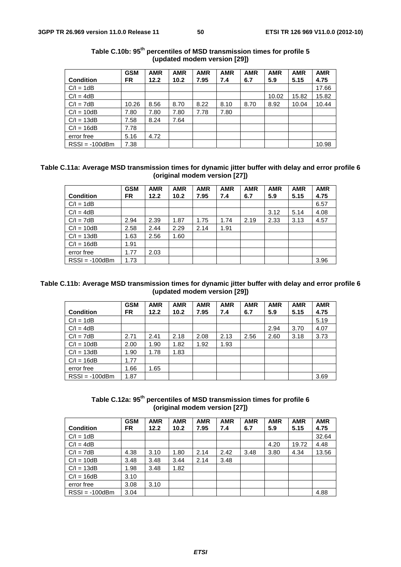|                  | <b>GSM</b> | <b>AMR</b> | <b>AMR</b> | <b>AMR</b> | <b>AMR</b> | <b>AMR</b> | <b>AMR</b> | <b>AMR</b> | <b>AMR</b> |
|------------------|------------|------------|------------|------------|------------|------------|------------|------------|------------|
| <b>Condition</b> | FR.        | 12.2       | 10.2       | 7.95       | 7.4        | 6.7        | 5.9        | 5.15       | 4.75       |
| $C/I = 1dB$      |            |            |            |            |            |            |            |            | 17.66      |
| $C/I = 4dB$      |            |            |            |            |            |            | 10.02      | 15.82      | 15.82      |
| $C/I = 7dB$      | 10.26      | 8.56       | 8.70       | 8.22       | 8.10       | 8.70       | 8.92       | 10.04      | 10.44      |
| $C/I = 10dB$     | 7.80       | 7.80       | 7.80       | 7.78       | 7.80       |            |            |            |            |
| $C/I = 13dB$     | 7.58       | 8.24       | 7.64       |            |            |            |            |            |            |
| $C/I = 16dB$     | 7.78       |            |            |            |            |            |            |            |            |
| error free       | 5.16       | 4.72       |            |            |            |            |            |            |            |
| $RSSI = -100dBm$ | 7.38       |            |            |            |            |            |            |            | 10.98      |

| Table C.10b: 95 <sup>th</sup> percentiles of MSD transmission times for profile 5 |  |                              |  |
|-----------------------------------------------------------------------------------|--|------------------------------|--|
|                                                                                   |  | (updated modem version [29]) |  |

### **Table C.11a: Average MSD transmission times for dynamic jitter buffer with delay and error profile 6 (original modem version [27])**

|                  | <b>GSM</b> | <b>AMR</b> | <b>AMR</b> | <b>AMR</b> | <b>AMR</b> | <b>AMR</b> | <b>AMR</b> | <b>AMR</b> | <b>AMR</b> |
|------------------|------------|------------|------------|------------|------------|------------|------------|------------|------------|
| <b>Condition</b> | <b>FR</b>  | 12.2       | 10.2       | 7.95       | 7.4        | 6.7        | 5.9        | 5.15       | 4.75       |
| $C/I = 1dB$      |            |            |            |            |            |            |            |            | 6.57       |
| $C/I = 4dB$      |            |            |            |            |            |            | 3.12       | 5.14       | 4.08       |
| $C/I = 7dB$      | 2.94       | 2.39       | 1.87       | 1.75       | 1.74       | 2.19       | 2.33       | 3.13       | 4.57       |
| $C/I = 10dB$     | 2.58       | 2.44       | 2.29       | 2.14       | 1.91       |            |            |            |            |
| $C/I = 13dB$     | 1.63       | 2.56       | 1.60       |            |            |            |            |            |            |
| $C/I = 16dB$     | 1.91       |            |            |            |            |            |            |            |            |
| error free       | 1.77       | 2.03       |            |            |            |            |            |            |            |
| $RSSI = -100dBm$ | 1.73       |            |            |            |            |            |            |            | 3.96       |

### **Table C.11b: Average MSD transmission times for dynamic jitter buffer with delay and error profile 6 (updated modem version [29])**

|                  | <b>GSM</b> | <b>AMR</b> | <b>AMR</b> | <b>AMR</b> | <b>AMR</b> | <b>AMR</b> | <b>AMR</b> | <b>AMR</b> | <b>AMR</b> |
|------------------|------------|------------|------------|------------|------------|------------|------------|------------|------------|
| <b>Condition</b> | FR.        | 12.2       | 10.2       | 7.95       | 7.4        | 6.7        | 5.9        | 5.15       | 4.75       |
| $C/I = 1dB$      |            |            |            |            |            |            |            |            | 5.19       |
| $C/I = 4dB$      |            |            |            |            |            |            | 2.94       | 3.70       | 4.07       |
| $C/I = 7dB$      | 2.71       | 2.41       | 2.18       | 2.08       | 2.13       | 2.56       | 2.60       | 3.18       | 3.73       |
| $C/I = 10dB$     | 2.00       | 1.90       | 1.82       | 1.92       | 1.93       |            |            |            |            |
| $C/I = 13dB$     | 1.90       | 1.78       | 1.83       |            |            |            |            |            |            |
| $C/I = 16dB$     | 1.77       |            |            |            |            |            |            |            |            |
| error free       | 1.66       | 1.65       |            |            |            |            |            |            |            |
| $RSSI = -100dBm$ | 1.87       |            |            |            |            |            |            |            | 3.69       |

Table C.12a: 95<sup>th</sup> percentiles of MSD transmission times for profile 6 **(original modem version [27])** 

| <b>Condition</b> | <b>GSM</b><br>FR. | <b>AMR</b><br>12.2 | <b>AMR</b><br>10.2 | <b>AMR</b><br>7.95 | <b>AMR</b><br>7.4 | <b>AMR</b><br>6.7 | <b>AMR</b><br>5.9 | <b>AMR</b><br>5.15 | <b>AMR</b><br>4.75 |
|------------------|-------------------|--------------------|--------------------|--------------------|-------------------|-------------------|-------------------|--------------------|--------------------|
| $C/I = 1dB$      |                   |                    |                    |                    |                   |                   |                   |                    | 32.64              |
| $C/I = 4dB$      |                   |                    |                    |                    |                   |                   | 4.20              | 19.72              | 4.48               |
| $C/I = 7dB$      | 4.38              | 3.10               | 1.80               | 2.14               | 2.42              | 3.48              | 3.80              | 4.34               | 13.56              |
| $C/I = 10dB$     | 3.48              | 3.48               | 3.44               | 2.14               | 3.48              |                   |                   |                    |                    |
| $C/I = 13dB$     | 1.98              | 3.48               | 1.82               |                    |                   |                   |                   |                    |                    |
| $C/I = 16dB$     | 3.10              |                    |                    |                    |                   |                   |                   |                    |                    |
| error free       | 3.08              | 3.10               |                    |                    |                   |                   |                   |                    |                    |
| $RSSI = -100dBm$ | 3.04              |                    |                    |                    |                   |                   |                   |                    | 4.88               |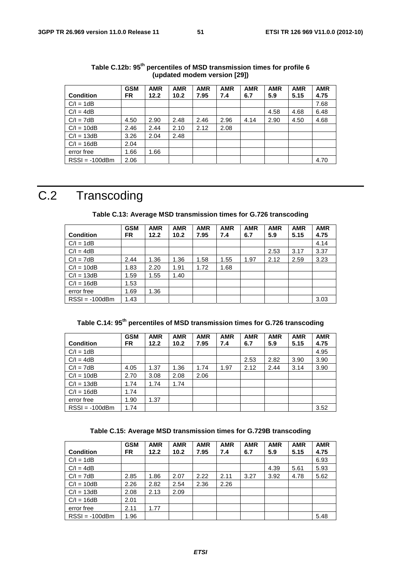| <b>Condition</b> | <b>GSM</b><br>FR. | <b>AMR</b><br>12.2 | <b>AMR</b><br>10.2 | <b>AMR</b><br>7.95 | <b>AMR</b><br>7.4 | <b>AMR</b><br>6.7 | <b>AMR</b><br>5.9 | <b>AMR</b><br>5.15 | <b>AMR</b><br>4.75 |
|------------------|-------------------|--------------------|--------------------|--------------------|-------------------|-------------------|-------------------|--------------------|--------------------|
| $C/I = 1dB$      |                   |                    |                    |                    |                   |                   |                   |                    | 7.68               |
| $C/I = 4dB$      |                   |                    |                    |                    |                   |                   | 4.58              | 4.68               | 6.48               |
| $C/I = 7dB$      | 4.50              | 2.90               | 2.48               | 2.46               | 2.96              | 4.14              | 2.90              | 4.50               | 4.68               |
| $C/I = 10dB$     | 2.46              | 2.44               | 2.10               | 2.12               | 2.08              |                   |                   |                    |                    |
| $C/I = 13dB$     | 3.26              | 2.04               | 2.48               |                    |                   |                   |                   |                    |                    |
| $C/I = 16dB$     | 2.04              |                    |                    |                    |                   |                   |                   |                    |                    |
| error free       | 1.66              | 1.66               |                    |                    |                   |                   |                   |                    |                    |
| $RSSI = -100dBm$ | 2.06              |                    |                    |                    |                   |                   |                   |                    | 4.70               |

**Table C.12b: 95th percentiles of MSD transmission times for profile 6 (updated modem version [29])** 

## C.2 Transcoding

| Table C.13: Average MSD transmission times for G.726 transcoding |  |
|------------------------------------------------------------------|--|
|------------------------------------------------------------------|--|

|                  | <b>GSM</b> | <b>AMR</b> | <b>AMR</b> | <b>AMR</b> | <b>AMR</b> | <b>AMR</b> | <b>AMR</b> | <b>AMR</b> | <b>AMR</b> |
|------------------|------------|------------|------------|------------|------------|------------|------------|------------|------------|
| <b>Condition</b> | <b>FR</b>  | 12.2       | 10.2       | 7.95       | 7.4        | 6.7        | 5.9        | 5.15       | 4.75       |
| $C/I = 1dB$      |            |            |            |            |            |            |            |            | 4.14       |
| $C/I = 4dB$      |            |            |            |            |            |            | 2.53       | 3.17       | 3.37       |
| $C/I = 7dB$      | 2.44       | 1.36       | 1.36       | 1.58       | 1.55       | 1.97       | 2.12       | 2.59       | 3.23       |
| $C/I = 10dB$     | 1.83       | 2.20       | 1.91       | 1.72       | 1.68       |            |            |            |            |
| $C/I = 13dB$     | 1.59       | 1.55       | 1.40       |            |            |            |            |            |            |
| $C/I = 16dB$     | 1.53       |            |            |            |            |            |            |            |            |
| error free       | 1.69       | 1.36       |            |            |            |            |            |            |            |
| $RSSI = -100dBm$ | 1.43       |            |            |            |            |            |            |            | 3.03       |

**Table C.14: 95th percentiles of MSD transmission times for G.726 transcoding** 

|                  | <b>GSM</b> | <b>AMR</b> | <b>AMR</b> | <b>AMR</b> | <b>AMR</b> | <b>AMR</b> | <b>AMR</b> | <b>AMR</b> | <b>AMR</b> |
|------------------|------------|------------|------------|------------|------------|------------|------------|------------|------------|
| <b>Condition</b> | <b>FR</b>  | 12.2       | 10.2       | 7.95       | 7.4        | 6.7        | 5.9        | 5.15       | 4.75       |
| $C/I = 1dB$      |            |            |            |            |            |            |            |            | 4.95       |
| $C/I = 4dB$      |            |            |            |            |            | 2.53       | 2.82       | 3.90       | 3.90       |
| $C/I = 7dB$      | 4.05       | 1.37       | 1.36       | 1.74       | 1.97       | 2.12       | 2.44       | 3.14       | 3.90       |
| $C/I = 10dB$     | 2.70       | 3.08       | 2.08       | 2.06       |            |            |            |            |            |
| $C/I = 13dB$     | 1.74       | 1.74       | 1.74       |            |            |            |            |            |            |
| $C/I = 16dB$     | 1.74       |            |            |            |            |            |            |            |            |
| error free       | 1.90       | 1.37       |            |            |            |            |            |            |            |
| $RSSI = -100dBm$ | 1.74       |            |            |            |            |            |            |            | 3.52       |

|  |  | Table C.15: Average MSD transmission times for G.729B transcoding |
|--|--|-------------------------------------------------------------------|
|--|--|-------------------------------------------------------------------|

| <b>Condition</b> | <b>GSM</b><br>FR. | <b>AMR</b><br>12.2 | <b>AMR</b><br>10.2 | <b>AMR</b><br>7.95 | <b>AMR</b><br>7.4 | <b>AMR</b><br>6.7 | <b>AMR</b><br>5.9 | <b>AMR</b><br>5.15 | <b>AMR</b><br>4.75 |
|------------------|-------------------|--------------------|--------------------|--------------------|-------------------|-------------------|-------------------|--------------------|--------------------|
| $C/I = 1dB$      |                   |                    |                    |                    |                   |                   |                   |                    | 6.93               |
| $C/I = 4dB$      |                   |                    |                    |                    |                   |                   | 4.39              | 5.61               | 5.93               |
| $C/I = 7dB$      | 2.85              | 1.86               | 2.07               | 2.22               | 2.11              | 3.27              | 3.92              | 4.78               | 5.62               |
| $C/I = 10dB$     | 2.26              | 2.82               | 2.54               | 2.36               | 2.26              |                   |                   |                    |                    |
| $C/I = 13dB$     | 2.08              | 2.13               | 2.09               |                    |                   |                   |                   |                    |                    |
| $C/I = 16dB$     | 2.01              |                    |                    |                    |                   |                   |                   |                    |                    |
| error free       | 2.11              | 1.77               |                    |                    |                   |                   |                   |                    |                    |
| $RSSI = -100dBm$ | 1.96              |                    |                    |                    |                   |                   |                   |                    | 5.48               |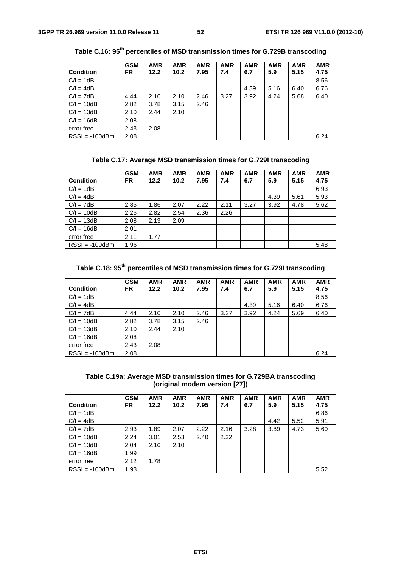|                  | <b>GSM</b> | <b>AMR</b> | <b>AMR</b> | <b>AMR</b> | <b>AMR</b> | <b>AMR</b> | <b>AMR</b> | <b>AMR</b> | <b>AMR</b> |
|------------------|------------|------------|------------|------------|------------|------------|------------|------------|------------|
| <b>Condition</b> | FR.        | 12.2       | 10.2       | 7.95       | 7.4        | 6.7        | 5.9        | 5.15       | 4.75       |
| $C/I = 1dB$      |            |            |            |            |            |            |            |            | 8.56       |
| $C/I = 4dB$      |            |            |            |            |            | 4.39       | 5.16       | 6.40       | 6.76       |
| $C/I = 7dB$      | 4.44       | 2.10       | 2.10       | 2.46       | 3.27       | 3.92       | 4.24       | 5.68       | 6.40       |
| $C/I = 10dB$     | 2.82       | 3.78       | 3.15       | 2.46       |            |            |            |            |            |
| $C/I = 13dB$     | 2.10       | 2.44       | 2.10       |            |            |            |            |            |            |
| $C/I = 16dB$     | 2.08       |            |            |            |            |            |            |            |            |
| error free       | 2.43       | 2.08       |            |            |            |            |            |            |            |
| $RSSI = -100dBm$ | 2.08       |            |            |            |            |            |            |            | 6.24       |

**Table C.16: 95th percentiles of MSD transmission times for G.729B transcoding** 

|  |  | Table C.17: Average MSD transmission times for G.729I transcoding |  |  |  |
|--|--|-------------------------------------------------------------------|--|--|--|
|--|--|-------------------------------------------------------------------|--|--|--|

|                  | <b>GSM</b> | <b>AMR</b> | <b>AMR</b> | <b>AMR</b> | <b>AMR</b> | <b>AMR</b> | <b>AMR</b> | <b>AMR</b> | <b>AMR</b> |
|------------------|------------|------------|------------|------------|------------|------------|------------|------------|------------|
| <b>Condition</b> | FR.        | 12.2       | 10.2       | 7.95       | 7.4        | 6.7        | 5.9        | 5.15       | 4.75       |
| $C/I = 1dB$      |            |            |            |            |            |            |            |            | 6.93       |
| $C/I = 4dB$      |            |            |            |            |            |            | 4.39       | 5.61       | 5.93       |
| $C/I = 7dB$      | 2.85       | 1.86       | 2.07       | 2.22       | 2.11       | 3.27       | 3.92       | 4.78       | 5.62       |
| $C/I = 10dB$     | 2.26       | 2.82       | 2.54       | 2.36       | 2.26       |            |            |            |            |
| $C/I = 13dB$     | 2.08       | 2.13       | 2.09       |            |            |            |            |            |            |
| $C/I = 16dB$     | 2.01       |            |            |            |            |            |            |            |            |
| error free       | 2.11       | 1.77       |            |            |            |            |            |            |            |
| $RSSI = -100dBm$ | 1.96       |            |            |            |            |            |            |            | 5.48       |

|  | Table C.18: 95 <sup>th</sup> percentiles of MSD transmission times for G.729I transcoding |
|--|-------------------------------------------------------------------------------------------|
|--|-------------------------------------------------------------------------------------------|

|                  | <b>GSM</b> | <b>AMR</b> | <b>AMR</b> | <b>AMR</b> | <b>AMR</b> | <b>AMR</b> | <b>AMR</b> | <b>AMR</b> | <b>AMR</b> |
|------------------|------------|------------|------------|------------|------------|------------|------------|------------|------------|
| <b>Condition</b> | FR.        | 12.2       | 10.2       | 7.95       | 7.4        | 6.7        | 5.9        | 5.15       | 4.75       |
| $C/I = 1dB$      |            |            |            |            |            |            |            |            | 8.56       |
| $C/I = 4dB$      |            |            |            |            |            | 4.39       | 5.16       | 6.40       | 6.76       |
| $C/I = 7dB$      | 4.44       | 2.10       | 2.10       | 2.46       | 3.27       | 3.92       | 4.24       | 5.69       | 6.40       |
| $C/I = 10dB$     | 2.82       | 3.78       | 3.15       | 2.46       |            |            |            |            |            |
| $C/I = 13dB$     | 2.10       | 2.44       | 2.10       |            |            |            |            |            |            |
| $C/I = 16dB$     | 2.08       |            |            |            |            |            |            |            |            |
| error free       | 2.43       | 2.08       |            |            |            |            |            |            |            |
| $RSSI = -100dBm$ | 2.08       |            |            |            |            |            |            |            | 6.24       |

**Table C.19a: Average MSD transmission times for G.729BA transcoding (original modem version [27])** 

| <b>Condition</b> | <b>GSM</b><br>FR. | <b>AMR</b><br>12.2 | <b>AMR</b><br>10.2 | <b>AMR</b><br>7.95 | <b>AMR</b><br>7.4 | <b>AMR</b><br>6.7 | <b>AMR</b><br>5.9 | <b>AMR</b><br>5.15 | <b>AMR</b><br>4.75 |
|------------------|-------------------|--------------------|--------------------|--------------------|-------------------|-------------------|-------------------|--------------------|--------------------|
| $C/I = 1dB$      |                   |                    |                    |                    |                   |                   |                   |                    | 6.86               |
| $C/I = 4dB$      |                   |                    |                    |                    |                   |                   | 4.42              | 5.52               | 5.91               |
| $C/I = 7dB$      | 2.93              | 1.89               | 2.07               | 2.22               | 2.16              | 3.28              | 3.89              | 4.73               | 5.60               |
| $C/I = 10dB$     | 2.24              | 3.01               | 2.53               | 2.40               | 2.32              |                   |                   |                    |                    |
| $C/I = 13dB$     | 2.04              | 2.16               | 2.10               |                    |                   |                   |                   |                    |                    |
| $C/I = 16dB$     | 1.99              |                    |                    |                    |                   |                   |                   |                    |                    |
| error free       | 2.12              | 1.78               |                    |                    |                   |                   |                   |                    |                    |
| $RSSI = -100dBm$ | 1.93              |                    |                    |                    |                   |                   |                   |                    | 5.52               |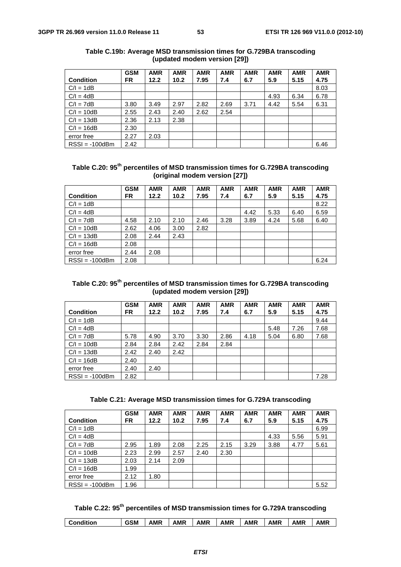|                  | <b>GSM</b> | <b>AMR</b> | <b>AMR</b> | <b>AMR</b> | <b>AMR</b> | <b>AMR</b> | <b>AMR</b> | <b>AMR</b> | <b>AMR</b> |
|------------------|------------|------------|------------|------------|------------|------------|------------|------------|------------|
| <b>Condition</b> | <b>FR</b>  | 12.2       | 10.2       | 7.95       | 7.4        | 6.7        | 5.9        | 5.15       | 4.75       |
| $C/I = 1dB$      |            |            |            |            |            |            |            |            | 8.03       |
| $C/I = 4dB$      |            |            |            |            |            |            | 4.93       | 6.34       | 6.78       |
| $C/I = 7dB$      | 3.80       | 3.49       | 2.97       | 2.82       | 2.69       | 3.71       | 4.42       | 5.54       | 6.31       |
| $C/I = 10dB$     | 2.55       | 2.43       | 2.40       | 2.62       | 2.54       |            |            |            |            |
| $C/I = 13dB$     | 2.36       | 2.13       | 2.38       |            |            |            |            |            |            |
| $C/I = 16dB$     | 2.30       |            |            |            |            |            |            |            |            |
| error free       | 2.27       | 2.03       |            |            |            |            |            |            |            |
| $RSSI = -100dBm$ | 2.42       |            |            |            |            |            |            |            | 6.46       |

### **Table C.19b: Average MSD transmission times for G.729BA transcoding (updated modem version [29])**

| Table C.20: 95 <sup>th</sup> percentiles of MSD transmission times for G.729BA transcoding |
|--------------------------------------------------------------------------------------------|
| (original modem version [27])                                                              |

| <b>Condition</b> | <b>GSM</b><br>FR. | <b>AMR</b><br>12.2 | <b>AMR</b><br>10.2 | <b>AMR</b><br>7.95 | <b>AMR</b><br>7.4 | <b>AMR</b><br>6.7 | <b>AMR</b><br>5.9 | <b>AMR</b><br>5.15 | <b>AMR</b><br>4.75 |
|------------------|-------------------|--------------------|--------------------|--------------------|-------------------|-------------------|-------------------|--------------------|--------------------|
| $C/I = 1dB$      |                   |                    |                    |                    |                   |                   |                   |                    | 8.22               |
| $C/I = 4dB$      |                   |                    |                    |                    |                   | 4.42              | 5.33              | 6.40               | 6.59               |
| $C/I = 7dB$      | 4.58              | 2.10               | 2.10               | 2.46               | 3.28              | 3.89              | 4.24              | 5.68               | 6.40               |
| $C/I = 10dB$     | 2.62              | 4.06               | 3.00               | 2.82               |                   |                   |                   |                    |                    |
| $C/I = 13dB$     | 2.08              | 2.44               | 2.43               |                    |                   |                   |                   |                    |                    |
| $C/I = 16dB$     | 2.08              |                    |                    |                    |                   |                   |                   |                    |                    |
| error free       | 2.44              | 2.08               |                    |                    |                   |                   |                   |                    |                    |
| $RSSI = -100dBm$ | 2.08              |                    |                    |                    |                   |                   |                   |                    | 6.24               |

### **Table C.20: 95th percentiles of MSD transmission times for G.729BA transcoding (updated modem version [29])**

|                  | <b>GSM</b> | <b>AMR</b> | <b>AMR</b> | <b>AMR</b> | <b>AMR</b> | <b>AMR</b> | <b>AMR</b> | <b>AMR</b> | <b>AMR</b> |
|------------------|------------|------------|------------|------------|------------|------------|------------|------------|------------|
| <b>Condition</b> | FR.        | 12.2       | 10.2       | 7.95       | 7.4        | 6.7        | 5.9        | 5.15       | 4.75       |
| $C/I = 1dB$      |            |            |            |            |            |            |            |            | 9.44       |
| $C/I = 4dB$      |            |            |            |            |            |            | 5.48       | 7.26       | 7.68       |
| $C/I = 7dB$      | 5.78       | 4.90       | 3.70       | 3.30       | 2.86       | 4.18       | 5.04       | 6.80       | 7.68       |
| $C/I = 10dB$     | 2.84       | 2.84       | 2.42       | 2.84       | 2.84       |            |            |            |            |
| $C/I = 13dB$     | 2.42       | 2.40       | 2.42       |            |            |            |            |            |            |
| $C/I = 16dB$     | 2.40       |            |            |            |            |            |            |            |            |
| error free       | 2.40       | 2.40       |            |            |            |            |            |            |            |
| $RSSI = -100dBm$ | 2.82       |            |            |            |            |            |            |            | 7.28       |

|  |  | Table C.21: Average MSD transmission times for G.729A transcoding |  |  |
|--|--|-------------------------------------------------------------------|--|--|
|  |  |                                                                   |  |  |

|                  | <b>GSM</b> | <b>AMR</b> | <b>AMR</b> | <b>AMR</b> | <b>AMR</b> | <b>AMR</b> | <b>AMR</b> | <b>AMR</b> | <b>AMR</b> |
|------------------|------------|------------|------------|------------|------------|------------|------------|------------|------------|
| <b>Condition</b> | FR.        | 12.2       | 10.2       | 7.95       | 7.4        | 6.7        | 5.9        | 5.15       | 4.75       |
| $C/I = 1dB$      |            |            |            |            |            |            |            |            | 6.99       |
| $C/I = 4dB$      |            |            |            |            |            |            | 4.33       | 5.56       | 5.91       |
| $C/I = 7dB$      | 2.95       | 1.89       | 2.08       | 2.25       | 2.15       | 3.29       | 3.88       | 4.77       | 5.61       |
| $C/I = 10dB$     | 2.23       | 2.99       | 2.57       | 2.40       | 2.30       |            |            |            |            |
| $C/I = 13dB$     | 2.03       | 2.14       | 2.09       |            |            |            |            |            |            |
| $C/I = 16dB$     | 1.99       |            |            |            |            |            |            |            |            |
| error free       | 2.12       | 1.80       |            |            |            |            |            |            |            |
| $RSSI = -100dBm$ | 1.96       |            |            |            |            |            |            |            | 5.52       |

**Table C.22: 95th percentiles of MSD transmission times for G.729A transcoding** 

| AMR<br>GSM<br>AMR<br>AMR<br>AMR<br>AMR<br><b>AMR</b><br>AMR<br>Condition |
|--------------------------------------------------------------------------|
|--------------------------------------------------------------------------|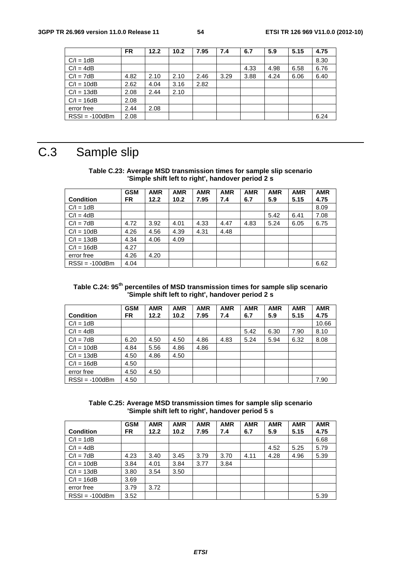|                  | <b>FR</b> | 12.2 | 10.2 | 7.95 | 7.4  | 6.7  | 5.9  | 5.15 | 4.75 |
|------------------|-----------|------|------|------|------|------|------|------|------|
| $C/I = 1dB$      |           |      |      |      |      |      |      |      | 8.30 |
| $C/I = 4dB$      |           |      |      |      |      | 4.33 | 4.98 | 6.58 | 6.76 |
| $C/I = 7dB$      | 4.82      | 2.10 | 2.10 | 2.46 | 3.29 | 3.88 | 4.24 | 6.06 | 6.40 |
| $C/I = 10dB$     | 2.62      | 4.04 | 3.16 | 2.82 |      |      |      |      |      |
| $C/I = 13dB$     | 2.08      | 2.44 | 2.10 |      |      |      |      |      |      |
| $C/I = 16dB$     | 2.08      |      |      |      |      |      |      |      |      |
| error free       | 2.44      | 2.08 |      |      |      |      |      |      |      |
| $RSSI = -100dBm$ | 2.08      |      |      |      |      |      |      |      | 6.24 |

## C.3 Sample slip

### **Table C.23: Average MSD transmission times for sample slip scenario 'Simple shift left to right', handover period 2 s**

|                  | <b>GSM</b> | <b>AMR</b> | <b>AMR</b> | <b>AMR</b> | <b>AMR</b> | <b>AMR</b> | <b>AMR</b> | <b>AMR</b> | <b>AMR</b> |
|------------------|------------|------------|------------|------------|------------|------------|------------|------------|------------|
| <b>Condition</b> | FR.        | 12.2       | 10.2       | 7.95       | 7.4        | 6.7        | 5.9        | 5.15       | 4.75       |
| $C/I = 1dB$      |            |            |            |            |            |            |            |            | 8.09       |
| $C/I = 4dB$      |            |            |            |            |            |            | 5.42       | 6.41       | 7.08       |
| $C/I = 7dB$      | 4.72       | 3.92       | 4.01       | 4.33       | 4.47       | 4.83       | 5.24       | 6.05       | 6.75       |
| $C/I = 10dB$     | 4.26       | 4.56       | 4.39       | 4.31       | 4.48       |            |            |            |            |
| $C/I = 13dB$     | 4.34       | 4.06       | 4.09       |            |            |            |            |            |            |
| $C/I = 16dB$     | 4.27       |            |            |            |            |            |            |            |            |
| error free       | 4.26       | 4.20       |            |            |            |            |            |            |            |
| $RSSI = -100dBm$ | 4.04       |            |            |            |            |            |            |            | 6.62       |

### **Table C.24: 95th percentiles of MSD transmission times for sample slip scenario 'Simple shift left to right', handover period 2 s**

|                  | <b>GSM</b> | <b>AMR</b> | <b>AMR</b> | <b>AMR</b> | <b>AMR</b> | <b>AMR</b> | <b>AMR</b> | <b>AMR</b> | <b>AMR</b> |
|------------------|------------|------------|------------|------------|------------|------------|------------|------------|------------|
| <b>Condition</b> | <b>FR</b>  | 12.2       | 10.2       | 7.95       | 7.4        | 6.7        | 5.9        | 5.15       | 4.75       |
| $C/I = 1dB$      |            |            |            |            |            |            |            |            | 10.66      |
| $C/I = 4dB$      |            |            |            |            |            | 5.42       | 6.30       | 7.90       | 8.10       |
| $C/I = 7dB$      | 6.20       | 4.50       | 4.50       | 4.86       | 4.83       | 5.24       | 5.94       | 6.32       | 8.08       |
| $C/I = 10dB$     | 4.84       | 5.56       | 4.86       | 4.86       |            |            |            |            |            |
| $C/I = 13dB$     | 4.50       | 4.86       | 4.50       |            |            |            |            |            |            |
| $C/I = 16dB$     | 4.50       |            |            |            |            |            |            |            |            |
| error free       | 4.50       | 4.50       |            |            |            |            |            |            |            |
| $RSSI = -100dBm$ | 4.50       |            |            |            |            |            |            |            | 7.90       |

### **Table C.25: Average MSD transmission times for sample slip scenario 'Simple shift left to right', handover period 5 s**

|                  | <b>GSM</b> | <b>AMR</b> | <b>AMR</b> | <b>AMR</b> | <b>AMR</b> | <b>AMR</b> | <b>AMR</b> | <b>AMR</b> | <b>AMR</b> |
|------------------|------------|------------|------------|------------|------------|------------|------------|------------|------------|
| <b>Condition</b> | FR.        | 12.2       | 10.2       | 7.95       | 7.4        | 6.7        | 5.9        | 5.15       | 4.75       |
| $C/I = 1dB$      |            |            |            |            |            |            |            |            | 6.68       |
| $C/I = 4dB$      |            |            |            |            |            |            | 4.52       | 5.25       | 5.79       |
| $C/I = 7dB$      | 4.23       | 3.40       | 3.45       | 3.79       | 3.70       | 4.11       | 4.28       | 4.96       | 5.39       |
| $C/I = 10dB$     | 3.84       | 4.01       | 3.84       | 3.77       | 3.84       |            |            |            |            |
| $C/I = 13dB$     | 3.80       | 3.54       | 3.50       |            |            |            |            |            |            |
| $C/I = 16dB$     | 3.69       |            |            |            |            |            |            |            |            |
| error free       | 3.79       | 3.72       |            |            |            |            |            |            |            |
| $RSSI = -100dBm$ | 3.52       |            |            |            |            |            |            |            | 5.39       |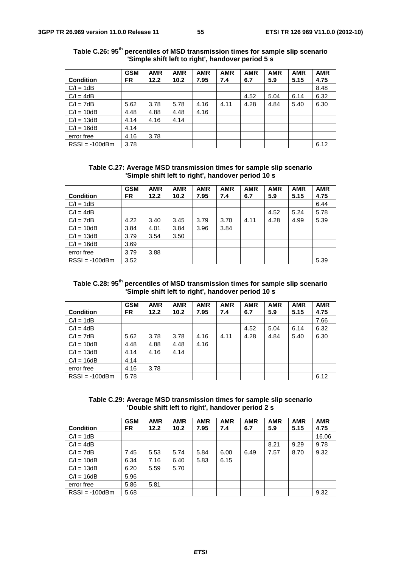|                  | <b>GSM</b> | <b>AMR</b> | <b>AMR</b> | <b>AMR</b> | <b>AMR</b> | <b>AMR</b> | <b>AMR</b> | <b>AMR</b> | <b>AMR</b> |
|------------------|------------|------------|------------|------------|------------|------------|------------|------------|------------|
| <b>Condition</b> | <b>FR</b>  | 12.2       | 10.2       | 7.95       | 7.4        | 6.7        | 5.9        | 5.15       | 4.75       |
| $C/I = 1dB$      |            |            |            |            |            |            |            |            | 8.48       |
| $C/I = 4dB$      |            |            |            |            |            | 4.52       | 5.04       | 6.14       | 6.32       |
| $C/I = 7dB$      | 5.62       | 3.78       | 5.78       | 4.16       | 4.11       | 4.28       | 4.84       | 5.40       | 6.30       |
| $C/I = 10dB$     | 4.48       | 4.88       | 4.48       | 4.16       |            |            |            |            |            |
| $C/I = 13dB$     | 4.14       | 4.16       | 4.14       |            |            |            |            |            |            |
| $C/I = 16dB$     | 4.14       |            |            |            |            |            |            |            |            |
| error free       | 4.16       | 3.78       |            |            |            |            |            |            |            |
| $RSSI = -100dBm$ | 3.78       |            |            |            |            |            |            |            | 6.12       |

**Table C.26: 95th percentiles of MSD transmission times for sample slip scenario 'Simple shift left to right', handover period 5 s** 

**Table C.27: Average MSD transmission times for sample slip scenario 'Simple shift left to right', handover period 10 s** 

|                  | <b>GSM</b> | <b>AMR</b> | <b>AMR</b> | <b>AMR</b> | <b>AMR</b> | <b>AMR</b> | <b>AMR</b> | <b>AMR</b> | <b>AMR</b> |
|------------------|------------|------------|------------|------------|------------|------------|------------|------------|------------|
| <b>Condition</b> | FR.        | 12.2       | 10.2       | 7.95       | 7.4        | 6.7        | 5.9        | 5.15       | 4.75       |
| $C/I = 1dB$      |            |            |            |            |            |            |            |            | 6.44       |
| $C/I = 4dB$      |            |            |            |            |            |            | 4.52       | 5.24       | 5.78       |
| $C/I = 7dB$      | 4.22       | 3.40       | 3.45       | 3.79       | 3.70       | 4.11       | 4.28       | 4.99       | 5.39       |
| $C/I = 10dB$     | 3.84       | 4.01       | 3.84       | 3.96       | 3.84       |            |            |            |            |
| $C/I = 13dB$     | 3.79       | 3.54       | 3.50       |            |            |            |            |            |            |
| $C/I = 16dB$     | 3.69       |            |            |            |            |            |            |            |            |
| error free       | 3.79       | 3.88       |            |            |            |            |            |            |            |
| $RSSI = -100dBm$ | 3.52       |            |            |            |            |            |            |            | 5.39       |

### **Table C.28: 95th percentiles of MSD transmission times for sample slip scenario 'Simple shift left to right', handover period 10 s**

|                  | <b>GSM</b> | <b>AMR</b> | <b>AMR</b> | <b>AMR</b> | <b>AMR</b> | <b>AMR</b> | <b>AMR</b> | <b>AMR</b> | <b>AMR</b> |
|------------------|------------|------------|------------|------------|------------|------------|------------|------------|------------|
| <b>Condition</b> | FR         | 12.2       | 10.2       | 7.95       | 7.4        | 6.7        | 5.9        | 5.15       | 4.75       |
| $C/I = 1dB$      |            |            |            |            |            |            |            |            | 7.66       |
| $C/I = 4dB$      |            |            |            |            |            | 4.52       | 5.04       | 6.14       | 6.32       |
| $C/I = 7dB$      | 5.62       | 3.78       | 3.78       | 4.16       | 4.11       | 4.28       | 4.84       | 5.40       | 6.30       |
| $C/I = 10dB$     | 4.48       | 4.88       | 4.48       | 4.16       |            |            |            |            |            |
| $C/I = 13dB$     | 4.14       | 4.16       | 4.14       |            |            |            |            |            |            |
| $C/I = 16dB$     | 4.14       |            |            |            |            |            |            |            |            |
| error free       | 4.16       | 3.78       |            |            |            |            |            |            |            |
| $RSSI = -100dBm$ | 5.78       |            |            |            |            |            |            |            | 6.12       |

**Table C.29: Average MSD transmission times for sample slip scenario 'Double shift left to right', handover period 2 s** 

|                  | <b>GSM</b> | <b>AMR</b> | <b>AMR</b> | <b>AMR</b> | <b>AMR</b> | <b>AMR</b> | <b>AMR</b> | <b>AMR</b> | <b>AMR</b> |
|------------------|------------|------------|------------|------------|------------|------------|------------|------------|------------|
| <b>Condition</b> | FR.        | 12.2       | 10.2       | 7.95       | 7.4        | 6.7        | 5.9        | 5.15       | 4.75       |
| $C/I = 1dB$      |            |            |            |            |            |            |            |            | 16.06      |
| $C/I = 4dB$      |            |            |            |            |            |            | 8.21       | 9.29       | 9.78       |
| $C/I = 7dB$      | 7.45       | 5.53       | 5.74       | 5.84       | 6.00       | 6.49       | 7.57       | 8.70       | 9.32       |
| $C/I = 10dB$     | 6.34       | 7.16       | 6.40       | 5.83       | 6.15       |            |            |            |            |
| $C/I = 13dB$     | 6.20       | 5.59       | 5.70       |            |            |            |            |            |            |
| $C/I = 16dB$     | 5.96       |            |            |            |            |            |            |            |            |
| error free       | 5.86       | 5.81       |            |            |            |            |            |            |            |
| $RSSI = -100dBm$ | 5.68       |            |            |            |            |            |            |            | 9.32       |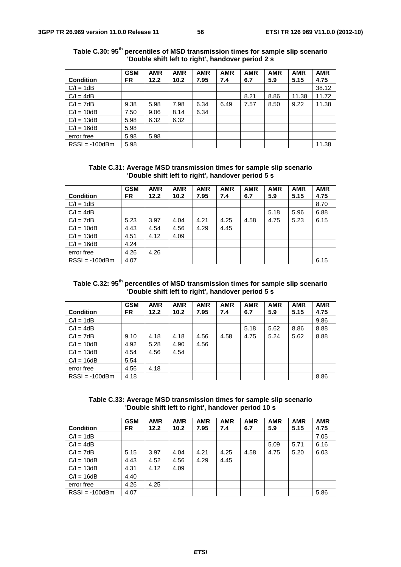|                  | <b>GSM</b> | <b>AMR</b> | <b>AMR</b> | <b>AMR</b> | <b>AMR</b> | <b>AMR</b> | <b>AMR</b> | <b>AMR</b> | <b>AMR</b> |
|------------------|------------|------------|------------|------------|------------|------------|------------|------------|------------|
| <b>Condition</b> | FR         | 12.2       | 10.2       | 7.95       | 7.4        | 6.7        | 5.9        | 5.15       | 4.75       |
| $C/I = 1dB$      |            |            |            |            |            |            |            |            | 38.12      |
| $C/I = 4dB$      |            |            |            |            |            | 8.21       | 8.86       | 11.38      | 11.72      |
| $C/I = 7dB$      | 9.38       | 5.98       | 7.98       | 6.34       | 6.49       | 7.57       | 8.50       | 9.22       | 11.38      |
| $C/I = 10dB$     | 7.50       | 9.06       | 8.14       | 6.34       |            |            |            |            |            |
| $C/I = 13dB$     | 5.98       | 6.32       | 6.32       |            |            |            |            |            |            |
| $C/I = 16dB$     | 5.98       |            |            |            |            |            |            |            |            |
| error free       | 5.98       | 5.98       |            |            |            |            |            |            |            |
| $RSSI = -100dBm$ | 5.98       |            |            |            |            |            |            |            | 11.38      |

**Table C.30: 95th percentiles of MSD transmission times for sample slip scenario 'Double shift left to right', handover period 2 s** 

**Table C.31: Average MSD transmission times for sample slip scenario 'Double shift left to right', handover period 5 s** 

|                  | <b>GSM</b> | <b>AMR</b> | <b>AMR</b> | <b>AMR</b> | <b>AMR</b> | <b>AMR</b> | <b>AMR</b> | <b>AMR</b> | <b>AMR</b> |
|------------------|------------|------------|------------|------------|------------|------------|------------|------------|------------|
| <b>Condition</b> | FR.        | 12.2       | 10.2       | 7.95       | 7.4        | 6.7        | 5.9        | 5.15       | 4.75       |
| $C/I = 1dB$      |            |            |            |            |            |            |            |            | 8.70       |
| $C/I = 4dB$      |            |            |            |            |            |            | 5.18       | 5.96       | 6.88       |
| $C/I = 7dB$      | 5.23       | 3.97       | 4.04       | 4.21       | 4.25       | 4.58       | 4.75       | 5.23       | 6.15       |
| $C/I = 10dB$     | 4.43       | 4.54       | 4.56       | 4.29       | 4.45       |            |            |            |            |
| $C/I = 13dB$     | 4.51       | 4.12       | 4.09       |            |            |            |            |            |            |
| $C/I = 16dB$     | 4.24       |            |            |            |            |            |            |            |            |
| error free       | 4.26       | 4.26       |            |            |            |            |            |            |            |
| $RSSI = -100dBm$ | 4.07       |            |            |            |            |            |            |            | 6.15       |

| Table C.32: 95 <sup>th</sup> percentiles of MSD transmission times for sample slip scenario |
|---------------------------------------------------------------------------------------------|
| 'Double shift left to right', handover period 5 s                                           |

|                  | <b>GSM</b> | <b>AMR</b> | <b>AMR</b> | <b>AMR</b> | <b>AMR</b> | <b>AMR</b> | <b>AMR</b> | <b>AMR</b> | <b>AMR</b> |
|------------------|------------|------------|------------|------------|------------|------------|------------|------------|------------|
| <b>Condition</b> | FR.        | 12.2       | 10.2       | 7.95       | 7.4        | 6.7        | 5.9        | 5.15       | 4.75       |
| $C/I = 1dB$      |            |            |            |            |            |            |            |            | 9.86       |
| $C/I = 4dB$      |            |            |            |            |            | 5.18       | 5.62       | 8.86       | 8.88       |
| $C/I = 7dB$      | 9.10       | 4.18       | 4.18       | 4.56       | 4.58       | 4.75       | 5.24       | 5.62       | 8.88       |
| $C/I = 10dB$     | 4.92       | 5.28       | 4.90       | 4.56       |            |            |            |            |            |
| $C/I = 13dB$     | 4.54       | 4.56       | 4.54       |            |            |            |            |            |            |
| $C/I = 16dB$     | 5.54       |            |            |            |            |            |            |            |            |
| error free       | 4.56       | 4.18       |            |            |            |            |            |            |            |
| $RSSI = -100dBm$ | 4.18       |            |            |            |            |            |            |            | 8.86       |

**Table C.33: Average MSD transmission times for sample slip scenario 'Double shift left to right', handover period 10 s** 

|                  | <b>GSM</b> | <b>AMR</b> | <b>AMR</b> | <b>AMR</b> | <b>AMR</b> | <b>AMR</b> | <b>AMR</b> | <b>AMR</b> | <b>AMR</b> |
|------------------|------------|------------|------------|------------|------------|------------|------------|------------|------------|
| <b>Condition</b> | FR.        | 12.2       | 10.2       | 7.95       | 7.4        | 6.7        | 5.9        | 5.15       | 4.75       |
| $C/I = 1dB$      |            |            |            |            |            |            |            |            | 7.05       |
| $C/I = 4dB$      |            |            |            |            |            |            | 5.09       | 5.71       | 6.16       |
| $C/I = 7dB$      | 5.15       | 3.97       | 4.04       | 4.21       | 4.25       | 4.58       | 4.75       | 5.20       | 6.03       |
| $C/I = 10dB$     | 4.43       | 4.52       | 4.56       | 4.29       | 4.45       |            |            |            |            |
| $C/I = 13dB$     | 4.31       | 4.12       | 4.09       |            |            |            |            |            |            |
| $C/I = 16dB$     | 4.40       |            |            |            |            |            |            |            |            |
| error free       | 4.26       | 4.25       |            |            |            |            |            |            |            |
| $RSSI = -100dBm$ | 4.07       |            |            |            |            |            |            |            | 5.86       |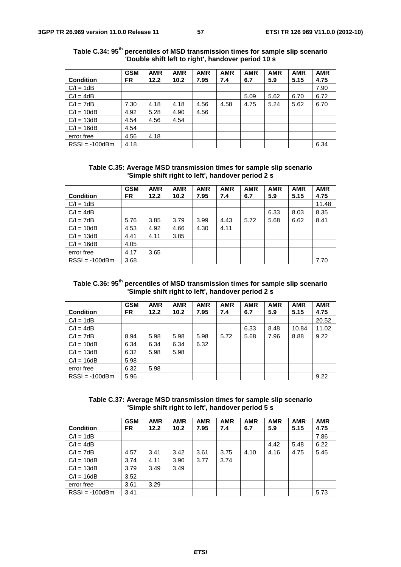|                  | <b>GSM</b> | <b>AMR</b> | <b>AMR</b> | <b>AMR</b> | <b>AMR</b> | <b>AMR</b> | <b>AMR</b> | <b>AMR</b> | <b>AMR</b> |
|------------------|------------|------------|------------|------------|------------|------------|------------|------------|------------|
| <b>Condition</b> | <b>FR</b>  | 12.2       | 10.2       | 7.95       | 7.4        | 6.7        | 5.9        | 5.15       | 4.75       |
| $C/I = 1dB$      |            |            |            |            |            |            |            |            | 7.90       |
| $C/I = 4dB$      |            |            |            |            |            | 5.09       | 5.62       | 6.70       | 6.72       |
| $C/I = 7dB$      | 7.30       | 4.18       | 4.18       | 4.56       | 4.58       | 4.75       | 5.24       | 5.62       | 6.70       |
| $C/I = 10dB$     | 4.92       | 5.28       | 4.90       | 4.56       |            |            |            |            |            |
| $C/I = 13dB$     | 4.54       | 4.56       | 4.54       |            |            |            |            |            |            |
| $C/I = 16dB$     | 4.54       |            |            |            |            |            |            |            |            |
| error free       | 4.56       | 4.18       |            |            |            |            |            |            |            |
| $RSSI = -100dBm$ | 4.18       |            |            |            |            |            |            |            | 6.34       |

**Table C.34: 95th percentiles of MSD transmission times for sample slip scenario 'Double shift left to right', handover period 10 s** 

**Table C.35: Average MSD transmission times for sample slip scenario 'Simple shift right to left', handover period 2 s** 

|                  | <b>GSM</b> | <b>AMR</b> | <b>AMR</b> | <b>AMR</b> | <b>AMR</b> | <b>AMR</b> | <b>AMR</b> | <b>AMR</b> | <b>AMR</b> |
|------------------|------------|------------|------------|------------|------------|------------|------------|------------|------------|
| <b>Condition</b> | FR.        | 12.2       | 10.2       | 7.95       | 7.4        | 6.7        | 5.9        | 5.15       | 4.75       |
| $C/I = 1dB$      |            |            |            |            |            |            |            |            | 11.48      |
| $C/I = 4dB$      |            |            |            |            |            |            | 6.33       | 8.03       | 8.35       |
| $C/I = 7dB$      | 5.76       | 3.85       | 3.79       | 3.99       | 4.43       | 5.72       | 5.68       | 6.62       | 8.41       |
| $C/I = 10dB$     | 4.53       | 4.92       | 4.66       | 4.30       | 4.11       |            |            |            |            |
| $C/I = 13dB$     | 4.41       | 4.11       | 3.85       |            |            |            |            |            |            |
| $C/I = 16dB$     | 4.05       |            |            |            |            |            |            |            |            |
| error free       | 4.17       | 3.65       |            |            |            |            |            |            |            |
| $RSSI = -100dBm$ | 3.68       |            |            |            |            |            |            |            | 7.70       |

### **Table C.36: 95th percentiles of MSD transmission times for sample slip scenario 'Simple shift right to left', handover period 2 s**

|                  | <b>GSM</b> | <b>AMR</b> | <b>AMR</b> | <b>AMR</b> | <b>AMR</b> | <b>AMR</b> | <b>AMR</b> | <b>AMR</b> | <b>AMR</b> |
|------------------|------------|------------|------------|------------|------------|------------|------------|------------|------------|
| <b>Condition</b> | FR         | 12.2       | 10.2       | 7.95       | 7.4        | 6.7        | 5.9        | 5.15       | 4.75       |
| $C/I = 1dB$      |            |            |            |            |            |            |            |            | 20.52      |
| $C/I = 4dB$      |            |            |            |            |            | 6.33       | 8.48       | 10.84      | 11.02      |
| $C/I = 7dB$      | 8.94       | 5.98       | 5.98       | 5.98       | 5.72       | 5.68       | 7.96       | 8.88       | 9.22       |
| $C/I = 10dB$     | 6.34       | 6.34       | 6.34       | 6.32       |            |            |            |            |            |
| $C/I = 13dB$     | 6.32       | 5.98       | 5.98       |            |            |            |            |            |            |
| $C/I = 16dB$     | 5.98       |            |            |            |            |            |            |            |            |
| error free       | 6.32       | 5.98       |            |            |            |            |            |            |            |
| $RSSI = -100dBm$ | 5.96       |            |            |            |            |            |            |            | 9.22       |

**Table C.37: Average MSD transmission times for sample slip scenario 'Simple shift right to left', handover period 5 s** 

| <b>Condition</b> | <b>GSM</b><br>FR. | <b>AMR</b><br>12.2 | <b>AMR</b><br>10.2 | <b>AMR</b><br>7.95 | <b>AMR</b><br>7.4 | <b>AMR</b><br>6.7 | <b>AMR</b><br>5.9 | <b>AMR</b><br>5.15 | <b>AMR</b><br>4.75 |
|------------------|-------------------|--------------------|--------------------|--------------------|-------------------|-------------------|-------------------|--------------------|--------------------|
| $C/I = 1dB$      |                   |                    |                    |                    |                   |                   |                   |                    | 7.86               |
| $C/I = 4dB$      |                   |                    |                    |                    |                   |                   | 4.42              | 5.48               | 6.22               |
| $C/I = 7dB$      | 4.57              | 3.41               | 3.42               | 3.61               | 3.75              | 4.10              | 4.16              | 4.75               | 5.45               |
| $C/I = 10dB$     | 3.74              | 4.11               | 3.90               | 3.77               | 3.74              |                   |                   |                    |                    |
| $C/I = 13dB$     | 3.79              | 3.49               | 3.49               |                    |                   |                   |                   |                    |                    |
| $C/I = 16dB$     | 3.52              |                    |                    |                    |                   |                   |                   |                    |                    |
| error free       | 3.61              | 3.29               |                    |                    |                   |                   |                   |                    |                    |
| $RSSI = -100dBm$ | 3.41              |                    |                    |                    |                   |                   |                   |                    | 5.73               |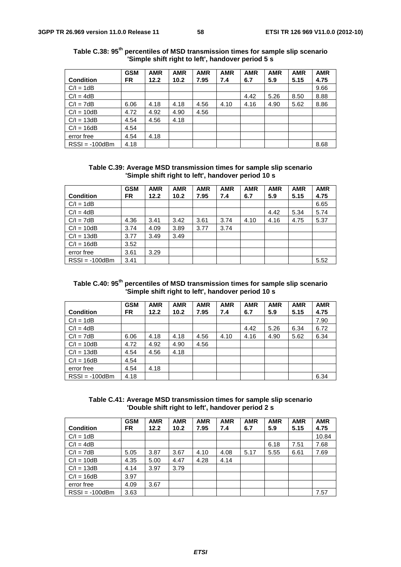|                  | <b>GSM</b> | <b>AMR</b> | <b>AMR</b> | <b>AMR</b> | <b>AMR</b> | <b>AMR</b> | <b>AMR</b> | <b>AMR</b> | <b>AMR</b> |
|------------------|------------|------------|------------|------------|------------|------------|------------|------------|------------|
| <b>Condition</b> | <b>FR</b>  | 12.2       | 10.2       | 7.95       | 7.4        | 6.7        | 5.9        | 5.15       | 4.75       |
| $C/I = 1dB$      |            |            |            |            |            |            |            |            | 9.66       |
| $C/I = 4dB$      |            |            |            |            |            | 4.42       | 5.26       | 8.50       | 8.88       |
| $C/I = 7dB$      | 6.06       | 4.18       | 4.18       | 4.56       | 4.10       | 4.16       | 4.90       | 5.62       | 8.86       |
| $C/I = 10dB$     | 4.72       | 4.92       | 4.90       | 4.56       |            |            |            |            |            |
| $C/I = 13dB$     | 4.54       | 4.56       | 4.18       |            |            |            |            |            |            |
| $C/I = 16dB$     | 4.54       |            |            |            |            |            |            |            |            |
| error free       | 4.54       | 4.18       |            |            |            |            |            |            |            |
| $RSSI = -100dBm$ | 4.18       |            |            |            |            |            |            |            | 8.68       |

**Table C.38: 95th percentiles of MSD transmission times for sample slip scenario 'Simple shift right to left', handover period 5 s** 

**Table C.39: Average MSD transmission times for sample slip scenario 'Simple shift right to left', handover period 10 s** 

|                  | <b>GSM</b> | <b>AMR</b> | <b>AMR</b> | <b>AMR</b> | <b>AMR</b> | <b>AMR</b> | <b>AMR</b> | <b>AMR</b> | <b>AMR</b> |
|------------------|------------|------------|------------|------------|------------|------------|------------|------------|------------|
| <b>Condition</b> | FR.        | 12.2       | 10.2       | 7.95       | 7.4        | 6.7        | 5.9        | 5.15       | 4.75       |
| $C/I = 1dB$      |            |            |            |            |            |            |            |            | 6.65       |
| $C/I = 4dB$      |            |            |            |            |            |            | 4.42       | 5.34       | 5.74       |
| $C/I = 7dB$      | 4.36       | 3.41       | 3.42       | 3.61       | 3.74       | 4.10       | 4.16       | 4.75       | 5.37       |
| $C/I = 10dB$     | 3.74       | 4.09       | 3.89       | 3.77       | 3.74       |            |            |            |            |
| $C/I = 13dB$     | 3.77       | 3.49       | 3.49       |            |            |            |            |            |            |
| $C/I = 16dB$     | 3.52       |            |            |            |            |            |            |            |            |
| error free       | 3.61       | 3.29       |            |            |            |            |            |            |            |
| $RSSI = -100dBm$ | 3.41       |            |            |            |            |            |            |            | 5.52       |

### **Table C.40: 95th percentiles of MSD transmission times for sample slip scenario 'Simple shift right to left', handover period 10 s**

|                  | <b>GSM</b> | <b>AMR</b> | <b>AMR</b> | <b>AMR</b> | <b>AMR</b> | <b>AMR</b> | <b>AMR</b> | <b>AMR</b> | <b>AMR</b> |
|------------------|------------|------------|------------|------------|------------|------------|------------|------------|------------|
| <b>Condition</b> | FR         | 12.2       | 10.2       | 7.95       | 7.4        | 6.7        | 5.9        | 5.15       | 4.75       |
| $C/I = 1dB$      |            |            |            |            |            |            |            |            | 7.90       |
| $C/I = 4dB$      |            |            |            |            |            | 4.42       | 5.26       | 6.34       | 6.72       |
| $C/I = 7dB$      | 6.06       | 4.18       | 4.18       | 4.56       | 4.10       | 4.16       | 4.90       | 5.62       | 6.34       |
| $C/I = 10dB$     | 4.72       | 4.92       | 4.90       | 4.56       |            |            |            |            |            |
| $C/I = 13dB$     | 4.54       | 4.56       | 4.18       |            |            |            |            |            |            |
| $C/I = 16dB$     | 4.54       |            |            |            |            |            |            |            |            |
| error free       | 4.54       | 4.18       |            |            |            |            |            |            |            |
| $RSSI = -100dBm$ | 4.18       |            |            |            |            |            |            |            | 6.34       |

**Table C.41: Average MSD transmission times for sample slip scenario 'Double shift right to left', handover period 2 s** 

|                  | <b>GSM</b> | <b>AMR</b> | <b>AMR</b> | <b>AMR</b> | <b>AMR</b> | <b>AMR</b> | <b>AMR</b> | <b>AMR</b> | <b>AMR</b> |
|------------------|------------|------------|------------|------------|------------|------------|------------|------------|------------|
| <b>Condition</b> | FR.        | 12.2       | 10.2       | 7.95       | 7.4        | 6.7        | 5.9        | 5.15       | 4.75       |
| $C/I = 1dB$      |            |            |            |            |            |            |            |            | 10.84      |
| $C/I = 4dB$      |            |            |            |            |            |            | 6.18       | 7.51       | 7.68       |
| $C/I = 7dB$      | 5.05       | 3.87       | 3.67       | 4.10       | 4.08       | 5.17       | 5.55       | 6.61       | 7.69       |
| $C/I = 10dB$     | 4.35       | 5.00       | 4.47       | 4.28       | 4.14       |            |            |            |            |
| $C/I = 13dB$     | 4.14       | 3.97       | 3.79       |            |            |            |            |            |            |
| $C/I = 16dB$     | 3.97       |            |            |            |            |            |            |            |            |
| error free       | 4.09       | 3.67       |            |            |            |            |            |            |            |
| $RSSI = -100dBm$ | 3.63       |            |            |            |            |            |            |            | 7.57       |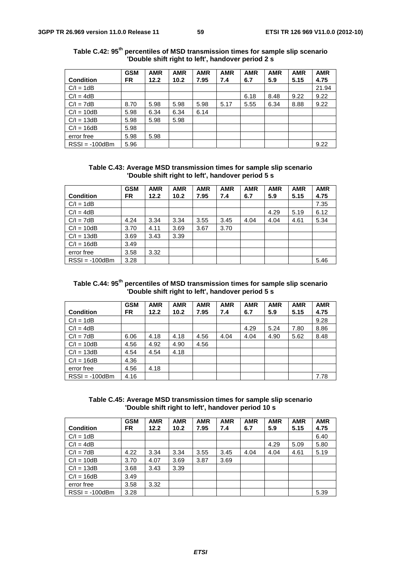|                  | <b>GSM</b> | <b>AMR</b> | <b>AMR</b> | <b>AMR</b> | <b>AMR</b> | <b>AMR</b> | <b>AMR</b> | <b>AMR</b> | <b>AMR</b> |
|------------------|------------|------------|------------|------------|------------|------------|------------|------------|------------|
| <b>Condition</b> | <b>FR</b>  | 12.2       | 10.2       | 7.95       | 7.4        | 6.7        | 5.9        | 5.15       | 4.75       |
| $C/I = 1dB$      |            |            |            |            |            |            |            |            | 21.94      |
| $C/I = 4dB$      |            |            |            |            |            | 6.18       | 8.48       | 9.22       | 9.22       |
| $C/I = 7dB$      | 8.70       | 5.98       | 5.98       | 5.98       | 5.17       | 5.55       | 6.34       | 8.88       | 9.22       |
| $C/I = 10dB$     | 5.98       | 6.34       | 6.34       | 6.14       |            |            |            |            |            |
| $C/I = 13dB$     | 5.98       | 5.98       | 5.98       |            |            |            |            |            |            |
| $C/I = 16dB$     | 5.98       |            |            |            |            |            |            |            |            |
| error free       | 5.98       | 5.98       |            |            |            |            |            |            |            |
| $RSSI = -100dBm$ | 5.96       |            |            |            |            |            |            |            | 9.22       |

**Table C.42: 95th percentiles of MSD transmission times for sample slip scenario 'Double shift right to left', handover period 2 s** 

**Table C.43: Average MSD transmission times for sample slip scenario 'Double shift right to left', handover period 5 s** 

|                  | <b>GSM</b> | <b>AMR</b> | <b>AMR</b> | <b>AMR</b> | <b>AMR</b> | <b>AMR</b> | <b>AMR</b> | <b>AMR</b> | <b>AMR</b> |
|------------------|------------|------------|------------|------------|------------|------------|------------|------------|------------|
| <b>Condition</b> | FR.        | 12.2       | 10.2       | 7.95       | 7.4        | 6.7        | 5.9        | 5.15       | 4.75       |
| $C/I = 1dB$      |            |            |            |            |            |            |            |            | 7.35       |
| $C/I = 4dB$      |            |            |            |            |            |            | 4.29       | 5.19       | 6.12       |
| $C/I = 7dB$      | 4.24       | 3.34       | 3.34       | 3.55       | 3.45       | 4.04       | 4.04       | 4.61       | 5.34       |
| $C/I = 10dB$     | 3.70       | 4.11       | 3.69       | 3.67       | 3.70       |            |            |            |            |
| $C/I = 13dB$     | 3.69       | 3.43       | 3.39       |            |            |            |            |            |            |
| $C/I = 16dB$     | 3.49       |            |            |            |            |            |            |            |            |
| error free       | 3.58       | 3.32       |            |            |            |            |            |            |            |
| $RSSI = -100dBm$ | 3.28       |            |            |            |            |            |            |            | 5.46       |

| Table C.44: 95 <sup>th</sup> percentiles of MSD transmission times for sample slip scenario |  |
|---------------------------------------------------------------------------------------------|--|
| 'Double shift right to left', handover period 5 s                                           |  |

|                  | <b>GSM</b> | <b>AMR</b> | <b>AMR</b> | <b>AMR</b> | <b>AMR</b> | <b>AMR</b> | <b>AMR</b> | <b>AMR</b> | <b>AMR</b> |
|------------------|------------|------------|------------|------------|------------|------------|------------|------------|------------|
| <b>Condition</b> | FR.        | 12.2       | 10.2       | 7.95       | 7.4        | 6.7        | 5.9        | 5.15       | 4.75       |
| $C/I = 1dB$      |            |            |            |            |            |            |            |            | 9.28       |
| $C/I = 4dB$      |            |            |            |            |            | 4.29       | 5.24       | 7.80       | 8.86       |
| $C/I = 7dB$      | 6.06       | 4.18       | 4.18       | 4.56       | 4.04       | 4.04       | 4.90       | 5.62       | 8.48       |
| $C/I = 10dB$     | 4.56       | 4.92       | 4.90       | 4.56       |            |            |            |            |            |
| $C/I = 13dB$     | 4.54       | 4.54       | 4.18       |            |            |            |            |            |            |
| $C/I = 16dB$     | 4.36       |            |            |            |            |            |            |            |            |
| error free       | 4.56       | 4.18       |            |            |            |            |            |            |            |
| $RSSI = -100dBm$ | 4.16       |            |            |            |            |            |            |            | 7.78       |

**Table C.45: Average MSD transmission times for sample slip scenario 'Double shift right to left', handover period 10 s** 

|                  | <b>GSM</b> | <b>AMR</b> | <b>AMR</b> | <b>AMR</b> | <b>AMR</b> | <b>AMR</b> | <b>AMR</b> | <b>AMR</b> | <b>AMR</b> |
|------------------|------------|------------|------------|------------|------------|------------|------------|------------|------------|
| <b>Condition</b> | FR.        | 12.2       | 10.2       | 7.95       | 7.4        | 6.7        | 5.9        | 5.15       | 4.75       |
| $C/I = 1dB$      |            |            |            |            |            |            |            |            | 6.40       |
| $C/I = 4dB$      |            |            |            |            |            |            | 4.29       | 5.09       | 5.80       |
| $C/I = 7dB$      | 4.22       | 3.34       | 3.34       | 3.55       | 3.45       | 4.04       | 4.04       | 4.61       | 5.19       |
| $C/I = 10dB$     | 3.70       | 4.07       | 3.69       | 3.87       | 3.69       |            |            |            |            |
| $C/I = 13dB$     | 3.68       | 3.43       | 3.39       |            |            |            |            |            |            |
| $C/I = 16dB$     | 3.49       |            |            |            |            |            |            |            |            |
| error free       | 3.58       | 3.32       |            |            |            |            |            |            |            |
| $RSSI = -100dBm$ | 3.28       |            |            |            |            |            |            |            | 5.39       |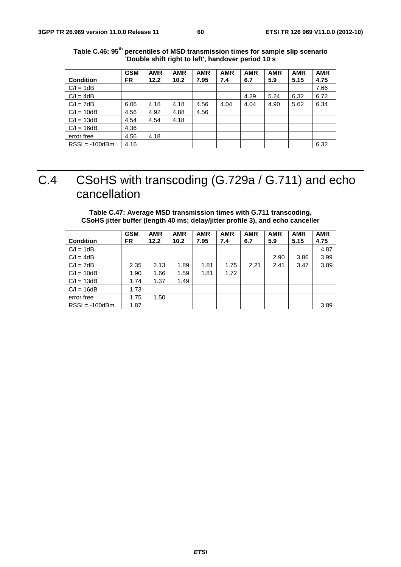|                  | <b>GSM</b> | <b>AMR</b> | <b>AMR</b> | <b>AMR</b> | <b>AMR</b> | <b>AMR</b> | <b>AMR</b> | <b>AMR</b> | <b>AMR</b> |
|------------------|------------|------------|------------|------------|------------|------------|------------|------------|------------|
| <b>Condition</b> | FR         | 12.2       | 10.2       | 7.95       | 7.4        | 6.7        | 5.9        | 5.15       | 4.75       |
| $C/I = 1dB$      |            |            |            |            |            |            |            |            | 7.66       |
| $C/I = 4dB$      |            |            |            |            |            | 4.29       | 5.24       | 6.32       | 6.72       |
| $C/I = 7dB$      | 6.06       | 4.18       | 4.18       | 4.56       | 4.04       | 4.04       | 4.90       | 5.62       | 6.34       |
| $C/I = 10dB$     | 4.56       | 4.92       | 4.88       | 4.56       |            |            |            |            |            |
| $C/I = 13dB$     | 4.54       | 4.54       | 4.18       |            |            |            |            |            |            |
| $C/I = 16dB$     | 4.36       |            |            |            |            |            |            |            |            |
| error free       | 4.56       | 4.18       |            |            |            |            |            |            |            |
| $RSSI = -100dBm$ | 4.16       |            |            |            |            |            |            |            | 6.32       |

**Table C.46: 95th percentiles of MSD transmission times for sample slip scenario 'Double shift right to left', handover period 10 s** 

## C.4 CSoHS with transcoding (G.729a / G.711) and echo cancellation

### **Table C.47: Average MSD transmission times with G.711 transcoding, CSoHS jitter buffer (length 40 ms; delay/jitter profile 3), and echo canceller**

|                  | <b>GSM</b> | <b>AMR</b> | <b>AMR</b> | <b>AMR</b> | <b>AMR</b> | <b>AMR</b> | <b>AMR</b> | <b>AMR</b> | <b>AMR</b> |
|------------------|------------|------------|------------|------------|------------|------------|------------|------------|------------|
| <b>Condition</b> | FR.        | 12.2       | 10.2       | 7.95       | 7.4        | 6.7        | 5.9        | 5.15       | 4.75       |
| $C/I = 1dB$      |            |            |            |            |            |            |            |            | 4.87       |
| $C/I = 4dB$      |            |            |            |            |            |            | 2.90       | 3.86       | 3.99       |
| $C/I = 7dB$      | 2.35       | 2.13       | 1.89       | 1.81       | 1.75       | 2.21       | 2.41       | 3.47       | 3.89       |
| $C/I = 10dB$     | 1.90       | 1.66       | 1.59       | 1.81       | 1.72       |            |            |            |            |
| $C/I = 13dB$     | 1.74       | 1.37       | 1.49       |            |            |            |            |            |            |
| $C/I = 16dB$     | 1.73       |            |            |            |            |            |            |            |            |
| error free       | 1.75       | 1.50       |            |            |            |            |            |            |            |
| $RSSI = -100dBm$ | 1.87       |            |            |            |            |            |            |            | 3.89       |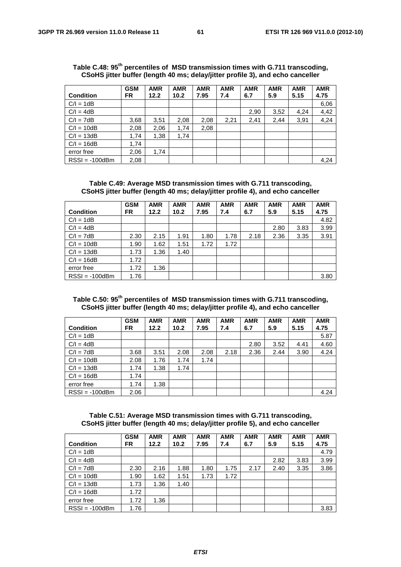|                  | <u>ooono jilici banci (ichylii 40 ma, aciay/jilici prome oj, and ceno canceller</u> |            |            |            |            |            |            |            |            |  |
|------------------|-------------------------------------------------------------------------------------|------------|------------|------------|------------|------------|------------|------------|------------|--|
|                  | <b>GSM</b>                                                                          | <b>AMR</b> | <b>AMR</b> | <b>AMR</b> | <b>AMR</b> | <b>AMR</b> | <b>AMR</b> | <b>AMR</b> | <b>AMR</b> |  |
| <b>Condition</b> | <b>FR</b>                                                                           | 12.2       | 10.2       | 7.95       | 7.4        | 6.7        | 5.9        | 5.15       | 4.75       |  |
| $C/I = 1dB$      |                                                                                     |            |            |            |            |            |            |            | 6,06       |  |
| $C/I = 4dB$      |                                                                                     |            |            |            |            | 2,90       | 3,52       | 4,24       | 4,42       |  |
| $C/I = 7dB$      | 3,68                                                                                | 3,51       | 2,08       | 2,08       | 2,21       | 2,41       | 2.44       | 3,91       | 4,24       |  |
| $C/I = 10dB$     | 2,08                                                                                | 2,06       | 1,74       | 2,08       |            |            |            |            |            |  |
| $C/I = 13dB$     | 1,74                                                                                | 1,38       | 1,74       |            |            |            |            |            |            |  |
| $C/I = 16dB$     | 1,74                                                                                |            |            |            |            |            |            |            |            |  |
| error free       | 2,06                                                                                | 1.74       |            |            |            |            |            |            |            |  |
| $RSSI = -100dBm$ | 2.08                                                                                |            |            |            |            |            |            |            | 4,24       |  |

|  | Table C.48: 95 <sup>th</sup> percentiles of MSD transmission times with G.711 transcoding, |  |
|--|--------------------------------------------------------------------------------------------|--|
|  | CSoHS jitter buffer (length 40 ms; delay/jitter profile 3), and echo canceller             |  |

**Table C.49: Average MSD transmission times with G.711 transcoding, CSoHS jitter buffer (length 40 ms; delay/jitter profile 4), and echo canceller** 

|                  | <b>GSM</b> | <b>AMR</b> | <b>AMR</b> | <b>AMR</b> | <b>AMR</b> | <b>AMR</b> | <b>AMR</b> | <b>AMR</b> | <b>AMR</b> |
|------------------|------------|------------|------------|------------|------------|------------|------------|------------|------------|
| <b>Condition</b> | FR.        | 12.2       | 10.2       | 7.95       | 7.4        | 6.7        | 5.9        | 5.15       | 4.75       |
| $C/I = 1dB$      |            |            |            |            |            |            |            |            | 4.82       |
| $C/I = 4dB$      |            |            |            |            |            |            | 2.80       | 3.83       | 3.99       |
| $C/I = 7dB$      | 2.30       | 2.15       | 1.91       | 1.80       | 1.78       | 2.18       | 2.36       | 3.35       | 3.91       |
| $C/I = 10dB$     | 1.90       | 1.62       | 1.51       | 1.72       | 1.72       |            |            |            |            |
| $C/I = 13dB$     | 1.73       | 1.36       | 1.40       |            |            |            |            |            |            |
| $C/I = 16dB$     | 1.72       |            |            |            |            |            |            |            |            |
| error free       | 1.72       | 1.36       |            |            |            |            |            |            |            |
| $RSSI = -100dBm$ | 1.76       |            |            |            |            |            |            |            | 3.80       |

### **Table C.50: 95th percentiles of MSD transmission times with G.711 transcoding, CSoHS jitter buffer (length 40 ms; delay/jitter profile 4), and echo canceller**

|                  | <b>GSM</b> | <b>AMR</b> | <b>AMR</b> | <b>AMR</b> | <b>AMR</b> | <b>AMR</b> | <b>AMR</b> | <b>AMR</b> | <b>AMR</b> |
|------------------|------------|------------|------------|------------|------------|------------|------------|------------|------------|
| <b>Condition</b> | <b>FR</b>  | 12.2       | 10.2       | 7.95       | 7.4        | 6.7        | 5.9        | 5.15       | 4.75       |
| $C/I = 1dB$      |            |            |            |            |            |            |            |            | 5.87       |
| $C/I = 4dB$      |            |            |            |            |            | 2.80       | 3.52       | 4.41       | 4.60       |
| $C/I = 7dB$      | 3.68       | 3.51       | 2.08       | 2.08       | 2.18       | 2.36       | 2.44       | 3.90       | 4.24       |
| $C/I = 10dB$     | 2.08       | 1.76       | 1.74       | 1.74       |            |            |            |            |            |
| $C/I = 13dB$     | 1.74       | 1.38       | 1.74       |            |            |            |            |            |            |
| $C/I = 16dB$     | 1.74       |            |            |            |            |            |            |            |            |
| error free       | 1.74       | 1.38       |            |            |            |            |            |            |            |
| $RSSI = -100dBm$ | 2.06       |            |            |            |            |            |            |            | 4.24       |

**Table C.51: Average MSD transmission times with G.711 transcoding, CSoHS jitter buffer (length 40 ms; delay/jitter profile 5), and echo canceller** 

|                  | <b>GSM</b> | <b>AMR</b> | <b>AMR</b> | <b>AMR</b> | <b>AMR</b> | <b>AMR</b> | <b>AMR</b> | <b>AMR</b> | <b>AMR</b> |
|------------------|------------|------------|------------|------------|------------|------------|------------|------------|------------|
| <b>Condition</b> | <b>FR</b>  | 12.2       | 10.2       | 7.95       | 7.4        | 6.7        | 5.9        | 5.15       | 4.75       |
| $C/I = 1dB$      |            |            |            |            |            |            |            |            | 4.79       |
| $C/I = 4dB$      |            |            |            |            |            |            | 2.82       | 3.83       | 3.99       |
| $C/I = 7dB$      | 2.30       | 2.16       | 1.88       | 1.80       | 1.75       | 2.17       | 2.40       | 3.35       | 3.86       |
| $C/I = 10dB$     | 1.90       | 1.62       | 1.51       | 1.73       | 1.72       |            |            |            |            |
| $C/I = 13dB$     | 1.73       | 1.36       | 1.40       |            |            |            |            |            |            |
| $C/I = 16dB$     | 1.72       |            |            |            |            |            |            |            |            |
| error free       | 1.72       | 1.36       |            |            |            |            |            |            |            |
| $RSSI = -100dBm$ | 1.76       |            |            |            |            |            |            |            | 3.83       |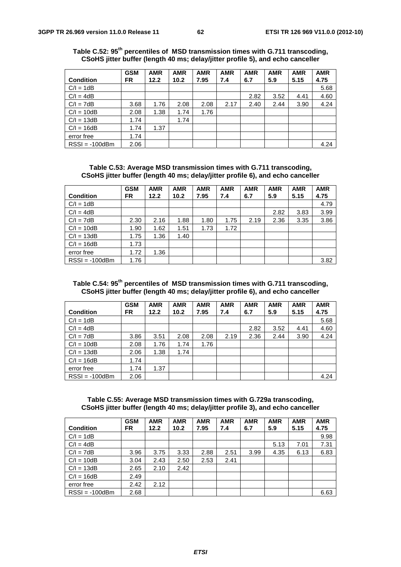|                  | <b>GSM</b> | <b>AMR</b> | <b>AMR</b> | <b>AMR</b> | <b>AMR</b> | <b>AMR</b> | <b>AMR</b> | <b>AMR</b> | <b>AMR</b> |
|------------------|------------|------------|------------|------------|------------|------------|------------|------------|------------|
| <b>Condition</b> | FR         | 12.2       | 10.2       | 7.95       | 7.4        | 6.7        | 5.9        | 5.15       | 4.75       |
| $C/I = 1dB$      |            |            |            |            |            |            |            |            | 5.68       |
| $C/I = 4dB$      |            |            |            |            |            | 2.82       | 3.52       | 4.41       | 4.60       |
| $C/I = 7dB$      | 3.68       | 1.76       | 2.08       | 2.08       | 2.17       | 2.40       | 2.44       | 3.90       | 4.24       |
| $C/I = 10dB$     | 2.08       | 1.38       | 1.74       | 1.76       |            |            |            |            |            |
| $C/I = 13dB$     | 1.74       |            | 1.74       |            |            |            |            |            |            |
| $C/I = 16dB$     | 1.74       | 1.37       |            |            |            |            |            |            |            |
| error free       | 1.74       |            |            |            |            |            |            |            |            |
| $RSSI = -100dBm$ | 2.06       |            |            |            |            |            |            |            | 4.24       |

**Table C.52: 95th percentiles of MSD transmission times with G.711 transcoding, CSoHS jitter buffer (length 40 ms; delay/jitter profile 5), and echo canceller** 

**Table C.53: Average MSD transmission times with G.711 transcoding, CSoHS jitter buffer (length 40 ms; delay/jitter profile 6), and echo canceller** 

|                  | <b>GSM</b> | <b>AMR</b> | <b>AMR</b> | <b>AMR</b> | <b>AMR</b> | <b>AMR</b> | <b>AMR</b> | <b>AMR</b> | <b>AMR</b> |
|------------------|------------|------------|------------|------------|------------|------------|------------|------------|------------|
| <b>Condition</b> | FR.        | 12.2       | 10.2       | 7.95       | 7.4        | 6.7        | 5.9        | 5.15       | 4.75       |
| $C/I = 1dB$      |            |            |            |            |            |            |            |            | 4.79       |
| $C/I = 4dB$      |            |            |            |            |            |            | 2.82       | 3.83       | 3.99       |
| $C/I = 7dB$      | 2.30       | 2.16       | 1.88       | 1.80       | 1.75       | 2.19       | 2.36       | 3.35       | 3.86       |
| $C/I = 10dB$     | 1.90       | 1.62       | 1.51       | 1.73       | 1.72       |            |            |            |            |
| $C/I = 13dB$     | 1.75       | 1.36       | 1.40       |            |            |            |            |            |            |
| $C/I = 16dB$     | 1.73       |            |            |            |            |            |            |            |            |
| error free       | 1.72       | 1.36       |            |            |            |            |            |            |            |
| $RSSI = -100dBm$ | 1.76       |            |            |            |            |            |            |            | 3.82       |

### **Table C.54: 95th percentiles of MSD transmission times with G.711 transcoding, CSoHS jitter buffer (length 40 ms; delay/jitter profile 6), and echo canceller**

|                  | <b>GSM</b> | <b>AMR</b> | <b>AMR</b> | <b>AMR</b> | <b>AMR</b> | <b>AMR</b> | <b>AMR</b> | <b>AMR</b> | <b>AMR</b> |
|------------------|------------|------------|------------|------------|------------|------------|------------|------------|------------|
| <b>Condition</b> | <b>FR</b>  | 12.2       | 10.2       | 7.95       | 7.4        | 6.7        | 5.9        | 5.15       | 4.75       |
| $C/I = 1dB$      |            |            |            |            |            |            |            |            | 5.68       |
| $C/I = 4dB$      |            |            |            |            |            | 2.82       | 3.52       | 4.41       | 4.60       |
| $C/I = 7dB$      | 3.86       | 3.51       | 2.08       | 2.08       | 2.19       | 2.36       | 2.44       | 3.90       | 4.24       |
| $C/I = 10dB$     | 2.08       | 1.76       | 1.74       | 1.76       |            |            |            |            |            |
| $C/I = 13dB$     | 2.06       | 1.38       | 1.74       |            |            |            |            |            |            |
| $C/I = 16dB$     | 1.74       |            |            |            |            |            |            |            |            |
| error free       | 1.74       | 1.37       |            |            |            |            |            |            |            |
| $RSSI = -100dBm$ | 2.06       |            |            |            |            |            |            |            | 4.24       |

**Table C.55: Average MSD transmission times with G.729a transcoding, CSoHS jitter buffer (length 40 ms; delay/jitter profile 3), and echo canceller** 

|                  | <b>GSM</b> | <b>AMR</b> | <b>AMR</b> | <b>AMR</b> | <b>AMR</b> | <b>AMR</b> | <b>AMR</b> | <b>AMR</b> | <b>AMR</b> |
|------------------|------------|------------|------------|------------|------------|------------|------------|------------|------------|
| <b>Condition</b> | FR         | 12.2       | 10.2       | 7.95       | 7.4        | 6.7        | 5.9        | 5.15       | 4.75       |
| $C/I = 1dB$      |            |            |            |            |            |            |            |            | 9.98       |
| $C/I = 4dB$      |            |            |            |            |            |            | 5.13       | 7.01       | 7.31       |
| $C/I = 7dB$      | 3.96       | 3.75       | 3.33       | 2.88       | 2.51       | 3.99       | 4.35       | 6.13       | 6.83       |
| $C/I = 10dB$     | 3.04       | 2.43       | 2.50       | 2.53       | 2.41       |            |            |            |            |
| $C/I = 13dB$     | 2.65       | 2.10       | 2.42       |            |            |            |            |            |            |
| $C/I = 16dB$     | 2.49       |            |            |            |            |            |            |            |            |
| error free       | 2.42       | 2.12       |            |            |            |            |            |            |            |
| $RSSI = -100dBm$ | 2.68       |            |            |            |            |            |            |            | 6.63       |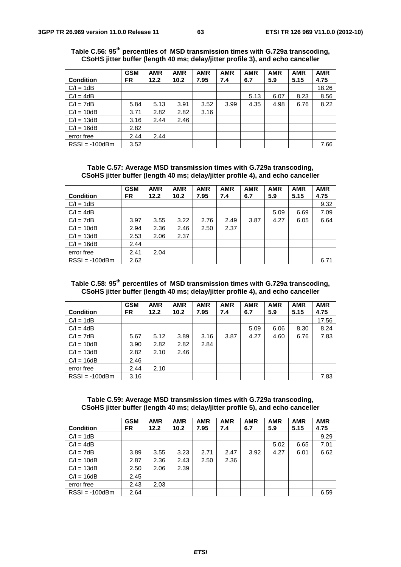|                  | <b>GSM</b> | <b>AMR</b> | <b>AMR</b> | <b>AMR</b> | <b>AMR</b> | <b>AMR</b> | <b>AMR</b> | <b>AMR</b> | <b>AMR</b> |
|------------------|------------|------------|------------|------------|------------|------------|------------|------------|------------|
| <b>Condition</b> | FR         | 12.2       | 10.2       | 7.95       | 7.4        | 6.7        | 5.9        | 5.15       | 4.75       |
| $C/I = 1dB$      |            |            |            |            |            |            |            |            | 18.26      |
| $C/I = 4dB$      |            |            |            |            |            | 5.13       | 6.07       | 8.23       | 8.56       |
| $C/I = 7dB$      | 5.84       | 5.13       | 3.91       | 3.52       | 3.99       | 4.35       | 4.98       | 6.76       | 8.22       |
| $C/I = 10dB$     | 3.71       | 2.82       | 2.82       | 3.16       |            |            |            |            |            |
| $C/I = 13dB$     | 3.16       | 2.44       | 2.46       |            |            |            |            |            |            |
| $C/I = 16dB$     | 2.82       |            |            |            |            |            |            |            |            |
| error free       | 2.44       | 2.44       |            |            |            |            |            |            |            |
| $RSSI = -100dBm$ | 3.52       |            |            |            |            |            |            |            | 7.66       |

**Table C.56: 95th percentiles of MSD transmission times with G.729a transcoding, CSoHS jitter buffer (length 40 ms; delay/jitter profile 3), and echo canceller** 

**Table C.57: Average MSD transmission times with G.729a transcoding, CSoHS jitter buffer (length 40 ms; delay/jitter profile 4), and echo canceller** 

|                  | <b>GSM</b> | <b>AMR</b> | <b>AMR</b> | <b>AMR</b> | <b>AMR</b> | <b>AMR</b> | <b>AMR</b> | <b>AMR</b> | <b>AMR</b> |
|------------------|------------|------------|------------|------------|------------|------------|------------|------------|------------|
| <b>Condition</b> | <b>FR</b>  | 12.2       | 10.2       | 7.95       | 7.4        | 6.7        | 5.9        | 5.15       | 4.75       |
| $C/I = 1dB$      |            |            |            |            |            |            |            |            | 9.32       |
| $C/I = 4dB$      |            |            |            |            |            |            | 5.09       | 6.69       | 7.09       |
| $C/I = 7dB$      | 3.97       | 3.55       | 3.22       | 2.76       | 2.49       | 3.87       | 4.27       | 6.05       | 6.64       |
| $C/I = 10dB$     | 2.94       | 2.36       | 2.46       | 2.50       | 2.37       |            |            |            |            |
| $C/I = 13dB$     | 2.53       | 2.06       | 2.37       |            |            |            |            |            |            |
| $C/I = 16dB$     | 2.44       |            |            |            |            |            |            |            |            |
| error free       | 2.41       | 2.04       |            |            |            |            |            |            |            |
| $RSSI = -100dBm$ | 2.62       |            |            |            |            |            |            |            | 6.71       |

### **Table C.58: 95th percentiles of MSD transmission times with G.729a transcoding, CSoHS jitter buffer (length 40 ms; delay/jitter profile 4), and echo canceller**

|                  | <b>GSM</b> | <b>AMR</b> | <b>AMR</b> | <b>AMR</b> | <b>AMR</b> | <b>AMR</b> | <b>AMR</b> | <b>AMR</b> | <b>AMR</b> |
|------------------|------------|------------|------------|------------|------------|------------|------------|------------|------------|
| <b>Condition</b> | FR         | 12.2       | 10.2       | 7.95       | 7.4        | 6.7        | 5.9        | 5.15       | 4.75       |
| $C/I = 1dB$      |            |            |            |            |            |            |            |            | 17.56      |
| $C/I = 4dB$      |            |            |            |            |            | 5.09       | 6.06       | 8.30       | 8.24       |
| $C/I = 7dB$      | 5.67       | 5.12       | 3.89       | 3.16       | 3.87       | 4.27       | 4.60       | 6.76       | 7.83       |
| $C/I = 10dB$     | 3.90       | 2.82       | 2.82       | 2.84       |            |            |            |            |            |
| $C/I = 13dB$     | 2.82       | 2.10       | 2.46       |            |            |            |            |            |            |
| $C/I = 16dB$     | 2.46       |            |            |            |            |            |            |            |            |
| error free       | 2.44       | 2.10       |            |            |            |            |            |            |            |
| $RSSI = -100dBm$ | 3.16       |            |            |            |            |            |            |            | 7.83       |

**Table C.59: Average MSD transmission times with G.729a transcoding, CSoHS jitter buffer (length 40 ms; delay/jitter profile 5), and echo canceller** 

|                  | <b>GSM</b> | <b>AMR</b> | <b>AMR</b> | <b>AMR</b> | <b>AMR</b> | <b>AMR</b> | <b>AMR</b> | <b>AMR</b> | <b>AMR</b> |
|------------------|------------|------------|------------|------------|------------|------------|------------|------------|------------|
| <b>Condition</b> | FR         | 12.2       | 10.2       | 7.95       | 7.4        | 6.7        | 5.9        | 5.15       | 4.75       |
| $C/I = 1dB$      |            |            |            |            |            |            |            |            | 9.29       |
| $C/I = 4dB$      |            |            |            |            |            |            | 5.02       | 6.65       | 7.01       |
| $C/I = 7dB$      | 3.89       | 3.55       | 3.23       | 2.71       | 2.47       | 3.92       | 4.27       | 6.01       | 6.62       |
| $C/I = 10dB$     | 2.87       | 2.36       | 2.43       | 2.50       | 2.36       |            |            |            |            |
| $C/I = 13dB$     | 2.50       | 2.06       | 2.39       |            |            |            |            |            |            |
| $C/I = 16dB$     | 2.45       |            |            |            |            |            |            |            |            |
| error free       | 2.43       | 2.03       |            |            |            |            |            |            |            |
| $RSSI = -100dBm$ | 2.64       |            |            |            |            |            |            |            | 6.59       |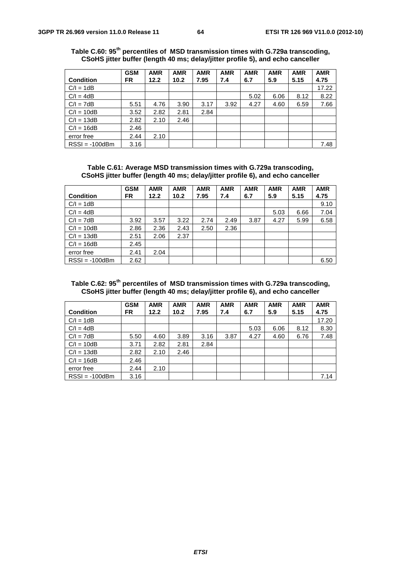|                  | <b>GSM</b> | <b>AMR</b> | <b>AMR</b> | <b>AMR</b> | <b>AMR</b> | <b>AMR</b> | <b>AMR</b> | <b>AMR</b> | <b>AMR</b> |
|------------------|------------|------------|------------|------------|------------|------------|------------|------------|------------|
| <b>Condition</b> | FR         | 12.2       | 10.2       | 7.95       | 7.4        | 6.7        | 5.9        | 5.15       | 4.75       |
| $C/I = 1dB$      |            |            |            |            |            |            |            |            | 17.22      |
| $C/I = 4dB$      |            |            |            |            |            | 5.02       | 6.06       | 8.12       | 8.22       |
| $C/I = 7dB$      | 5.51       | 4.76       | 3.90       | 3.17       | 3.92       | 4.27       | 4.60       | 6.59       | 7.66       |
| $C/I = 10dB$     | 3.52       | 2.82       | 2.81       | 2.84       |            |            |            |            |            |
| $C/I = 13dB$     | 2.82       | 2.10       | 2.46       |            |            |            |            |            |            |
| $C/I = 16dB$     | 2.46       |            |            |            |            |            |            |            |            |
| error free       | 2.44       | 2.10       |            |            |            |            |            |            |            |
| $RSSI = -100dBm$ | 3.16       |            |            |            |            |            |            |            | 7.48       |

**Table C.60: 95th percentiles of MSD transmission times with G.729a transcoding, CSoHS jitter buffer (length 40 ms; delay/jitter profile 5), and echo canceller** 

**Table C.61: Average MSD transmission times with G.729a transcoding, CSoHS jitter buffer (length 40 ms; delay/jitter profile 6), and echo canceller** 

|                  | <b>GSM</b> | <b>AMR</b> | <b>AMR</b> | <b>AMR</b> | <b>AMR</b> | <b>AMR</b> | <b>AMR</b> | <b>AMR</b> | <b>AMR</b> |
|------------------|------------|------------|------------|------------|------------|------------|------------|------------|------------|
| <b>Condition</b> | FR.        | 12.2       | 10.2       | 7.95       | 7.4        | 6.7        | 5.9        | 5.15       | 4.75       |
| $C/I = 1dB$      |            |            |            |            |            |            |            |            | 9.10       |
| $C/I = 4dB$      |            |            |            |            |            |            | 5.03       | 6.66       | 7.04       |
| $C/I = 7dB$      | 3.92       | 3.57       | 3.22       | 2.74       | 2.49       | 3.87       | 4.27       | 5.99       | 6.58       |
| $C/I = 10dB$     | 2.86       | 2.36       | 2.43       | 2.50       | 2.36       |            |            |            |            |
| $C/I = 13dB$     | 2.51       | 2.06       | 2.37       |            |            |            |            |            |            |
| $C/I = 16dB$     | 2.45       |            |            |            |            |            |            |            |            |
| error free       | 2.41       | 2.04       |            |            |            |            |            |            |            |
| $RSSI = -100dBm$ | 2.62       |            |            |            |            |            |            |            | 6.50       |

### **Table C.62: 95th percentiles of MSD transmission times with G.729a transcoding, CSoHS jitter buffer (length 40 ms; delay/jitter profile 6), and echo canceller**

|                  | <b>GSM</b> | <b>AMR</b> | <b>AMR</b> | <b>AMR</b> | <b>AMR</b> | <b>AMR</b> | <b>AMR</b> | <b>AMR</b> | <b>AMR</b> |
|------------------|------------|------------|------------|------------|------------|------------|------------|------------|------------|
| <b>Condition</b> | FR.        | 12.2       | 10.2       | 7.95       | 7.4        | 6.7        | 5.9        | 5.15       | 4.75       |
| $C/I = 1dB$      |            |            |            |            |            |            |            |            | 17.20      |
| $C/I = 4dB$      |            |            |            |            |            | 5.03       | 6.06       | 8.12       | 8.30       |
| $C/I = 7dB$      | 5.50       | 4.60       | 3.89       | 3.16       | 3.87       | 4.27       | 4.60       | 6.76       | 7.48       |
| $C/I = 10dB$     | 3.71       | 2.82       | 2.81       | 2.84       |            |            |            |            |            |
| $C/I = 13dB$     | 2.82       | 2.10       | 2.46       |            |            |            |            |            |            |
| $C/I = 16dB$     | 2.46       |            |            |            |            |            |            |            |            |
| error free       | 2.44       | 2.10       |            |            |            |            |            |            |            |
| $RSSI = -100dBm$ | 3.16       |            |            |            |            |            |            |            | 7.14       |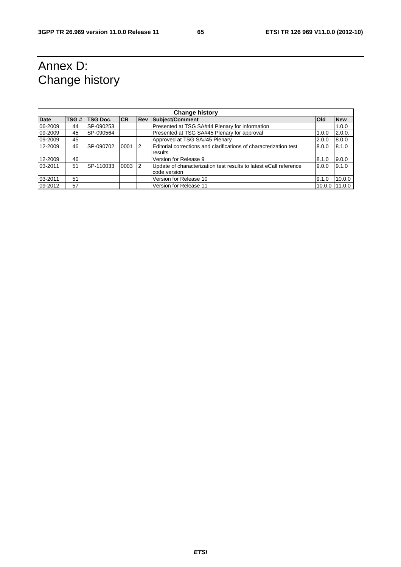## Annex D: Change history

| <b>Change history</b> |      |                 |           |            |                                                                   |            |            |  |
|-----------------------|------|-----------------|-----------|------------|-------------------------------------------------------------------|------------|------------|--|
| <b>Date</b>           | TSG# | <b>TSG Doc.</b> | <b>CR</b> | <b>Rev</b> | Subject/Comment                                                   | <b>Old</b> | <b>New</b> |  |
| 06-2009               | 44   | SP-090253       |           |            | Presented at TSG SA#44 Plenary for information                    |            | 1.0.0      |  |
| 09-2009               | 45   | SP-090564       |           |            | Presented at TSG SA#45 Plenary for approval                       | 1.0.0      | 2.0.0.     |  |
| 09-2009               | 45   |                 |           |            | Approved at TSG SA#45 Plenary                                     | 2.0.0      | 8.0.0      |  |
| 12-2009               | 46   | SP-090702       | 0001      | 2          | Editorial corrections and clarifications of characterization test | 8.0.0      | 8.1.0      |  |
|                       |      |                 |           |            | results                                                           |            |            |  |
| 12-2009               | 46   |                 |           |            | Version for Release 9                                             | 8.1.0      | 9.0.0      |  |
| 03-2011               | 51   | SP-110033       | 0003      | 2          | Update of characterization test results to latest eCall reference | 9.0.0      | 9.1.0      |  |
|                       |      |                 |           |            | code version                                                      |            |            |  |
| 03-2011               | 51   |                 |           |            | Version for Release 10                                            | 9.1.0      | 10.0.0     |  |
| 09-2012               | 57   |                 |           |            | Version for Release 11                                            | 10.0.0     | 11.0.0     |  |